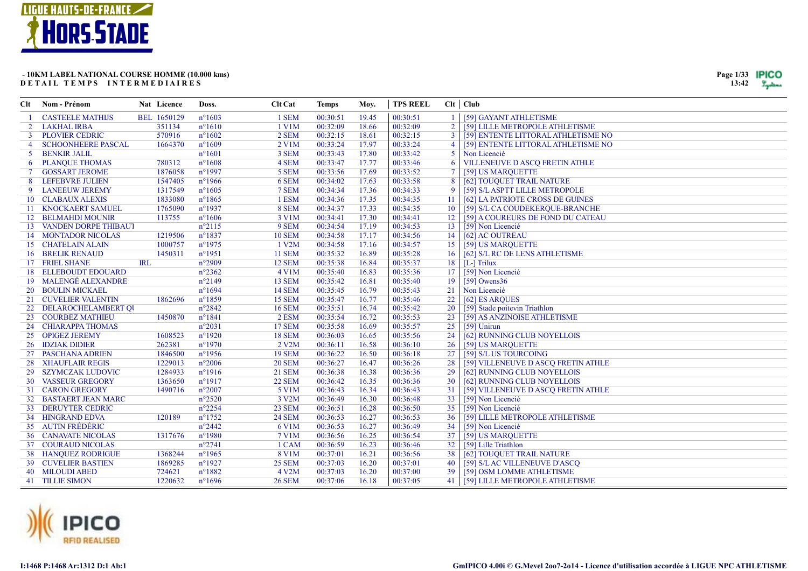



| Clt            | Nom - Prénom                | Nat Licence | Doss.            | <b>Clt Cat</b>       | <b>Temps</b> | Moy.  | <b>TPS REEL</b> |                | Clt   Club                          |
|----------------|-----------------------------|-------------|------------------|----------------------|--------------|-------|-----------------|----------------|-------------------------------------|
|                | <b>CASTEELE MATHIJS</b>     | BEL 1650129 | $n^{\circ}1603$  | 1 SEM                | 00:30:51     | 19.45 | 00:30:51        |                | [59] GAYANT ATHLETISME              |
|                | 2 LAKHAL IRBA               | 351134      | $n^{\circ}1610$  | $1$ V $1$ M          | 00:32:09     | 18.66 | 00:32:09        | $\overline{2}$ | [59] LILLE METROPOLE ATHLETISME     |
| 3              | <b>PLOVIER CEDRIC</b>       | 570916      | $n^{\circ}1602$  | 2 SEM                | 00:32:15     | 18.61 | 00:32:15        | 3              | [59] ENTENTE LITTORAL ATHLETISME NO |
| $\overline{4}$ | <b>SCHOONHEERE PASCAL</b>   | 1664370     | $n^{\circ}1609$  | $2$ V1M              | 00:33:24     | 17.97 | 00:33:24        | $\overline{4}$ | [59] ENTENTE LITTORAL ATHLETISME NO |
|                | 5 BENKIR JALIL              |             | $n^{\circ}1601$  | 3 SEM                | 00:33:43     | 17.80 | 00:33:42        | 5 <sup>1</sup> | Non Licencié                        |
| 6              | <b>PLANQUE THOMAS</b>       | 780312      | $n^{\circ}1608$  | 4 SEM                | 00:33:47     | 17.77 | 00:33:46        | 6              | VILLENEUVE D ASCQ FRETIN ATHLE      |
| $\tau$         | <b>GOSSART JEROME</b>       | 1876058     | $n^{\circ}1997$  | 5 SEM                | 00:33:56     | 17.69 | 00:33:52        |                | [59] US MARQUETTE                   |
|                | 8 LEFEBVRE JULIEN           | 1547405     | $n^{\circ}1966$  | 6 SEM                | 00:34:02     | 17.63 | 00:33:58        | 8              | [62] TOUQUET TRAIL NATURE           |
| 9              | <b>LANEEUW JEREMY</b>       | 1317549     | $n^{\circ}1605$  | 7 SEM                | 00:34:34     | 17.36 | 00:34:33        | -9             | [59] S/L ASPTT LILLE METROPOLE      |
|                | 10 CLABAUX ALEXIS           | 1833080     | $n^{\circ}1865$  | 1 ESM                | 00:34:36     | 17.35 | 00:34:35        | 11             | [62] LA PATRIOTE CROSS DE GUINES    |
|                | 11 KNOCKAERT SAMUEL         | 1765090     | $n^{\circ}1937$  | 8 SEM                | 00:34:37     | 17.33 | 00:34:35        | 10             | [59] S/L CA COUDEKERQUE-BRANCHE     |
|                | 12 BELMAHDI MOUNIR          | 113755      | $n^{\circ}1606$  | 3 V1M                | 00:34:41     | 17.30 | 00:34:41        | 12             | [59] A COUREURS DE FOND DU CATEAU   |
|                | 13 VANDEN DORPE THIBAUT     |             | $n^{\circ}2115$  | 9 SEM                | 00:34:54     | 17.19 | 00:34:53        | 13             | [59] Non Licencié                   |
|                | <b>14 MONTADOR NICOLAS</b>  | 1219506     | $n^{\circ}1837$  | <b>10 SEM</b>        | 00:34:58     | 17.17 | 00:34:56        | 14             | [62] AC OUTREAU                     |
|                | 15 CHATELAIN ALAIN          | 1000757     | $n^{\circ}1975$  | 1 V2M                | 00:34:58     | 17.16 | 00:34:57        | 15             | [59] US MARQUETTE                   |
|                | <b>16 BRELIK RENAUD</b>     | 1450311     | $n^{\circ}1951$  | <b>11 SEM</b>        | 00:35:32     | 16.89 | 00:35:28        | 16             | [62] S/L RC DE LENS ATHLETISME      |
|                | 17 FRIEL SHANE              | <b>IRL</b>  | $n^{\circ}2909$  | 12 SEM               | 00:35:38     | 16.84 | 00:35:37        | 18             | $[L-]$ Trilux                       |
|                | <b>18 ELLEBOUDT EDOUARD</b> |             | $n^{\circ}2362$  | $4$ V <sub>1</sub> M | 00:35:40     | 16.83 | 00:35:36        | 17             | [59] Non Licencié                   |
|                | 19 MALENGÉ ALEXANDRE        |             | $n^{\circ}2149$  | <b>13 SEM</b>        | 00:35:42     | 16.81 | 00:35:40        | 19             | [59] Owens $36$                     |
|                | 20 BOULIN MICKAEL           |             | $n^{\circ}1694$  | <b>14 SEM</b>        | 00:35:45     | 16.79 | 00:35:43        | 21             | Non Licencié                        |
|                | 21 CUVELIER VALENTIN        | 1862696     | $n^{\circ}1859$  | <b>15 SEM</b>        | 00:35:47     | 16.77 | 00:35:46        | 22             | [62] ES ARQUES                      |
|                | 22 DELAROCHELAMBERT QI      |             | $n^{\circ}2842$  | <b>16 SEM</b>        | 00:35:51     | 16.74 | 00:35:42        | 20             | [59] Stade poitevin Triathlon       |
|                | 23 COURBEZ MATHIEU          | 1450870     | $n^{\circ}1841$  | 2 ESM                | 00:35:54     | 16.72 | 00:35:53        | 23             | [59] AS ANZINOISE ATHLETISME        |
|                | 24 CHIARAPPA THOMAS         |             | $n^{\circ}2031$  | <b>17 SEM</b>        | 00:35:58     | 16.69 | 00:35:57        | 25             | $[59]$ Unirun                       |
|                | 25 OPIGEZ JEREMY            | 1608523     | $n^{\circ}1920$  | <b>18 SEM</b>        | 00:36:03     | 16.65 | 00:35:56        | 24             | [62] RUNNING CLUB NOYELLOIS         |
|                | 26 IDZIAK DIDIER            | 262381      | $n^{\circ}1970$  | 2 V2M                | 00:36:11     | 16.58 | 00:36:10        | 26             | [59] US MARQUETTE                   |
|                | 27 PASCHANA ADRIEN          | 1846500     | $n^{\circ}1956$  | <b>19 SEM</b>        | 00:36:22     | 16.50 | 00:36:18        | 27             | [59] S/L US TOURCOING               |
| 28             | <b>XHAUFLAIR REGIS</b>      | 1229013     | $n^{\circ}2006$  | <b>20 SEM</b>        | 00:36:27     | 16.47 | 00:36:26        | 28             | [59] VILLENEUVE D ASCQ FRETIN ATHLE |
|                | 29 SZYMCZAK LUDOVIC         | 1284933     | $n^{\circ}1916$  | <b>21 SEM</b>        | 00:36:38     | 16.38 | 00:36:36        | 29             | [62] RUNNING CLUB NOYELLOIS         |
|                | <b>30 VASSEUR GREGORY</b>   | 1363650     | $n^{\circ}1917$  | <b>22 SEM</b>        | 00:36:42     | 16.35 | 00:36:36        | 30             | [62] RUNNING CLUB NOYELLOIS         |
|                | 31 CARON GREGORY            | 1490716     | $n^{\circ}2007$  | 5 V1M                | 00:36:43     | 16.34 | 00:36:43        | 31             | [59] VILLENEUVE D ASCQ FRETIN ATHLE |
|                | 32 BASTAERT JEAN MARC       |             | $n^{\circ}2520$  | 3 V2M                | 00:36:49     | 16.30 | 00:36:48        | 33             | [59] Non Licencié                   |
|                | <b>33 DERUYTER CEDRIC</b>   |             | $n^{\circ}2254$  | <b>23 SEM</b>        | 00:36:51     | 16.28 | 00:36:50        | 35             | [59] Non Licencié                   |
|                | 34 HINGRAND EDVA            | 120189      | $n^{\circ}1752$  | <b>24 SEM</b>        | 00:36:53     | 16.27 | 00:36:53        | 36             | [59] LILLE METROPOLE ATHLETISME     |
|                | 35 AUTIN FRÉDÉRIC           |             | $n^{\circ}2442$  | 6 V1M                | 00:36:53     | 16.27 | 00:36:49        | 34             | [59] Non Licencié                   |
|                | <b>36 CANAVATE NICOLAS</b>  | 1317676     | $n^{\circ}$ 1980 | <b>7 V1M</b>         | 00:36:56     | 16.25 | 00:36:54        | 37             | [59] US MARQUETTE                   |
|                | 37 COURAUD NICOLAS          |             | $n^{\circ}2741$  | 1 CAM                | 00:36:59     | 16.23 | 00:36:46        | 32             | [59] Lille Triathlon                |
|                | <b>38 HANQUEZ RODRIGUE</b>  | 1368244     | $n^{\circ}$ 1965 | 8 V1M                | 00:37:01     | 16.21 | 00:36:56        | 38             | [62] TOUQUET TRAIL NATURE           |
|                | <b>39 CUVELIER BASTIEN</b>  | 1869285     | $n^{\circ}1927$  | <b>25 SEM</b>        | 00:37:03     | 16.20 | 00:37:01        | 40             | [59] S/L AC VILLENEUVE D'ASCQ       |
|                | 40 MILOUDI ABED             | 724621      | $n^{\circ}1882$  | 4 V2M                | 00:37:03     | 16.20 | 00:37:00        | 39             | [59] OSM LOMME ATHLETISME           |
|                | 41 TILLIE SIMON             | 1220632     | $n^{\circ}1696$  | <b>26 SEM</b>        | 00:37:06     | 16.18 | 00:37:05        | 41             | [59] LILLE METROPOLE ATHLETISME     |

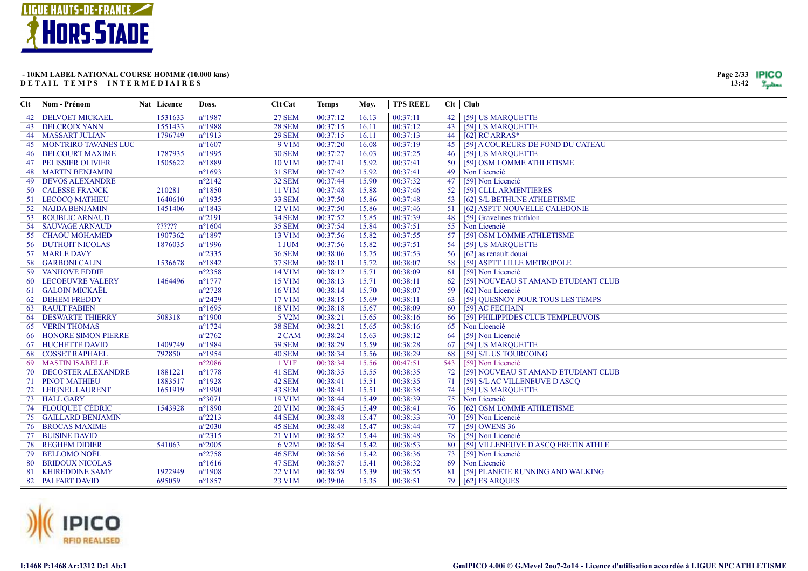



| Clt | Nom - Prénom                   | Nat Licence | Doss.            | <b>Clt</b> Cat | <b>Temps</b> | Mov.  | <b>TPS REEL</b> | Clt   Club |                                     |
|-----|--------------------------------|-------------|------------------|----------------|--------------|-------|-----------------|------------|-------------------------------------|
|     | 42 DELVOET MICKAEL             | 1531633     | $n^{\circ}$ 1987 | <b>27 SEM</b>  | 00:37:12     | 16.13 | 00:37:11        | 42         | [59] US MARQUETTE                   |
|     | <b>43 DELCROIX YANN</b>        | 1551433     | $n^{\circ}1988$  | <b>28 SEM</b>  | 00:37:15     | 16.11 | 00:37:12        | 43         | [59] US MARQUETTE                   |
|     | <b>44 MASSART JULIAN</b>       | 1796749     | $n^{\circ}1913$  | <b>29 SEM</b>  | 00:37:15     | 16.11 | 00:37:13        | 44         | [62] RC ARRAS*                      |
|     | <b>45 MONTRIRO TAVANES LUC</b> |             | $n^{\circ}1607$  | 9 V1M          | 00:37:20     | 16.08 | 00:37:19        | 45         | [59] A COUREURS DE FOND DU CATEAU   |
|     | <b>46 DELCOURT MAXIME</b>      | 1787935     | $n^{\circ}$ 1995 | <b>30 SEM</b>  | 00:37:27     | 16.03 | 00:37:25        | 46         | [59] US MARQUETTE                   |
|     | <b>47 PELISSIER OLIVIER</b>    | 1505622     | $n^{\circ}1889$  | 10 V1M         | 00:37:41     | 15.92 | 00:37:41        | 50         | [59] OSM LOMME ATHLETISME           |
|     | <b>48 MARTIN BENJAMIN</b>      |             | $n^{\circ}1693$  | <b>31 SEM</b>  | 00:37:42     | 15.92 | 00:37:41        | 49         | Non Licencié                        |
|     | <b>49 DEVOS ALEXANDRE</b>      |             | $n^{\circ}2142$  | 32 SEM         | 00:37:44     | 15.90 | 00:37:32        | 47         | [59] Non Licencié                   |
|     | 50 CALESSE FRANCK              | 210281      | $n^{\circ}1850$  | 11 V1M         | 00:37:48     | 15.88 | 00:37:46        | 52         | [59] CLLL ARMENTIERES               |
|     | 51 LECOCQ MATHIEU              | 1640610     | $n^{\circ}$ 1935 | <b>33 SEM</b>  | 00:37:50     | 15.86 | 00:37:48        | 53         | [62] S/L BETHUNE ATHLETISME         |
|     | 52 NAJDA BENJAMIN              | 1451406     | $n^{\circ}1843$  | 12 V1M         | 00:37:50     | 15.86 | 00:37:46        | 51         | [62] ASPTT NOUVELLE CALEDONIE       |
|     | 53 ROUBLIC ARNAUD              |             | $n^{\circ}2191$  | <b>34 SEM</b>  | 00:37:52     | 15.85 | 00:37:39        | 48         | [59] Gravelines triathlon           |
|     | 54 SAUVAGE ARNAUD              | ??????      | $n^{\circ}1604$  | <b>35 SEM</b>  | 00:37:54     | 15.84 | 00:37:51        | 55         | Non Licencié                        |
|     | 55 CHAOU MOHAMED               | 1907362     | $n^{\circ}1897$  | 13 V1M         | 00:37:56     | 15.82 | 00:37:55        | 57         | [59] OSM LOMME ATHLETISME           |
|     | <b>56 DUTHOIT NICOLAS</b>      | 1876035     | $n^{\circ}1996$  | 1 JUM          | 00:37:56     | 15.82 | 00:37:51        | 54         | [59] US MARQUETTE                   |
|     | 57 MARLE DAVY                  |             | $n^{\circ}2335$  | <b>36 SEM</b>  | 00:38:06     | 15.75 | 00:37:53        | 56         | [62] as renault douai               |
|     | 58 GARBONI CALIN               | 1536678     | $n^{\circ}1842$  | <b>37 SEM</b>  | 00:38:11     | 15.72 | 00:38:07        | 58         | [59] ASPTT LILLE METROPOLE          |
| 59  | <b>VANHOVE EDDIE</b>           |             | $n^{\circ}2358$  | 14 V1M         | 00:38:12     | 15.71 | 00:38:09        | 61         | [59] Non Licencié                   |
|     | <b>60 LECOEUVRE VALERY</b>     | 1464496     | $n^{\circ}1777$  | 15 V1M         | 00:38:13     | 15.71 | 00:38:11        | 62         | [59] NOUVEAU ST AMAND ETUDIANT CLUB |
|     | 61 GALOIN MICKAËL              |             | $n^{\circ}2728$  | 16 V1M         | 00:38:14     | 15.70 | 00:38:07        | 59         | [62] Non Licencié                   |
|     | 62 DEHEM FREDDY                |             | $n^{\circ}2429$  | 17 V1M         | 00:38:15     | 15.69 | 00:38:11        | 63         | [59] QUESNOY POUR TOUS LES TEMPS    |
|     | <b>63 RAULT FABIEN</b>         |             | $n^{\circ}1695$  | 18 V1M         | 00:38:18     | 15.67 | 00:38:09        | 60         | [59] AC FECHAIN                     |
|     | <b>64 DESWARTE THIERRY</b>     | 508318      | $n^{\circ}1900$  | 5 V2M          | 00:38:21     | 15.65 | 00:38:16        | 66         | [59] PHILIPPIDES CLUB TEMPLEUVOIS   |
|     | <b>65 VERIN THOMAS</b>         |             | $n^{\circ}1724$  | <b>38 SEM</b>  | 00:38:21     | 15.65 | 00:38:16        | 65         | Non Licencié                        |
|     | <b>66 HONORE SIMON PIERRE</b>  |             | $n^{\circ}2762$  | 2 CAM          | 00:38:24     | 15.63 | 00:38:12        | 64         | [59] Non Licencié                   |
|     | 67 HUCHETTE DAVID              | 1409749     | $n^{\circ}1984$  | <b>39 SEM</b>  | 00:38:29     | 15.59 | 00:38:28        | 67         | [59] US MARQUETTE                   |
|     | <b>68 COSSET RAPHAEL</b>       | 792850      | $n^{\circ}$ 1954 | <b>40 SEM</b>  | 00:38:34     | 15.56 | 00:38:29        | 68         | [59] S/L US TOURCOING               |
|     | 69 MASTIN ISABELLE             |             | $n^{\circ}2086$  | 1 V1F          | 00:38:34     | 15.56 | 00:47:51        | 543        | [59] Non Licencié                   |
|     | 70 DECOSTER ALEXANDRE          | 1881221     | $n^{\circ}1778$  | 41 SEM         | 00:38:35     | 15.55 | 00:38:35        | 72         | [59] NOUVEAU ST AMAND ETUDIANT CLUB |
|     | 71 PINOT MATHIEU               | 1883517     | $n^{\circ}1928$  | 42 SEM         | 00:38:41     | 15.51 | 00:38:35        | 71         | [59] S/L AC VILLENEUVE D'ASCO       |
|     | 72 LEIGNEL LAURENT             | 1651919     | $n^{\circ}1990$  | 43 SEM         | 00:38:41     | 15.51 | 00:38:38        | 74         | [59] US MARQUETTE                   |
|     | 73 HALL GARY                   |             | $n^{\circ}3071$  | 19 V1M         | 00:38:44     | 15.49 | 00:38:39        | 75         | Non Licencié                        |
|     | 74 FLOUQUET CÉDRIC             | 1543928     | $n^{\circ}1890$  | 20 V1M         | 00:38:45     | 15.49 | 00:38:41        | 76         | [62] OSM LOMME ATHLETISME           |
|     | 75 GAILLARD BENJAMIN           |             | $n^{\circ}2213$  | 44 SEM         | 00:38:48     | 15.47 | 00:38:33        | 70         | [59] Non Licencié                   |
|     | <b>76 BROCAS MAXIME</b>        |             | $n^{\circ}2030$  | 45 SEM         | 00:38:48     | 15.47 | 00:38:44        | 77         | [59] OWENS 36                       |
|     | 77 BUISINE DAVID               |             | $n^{\circ}2315$  | 21 V1M         | 00:38:52     | 15.44 | 00:38:48        | 78         | [59] Non Licencié                   |
|     | <b>78 REGHEM DIDIER</b>        | 541063      | $n^{\circ}2005$  | 6 V2M          | 00:38:54     | 15.42 | 00:38:53        | 80         | [59] VILLENEUVE D ASCQ FRETIN ATHLE |
|     | 79 BELLOMO NOËL                |             | $n^{\circ}2758$  | <b>46 SEM</b>  | 00:38:56     | 15.42 | 00:38:36        | 73         | [59] Non Licencié                   |
| 80  | <b>BRIDOUX NICOLAS</b>         |             | $n^{\circ}1616$  | <b>47 SEM</b>  | 00:38:57     | 15.41 | 00:38:32        | 69         | Non Licencié                        |
| 81  | <b>KHIREDDINE SAMY</b>         | 1922949     | $n^{\circ}1908$  | 22 V1M         | 00:38:59     | 15.39 | 00:38:55        | 81         | [59] PLANETE RUNNING AND WALKING    |
|     | 82 PALFART DAVID               | 695059      | $n^{\circ}1857$  | 23 V1M         | 00:39:06     | 15.35 | 00:38:51        | 79         | [62] ES AROUES                      |

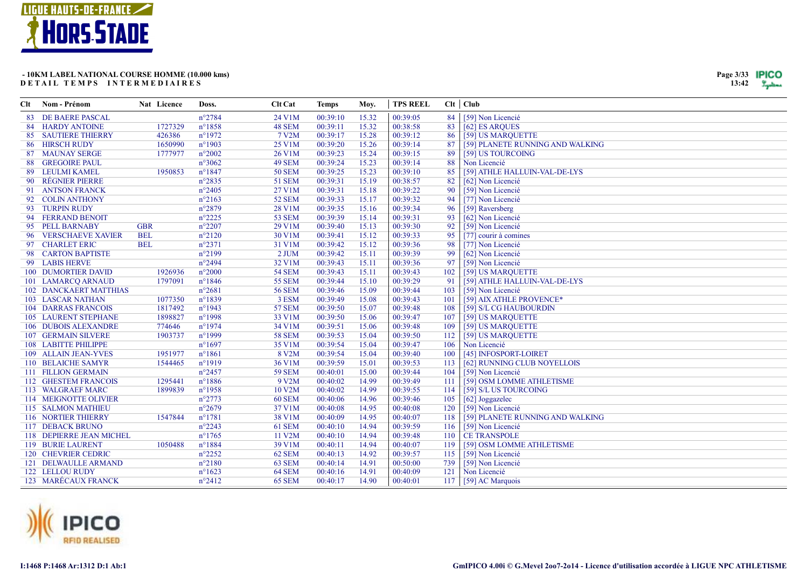



| Clt | Nom - Prénom                  | Nat Licence | Doss.            | Clt Cat       | <b>Temps</b> | Moy.  | <b>TPS REEL</b> |     | Clt   Club                       |
|-----|-------------------------------|-------------|------------------|---------------|--------------|-------|-----------------|-----|----------------------------------|
|     | 83 DE BAERE PASCAL            |             | $n^{\circ}2784$  | 24 V1M        | 00:39:10     | 15.32 | 00:39:05        | 84  | [59] Non Licencié                |
|     | 84 HARDY ANTOINE              | 1727329     | $n^{\circ}1858$  | <b>48 SEM</b> | 00:39:11     | 15.32 | 00:38:58        | 83  | [62] ES ARQUES                   |
|     | <b>85 SAUTIERE THIERRY</b>    | 426386      | $n^{\circ}1972$  | 7 V2M         | 00:39:17     | 15.28 | 00:39:12        | 86  | [59] US MARQUETTE                |
|     | 86 HIRSCH RUDY                | 1650990     | $n^{\circ}1903$  | 25 V1M        | 00:39:20     | 15.26 | 00:39:14        | 87  | [59] PLANETE RUNNING AND WALKING |
|     | 87 MAUNAY SERGE               | 1777977     | $n^{\circ}2002$  | 26 V1M        | 00:39:23     | 15.24 | 00:39:15        | 89  | [59] US TOURCOING                |
|     | <b>88 GREGOIRE PAUL</b>       |             | $n^{\circ}3062$  | 49 SEM        | 00:39:24     | 15.23 | 00:39:14        | 88  | Non Licencié                     |
|     | 89 LEULMI KAMEL               | 1950853     | $n^{\circ}1847$  | <b>50 SEM</b> | 00:39:25     | 15.23 | 00:39:10        | 85  | [59] ATHLE HALLUIN-VAL-DE-LYS    |
|     | 90 RÉGNIER PIERRE             |             | $n^{\circ}2835$  | 51 SEM        | 00:39:31     | 15.19 | 00:38:57        | 82  | [62] Non Licencié                |
|     | 91 ANTSON FRANCK              |             | $n^{\circ}2405$  | 27 V1M        | 00:39:31     | 15.18 | 00:39:22        | 90  | [59] Non Licencié                |
|     | 92 COLIN ANTHONY              |             | $n^{\circ}2163$  | <b>52 SEM</b> | 00:39:33     | 15.17 | 00:39:32        | 94  | [77] Non Licencié                |
|     | 93 TURPIN RUDY                |             | $n^{\circ}2879$  | 28 V1M        | 00:39:35     | 15.16 | 00:39:34        | 96  | [59] Raversberg                  |
|     | 94 FERRAND BENOIT             |             | $n^{\circ}2225$  | <b>53 SEM</b> | 00:39:39     | 15.14 | 00:39:31        | 93  | [62] Non Licencié                |
|     | 95 PELL BARNABY               | <b>GBR</b>  | $n^{\circ}2207$  | 29 V1M        | 00:39:40     | 15.13 | 00:39:30        | 92  | [59] Non Licencié                |
|     | 96 VERSCHAEVE XAVIER          | <b>BEL</b>  | $n^{\circ}2120$  | 30 V1M        | 00:39:41     | 15.12 | 00:39:33        | 95  | [77] courir à comines            |
|     | 97 CHARLET ERIC               | <b>BEL</b>  | $n^{\circ}2371$  | 31 V1M        | 00:39:42     | 15.12 | 00:39:36        | 98  | [77] Non Licencié                |
|     | 98 CARTON BAPTISTE            |             | $n^{\circ}2199$  | $2$ JUM       | 00:39:42     | 15.11 | 00:39:39        | 99  | [62] Non Licencié                |
|     | 99 LABIS HERVE                |             | $n^{\circ}2494$  | 32 V1M        | 00:39:43     | 15.11 | 00:39:36        | 97  | [59] Non Licencié                |
|     | 100 DUMORTIER DAVID           | 1926936     | $n^{\circ}2000$  | <b>54 SEM</b> | 00:39:43     | 15.11 | 00:39:43        | 102 | [59] US MARQUETTE                |
|     | 101 LAMARCQ ARNAUD            | 1797091     | $n^{\circ}1846$  | 55 SEM        | 00:39:44     | 15.10 | 00:39:29        | 91  | [59] ATHLE HALLUIN-VAL-DE-LYS    |
|     | <b>102 DANCKAERT MATTHIAS</b> |             | $n^{\circ}2681$  | <b>56 SEM</b> | 00:39:46     | 15.09 | 00:39:44        | 103 | [59] Non Licencié                |
|     | 103 LASCAR NATHAN             | 1077350     | $n^{\circ}1839$  | 3 ESM         | 00:39:49     | 15.08 | 00:39:43        | 101 | [59] AIX ATHLE PROVENCE*         |
|     | <b>104 DARRAS FRANCOIS</b>    | 1817492     | $n^{\circ}$ 1943 | <b>57 SEM</b> | 00:39:50     | 15.07 | 00:39:48        | 108 | [59] S/L CG HAUBOURDIN           |
|     | <b>105 LAURENT STEPHANE</b>   | 1898827     | $n^{\circ}1998$  | 33 V1M        | 00:39:50     | 15.06 | 00:39:47        | 107 | [59] US MARQUETTE                |
|     | 106 DUBOIS ALEXANDRE          | 774646      | $n^{\circ}1974$  | 34 V1M        | 00:39:51     | 15.06 | 00:39:48        | 109 | [59] US MARQUETTE                |
|     | <b>107 GERMAIN SILVERE</b>    | 1903737     | $n^{\circ}1999$  | <b>58 SEM</b> | 00:39:53     | 15.04 | 00:39:50        | 112 | [59] US MARQUETTE                |
|     | 108 LABITTE PHILIPPE          |             | $n^{\circ}1697$  | 35 V1M        | 00:39:54     | 15.04 | 00:39:47        | 106 | Non Licencié                     |
|     | 109 ALLAIN JEAN-YVES          | 1951977     | $n^{\circ}1861$  | 8 V2M         | 00:39:54     | 15.04 | 00:39:40        | 100 | [45] INFOSPORT-LOIRET            |
|     | 110 BELAICHE SAMYR            | 1544465     | $n^{\circ}1919$  | 36 V1M        | 00:39:59     | 15.01 | 00:39:53        | 113 | [62] RUNNING CLUB NOYELLOIS      |
|     | 111 FILLION GERMAIN           |             | $n^{\circ}2457$  | <b>59 SEM</b> | 00:40:01     | 15.00 | 00:39:44        | 104 | [59] Non Licencié                |
|     | 112 GHESTEM FRANCOIS          | 1295441     | $n^{\circ}1886$  | 9 V2M         | 00:40:02     | 14.99 | 00:39:49        | 111 | [59] OSM LOMME ATHLETISME        |
|     | 113 WALGRAEF MARC             | 1899839     | $n^{\circ}1958$  | 10 V2M        | 00:40:02     | 14.99 | 00:39:55        | 114 | [59] S/L US TOURCOING            |
|     | 114 MEIGNOTTE OLIVIER         |             | $n^{\circ}2773$  | <b>60 SEM</b> | 00:40:06     | 14.96 | 00:39:46        | 105 | [62] Joggazelec                  |
|     | 115 SALMON MATHIEU            |             | $n^{\circ}2679$  | 37 V1M        | 00:40:08     | 14.95 | 00:40:08        | 120 | [59] Non Licencié                |
|     | 116 NORTIER THIERRY           | 1547844     | $n^{\circ}1781$  | 38 V1M        | 00:40:09     | 14.95 | 00:40:07        | 118 | [59] PLANETE RUNNING AND WALKING |
|     | 117 DEBACK BRUNO              |             | $n^{\circ}2243$  | <b>61 SEM</b> | 00:40:10     | 14.94 | 00:39:59        | 116 | [59] Non Licencié                |
|     | 118 DEPIERRE JEAN MICHEL      |             | $n^{\circ}1765$  | 11 V2M        | 00:40:10     | 14.94 | 00:39:48        | 110 | <b>CE TRANSPOLE</b>              |
|     | 119 BURIE LAURENT             | 1050488     | $n^{\circ}1884$  | 39 V1M        | 00:40:11     | 14.94 | 00:40:07        | 119 | [59] OSM LOMME ATHLETISME        |
|     | 120 CHEVRIER CEDRIC           |             | $n^{\circ}2252$  | 62 SEM        | 00:40:13     | 14.92 | 00:39:57        | 115 | [59] Non Licencié                |
|     | 121 DELWAULLE ARMAND          |             | $n^{\circ}2180$  | 63 SEM        | 00:40:14     | 14.91 | 00:50:00        | 739 | [59] Non Licencié                |
|     | 122 LELLOU RUDY               |             | $n^{\circ}1623$  | 64 SEM        | 00:40:16     | 14.91 | 00:40:09        | 121 | Non Licencié                     |
|     | 123 MARÉCAUX FRANCK           |             | $n^{\circ}2412$  | 65 SEM        | 00:40:17     | 14.90 | 00:40:01        | 117 | [59] AC Marquois                 |

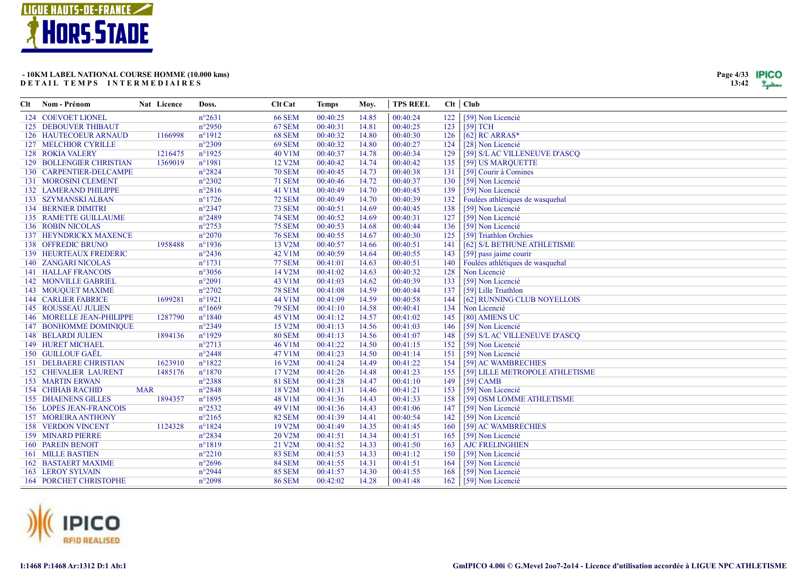



| Clt | Nom - Prénom                    | Nat Licence | Doss.           | <b>Clt Cat</b>      | <b>Temps</b> | Moy.  | <b>TPS REEL</b> |     | $Clt$ Club                       |
|-----|---------------------------------|-------------|-----------------|---------------------|--------------|-------|-----------------|-----|----------------------------------|
|     | 124 COEVOET LIONEL              |             | $n^{\circ}2631$ | <b>66 SEM</b>       | 00:40:25     | 14.85 | 00:40:24        | 122 | [59] Non Licencié                |
|     | <b>125 DEBOUVER THIBAUT</b>     |             | $n^{\circ}2950$ | <b>67 SEM</b>       | 00:40:31     | 14.81 | 00:40:25        | 123 | [59] TCH                         |
|     | 126 HAUTECOEUR ARNAUD           | 1166998     | $n^{\circ}1912$ | <b>68 SEM</b>       | 00:40:32     | 14.80 | 00:40:30        | 126 | $[62]$ RC ARRAS*                 |
|     | <b>127 MELCHIOR CYRILLE</b>     |             | $n^{\circ}2309$ | <b>69 SEM</b>       | 00:40:32     | 14.80 | 00:40:27        | 124 | [28] Non Licencié                |
|     | 128 ROKIA VALERY                | 1216475     | $n^{\circ}1925$ | 40 V1M              | 00:40:37     | 14.78 | 00:40:34        | 129 | [59] S/LAC VILLENEUVE D'ASCQ     |
|     | <b>129 BOLLENGIER CHRISTIAN</b> | 1369019     | $n^{\circ}1981$ | 12 V2M              | 00:40:42     | 14.74 | 00:40:42        | 135 | [59] US MARQUETTE                |
|     | 130 CARPENTIER-DELCAMPE         |             | $n^{\circ}2824$ | <b>70 SEM</b>       | 00:40:45     | 14.73 | 00:40:38        | 131 | [59] Courir à Comines            |
|     | 131 MOROSINI CLEMENT            |             | $n^{\circ}2302$ | <b>71 SEM</b>       | 00:40:46     | 14.72 | 00:40:37        | 130 | [59] Non Licencié                |
|     | 132 LAMERAND PHILIPPE           |             | $n^{\circ}2816$ | 41 V1M              | 00:40:49     | 14.70 | 00:40:45        | 139 | [59] Non Licencié                |
|     | 133 SZYMANSKI ALBAN             |             | $n^{\circ}1726$ | <b>72 SEM</b>       | 00:40:49     | 14.70 | 00:40:39        | 132 | Foulées athlétiques de wasquehal |
|     | <b>134 BERNIER DIMITRI</b>      |             | $n^{\circ}2347$ | <b>73 SEM</b>       | 00:40:51     | 14.69 | 00:40:45        | 138 | [59] Non Licencié                |
|     | <b>135 RAMETTE GUILLAUME</b>    |             | $n^{\circ}2489$ | <b>74 SEM</b>       | 00:40:52     | 14.69 | 00:40:31        | 127 | [59] Non Licencié                |
|     | 136 ROBIN NICOLAS               |             | $n^{\circ}2753$ | <b>75 SEM</b>       | 00:40:53     | 14.68 | 00:40:44        | 136 | [59] Non Licencié                |
|     | 137 HEYNDRICKX MAXENCE          |             | $n^{\circ}2070$ | <b>76 SEM</b>       | 00:40:55     | 14.67 | 00:40:30        | 125 | [59] Triathlon Orchies           |
|     | 138 OFFREDIC BRUNO              | 1958488     | $n^{\circ}1936$ | 13 V2M              | 00:40:57     | 14.66 | 00:40:51        | 141 | [62] S/L BETHUNE ATHLETISME      |
|     | 139 HEURTEAUX FREDERIC          |             | $n^{\circ}2436$ | 42 V1M              | 00:40:59     | 14.64 | 00:40:55        | 143 | [59] pass jaime courir           |
|     | 140 ZANGARI NICOLAS             |             | $n^{\circ}1731$ | <b>77 SEM</b>       | 00:41:01     | 14.63 | 00:40:51        | 140 | Foulées athlétiques de wasquehal |
|     | <b>141 HALLAF FRANCOIS</b>      |             | $n^{\circ}3056$ | 14 V2M              | 00:41:02     | 14.63 | 00:40:32        | 128 | Non Licencié                     |
|     | 142 MONVILLE GABRIEL            |             | $n^{\circ}2091$ | 43 V1M              | 00:41:03     | 14.62 | 00:40:39        | 133 | [59] Non Licencié                |
|     | 143 MOUQUET MAXIME              |             | $n^{\circ}2702$ | <b>78 SEM</b>       | 00:41:08     | 14.59 | 00:40:44        | 137 | [59] Lille Triathlon             |
|     | <b>144 CARLIER FABRICE</b>      | 1699281     | $n^{\circ}1921$ | 44 V1M              | 00:41:09     | 14.59 | 00:40:58        | 144 | [62] RUNNING CLUB NOYELLOIS      |
|     | <b>145 ROUSSEAU JULIEN</b>      |             | $n^{\circ}1669$ | <b>79 SEM</b>       | 00:41:10     | 14.58 | 00:40:41        | 134 | Non Licencié                     |
|     | 146 MORELLE JEAN-PHILIPPE       | 1287790     | $n^{\circ}1840$ | 45 V1M              | 00:41:12     | 14.57 | 00:41:02        | 145 | [80] AMIENS UC                   |
|     | 147 BONHOMME DOMINIQUE          |             | $n^{\circ}2349$ | 15 V2M              | 00:41:13     | 14.56 | 00:41:03        | 146 | [59] Non Licencié                |
|     | <b>148 BELARDI JULIEN</b>       | 1894136     | $n^{\circ}1929$ | <b>80 SEM</b>       | 00:41:13     | 14.56 | 00:41:07        | 148 | [59] S/L AC VILLENEUVE D'ASCQ    |
|     | 149 HURET MICHAEL               |             | $n^{\circ}2713$ | 46 V1M              | 00:41:22     | 14.50 | 00:41:15        | 152 | [59] Non Licencié                |
|     | 150 GUILLOUF GAËL               |             | $n^{\circ}2448$ | 47 V1M              | 00:41:23     | 14.50 | 00:41:14        | 151 | [59] Non Licencié                |
|     | <b>151 DELBAERE CHRISTIAN</b>   | 1623910     | $n^{\circ}1822$ | 16 V2M              | 00:41:24     | 14.49 | 00:41:22        | 154 | [59] AC WAMBRECHIES              |
|     | <b>152 CHEVALIER LAURENT</b>    | 1485176     | $n^{\circ}1870$ | 17 V2M              | 00:41:26     | 14.48 | 00:41:23        | 155 | [59] LILLE METROPOLE ATHLETISME  |
|     | <b>153 MARTIN ERWAN</b>         |             | $n^{\circ}2388$ | <b>81 SEM</b>       | 00:41:28     | 14.47 | 00:41:10        | 149 | $[59]$ CAMB                      |
|     | <b>154 CHIHAB RACHID</b>        | <b>MAR</b>  | $n^{\circ}2848$ | 18 V2M              | 00:41:31     | 14.46 | 00:41:21        | 153 | [59] Non Licencié                |
|     | <b>155 DHAENENS GILLES</b>      | 1894357     | $n^{\circ}1895$ | 48 V1M              | 00:41:36     | 14.43 | 00:41:33        | 158 | [59] OSM LOMME ATHLETISME        |
|     | <b>156 LOPES JEAN-FRANCOIS</b>  |             | $n^{\circ}2532$ | 49 V1M              | 00:41:36     | 14.43 | 00:41:06        | 147 | [59] Non Licencié                |
|     | 157 MOREIRA ANTHONY             |             | $n^{\circ}2165$ | <b>82 SEM</b>       | 00:41:39     | 14.41 | 00:40:54        | 142 | [59] Non Licencié                |
|     | <b>158 VERDON VINCENT</b>       | 1124328     | $n^{\circ}1824$ | 19 V <sub>2</sub> M | 00:41:49     | 14.35 | 00:41:45        | 160 | [59] AC WAMBRECHIES              |
|     | <b>159 MINARD PIERRE</b>        |             | $n^{\circ}2834$ | 20 V2M              | 00:41:51     | 14.34 | 00:41:51        | 165 | [59] Non Licencié                |
|     | <b>160 PAREIN BENOIT</b>        |             | $n^{\circ}1819$ | 21 V2M              | 00:41:52     | 14.33 | 00:41:50        | 163 | <b>AJC FRELINGHIEN</b>           |
|     | 161 MILLE BASTIEN               |             | $n^{\circ}2210$ | <b>83 SEM</b>       | 00:41:53     | 14.33 | 00:41:12        | 150 | [59] Non Licencié                |
|     | <b>162 BASTAERT MAXIME</b>      |             | $n^{\circ}2696$ | <b>84 SEM</b>       | 00:41:55     | 14.31 | 00:41:51        | 164 | [59] Non Licencié                |
|     | <b>163 LEROY SYLVAIN</b>        |             | $n^{\circ}2944$ | <b>85 SEM</b>       | 00:41:57     | 14.30 | 00:41:55        | 168 | [59] Non Licencié                |
|     | <b>164 PORCHET CHRISTOPHE</b>   |             | $n^{\circ}2098$ | <b>86 SEM</b>       | 00:42:02     | 14.28 | 00:41:48        | 162 | [59] Non Licencié                |

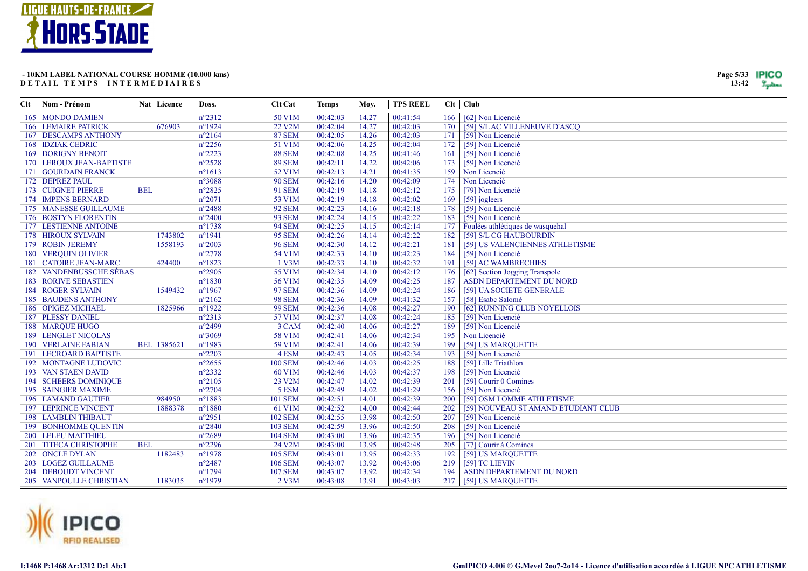



| Clt | Nom - Prénom                   | Nat Licence | Doss.           | <b>Clt Cat</b>      | <b>Temps</b> | Moy.  | <b>TPS REEL</b> |     | $Clt$ $Club$                        |
|-----|--------------------------------|-------------|-----------------|---------------------|--------------|-------|-----------------|-----|-------------------------------------|
|     | 165 MONDO DAMIEN               |             | $n^{\circ}2312$ | 50 V1M              | 00:42:03     | 14.27 | 00:41:54        | 166 | [62] Non Licencié                   |
|     | <b>166 LEMAIRE PATRICK</b>     | 676903      | $n^{\circ}1924$ | 22 V <sub>2</sub> M | 00:42:04     | 14.27 | 00:42:03        | 170 | [59] S/L AC VILLENEUVE D'ASCQ       |
|     | <b>167 DESCAMPS ANTHONY</b>    |             | $n^{\circ}2164$ | <b>87 SEM</b>       | 00:42:05     | 14.26 | 00:42:03        | 171 | [59] Non Licencié                   |
|     | <b>168 IDZIAK CEDRIC</b>       |             | $n^{\circ}2256$ | 51 V1M              | 00:42:06     | 14.25 | 00:42:04        | 172 | [59] Non Licencié                   |
|     | <b>169 DORIGNY BENOIT</b>      |             | $n^{\circ}2223$ | <b>88 SEM</b>       | 00:42:08     | 14.25 | 00:41:46        | 161 | [59] Non Licencié                   |
|     | 170 LEROUX JEAN-BAPTISTE       |             | $n^{\circ}2528$ | <b>89 SEM</b>       | 00:42:11     | 14.22 | 00:42:06        | 173 | [59] Non Licencié                   |
|     | 171 GOURDAIN FRANCK            |             | $n^{\circ}1613$ | 52 V1M              | 00:42:13     | 14.21 | 00:41:35        | 159 | Non Licencié                        |
|     | 172 DEPREZ PAUL                |             | $n^{\circ}3088$ | <b>90 SEM</b>       | 00:42:16     | 14.20 | 00:42:09        | 174 | Non Licencié                        |
|     | <b>173 CUIGNET PIERRE</b>      | <b>BEL</b>  | $n^{\circ}2825$ | <b>91 SEM</b>       | 00:42:19     | 14.18 | 00:42:12        | 175 | [79] Non Licencié                   |
|     | 174 IMPENS BERNARD             |             | $n^{\circ}2071$ | 53 V1M              | 00:42:19     | 14.18 | 00:42:02        | 169 | [59] jogleers                       |
|     | 175 MANESSE GUILLAUME          |             | $n^{\circ}2488$ | <b>92 SEM</b>       | 00:42:23     | 14.16 | 00:42:18        | 178 | [59] Non Licencié                   |
|     | 176 BOSTYN FLORENTIN           |             | $n^{\circ}2400$ | <b>93 SEM</b>       | 00:42:24     | 14.15 | 00:42:22        | 183 | [59] Non Licencié                   |
|     | 177 LESTIENNE ANTOINE          |             | $n^{\circ}1738$ | <b>94 SEM</b>       | 00:42:25     | 14.15 | 00:42:14        | 177 | Foulées athlétiques de wasquehal    |
|     | 178 HIROUX SYLVAIN             | 1743802     | $n^{\circ}1941$ | <b>95 SEM</b>       | 00:42:26     | 14.14 | 00:42:22        | 182 | [59] S/L CG HAUBOURDIN              |
|     | 179 ROBIN JEREMY               | 1558193     | $n^{\circ}2003$ | <b>96 SEM</b>       | 00:42:30     | 14.12 | 00:42:21        | 181 | [59] US VALENCIENNES ATHLETISME     |
|     | <b>180 VERQUIN OLIVIER</b>     |             | $n^{\circ}2778$ | 54 V1M              | 00:42:33     | 14.10 | 00:42:23        | 184 | [59] Non Licencié                   |
|     | 181 CATOIRE JEAN-MARC          | 424400      | $n^{\circ}1823$ | 1 V3M               | 00:42:33     | 14.10 | 00:42:32        | 191 | [59] AC WAMBRECHIES                 |
|     | <b>182 VANDENBUSSCHE SÉBAS</b> |             | $n^{\circ}2905$ | 55 V1M              | 00:42:34     | 14.10 | 00:42:12        | 176 | [62] Section Jogging Transpole      |
|     | <b>183 RORIVE SEBASTIEN</b>    |             | $n^{\circ}1830$ | 56 V1M              | 00:42:35     | 14.09 | 00:42:25        | 187 | ASDN DEPARTEMENT DU NORD            |
|     | <b>184 ROGER SYLVAIN</b>       | 1549432     | $n^{\circ}1967$ | <b>97 SEM</b>       | 00:42:36     | 14.09 | 00:42:24        | 186 | [59] UA SOCIETE GENERALE            |
|     | <b>185 BAUDENS ANTHONY</b>     |             | $n^{\circ}2162$ | <b>98 SEM</b>       | 00:42:36     | 14.09 | 00:41:32        | 157 | [58] Esabc Salomé                   |
|     | 186 OPIGEZ MICHAEL             | 1825966     | $n^{\circ}1922$ | <b>99 SEM</b>       | 00:42:36     | 14.08 | 00:42:27        | 190 | [62] RUNNING CLUB NOYELLOIS         |
|     | <b>187 PLESSY DANIEL</b>       |             | $n^{\circ}2313$ | 57 V1M              | 00:42:37     | 14.08 | 00:42:24        | 185 | [59] Non Licencié                   |
|     | 188 MARQUE HUGO                |             | $n^{\circ}2499$ | 3 CAM               | 00:42:40     | 14.06 | 00:42:27        | 189 | [59] Non Licencié                   |
|     | <b>189 LENGLET NICOLAS</b>     |             | $n^{\circ}3069$ | 58 V1M              | 00:42:41     | 14.06 | 00:42:34        | 195 | Non Licencié                        |
|     | <b>190 VERLAINE FABIAN</b>     | BEL 1385621 | $n^{\circ}1983$ | 59 V1M              | 00:42:41     | 14.06 | 00:42:39        | 199 | [59] US MARQUETTE                   |
|     | 191 LECROARD BAPTISTE          |             | $n^{\circ}2203$ | 4 ESM               | 00:42:43     | 14.05 | 00:42:34        | 193 | [59] Non Licencié                   |
|     | 192 MONTAGNE LUDOVIC           |             | $n^{\circ}2655$ | <b>100 SEM</b>      | 00:42:46     | 14.03 | 00:42:25        | 188 | [59] Lille Triathlon                |
|     | 193 VAN STAEN DAVID            |             | $n^{\circ}2332$ | 60 V1M              | 00:42:46     | 14.03 | 00:42:37        | 198 | [59] Non Licencié                   |
|     | <b>194 SCHEERS DOMINIQUE</b>   |             | $n^{\circ}2105$ | 23 V2M              | 00:42:47     | 14.02 | 00:42:39        | 201 | [59] Courir 0 Comines               |
|     | <b>195 SAINGIER MAXIME</b>     |             | $n^{\circ}2704$ | 5 ESM               | 00:42:49     | 14.02 | 00:41:29        | 156 | [59] Non Licencié                   |
|     | <b>196 LAMAND GAUTIER</b>      | 984950      | $n^{\circ}1883$ | <b>101 SEM</b>      | 00:42:51     | 14.01 | 00:42:39        | 200 | [59] OSM LOMME ATHLETISME           |
|     | <b>197 LEPRINCE VINCENT</b>    | 1888378     | $n^{\circ}1880$ | 61 V1M              | 00:42:52     | 14.00 | 00:42:44        | 202 | [59] NOUVEAU ST AMAND ETUDIANT CLUB |
|     | <b>198 LAMBLIN THIBAUT</b>     |             | $n^{\circ}2951$ | <b>102 SEM</b>      | 00:42:55     | 13.98 | 00:42:50        | 207 | [59] Non Licencié                   |
|     | <b>199 BONHOMME QUENTIN</b>    |             | $n^{\circ}2840$ | <b>103 SEM</b>      | 00:42:59     | 13.96 | 00:42:50        | 208 | [59] Non Licencié                   |
|     | 200 LELEU MATTHIEU             |             | $n^{\circ}2689$ | <b>104 SEM</b>      | 00:43:00     | 13.96 | 00:42:35        | 196 | [59] Non Licencié                   |
|     | 201 TITECA CHRISTOPHE          | <b>BEL</b>  | $n^{\circ}2296$ | 24 V2M              | 00:43:00     | 13.95 | 00:42:48        | 205 | [77] Courir à Comines               |
|     | 202 ONCLE DYLAN                | 1182483     | $n^{\circ}1978$ | <b>105 SEM</b>      | 00:43:01     | 13.95 | 00:42:33        | 192 | [59] US MARQUETTE                   |
|     | 203 LOGEZ GUILLAUME            |             | $n^{\circ}2487$ | <b>106 SEM</b>      | 00:43:07     | 13.92 | 00:43:06        | 219 | [59] TC LIEVIN                      |
|     | 204 DEBOUDT VINCENT            |             | $n^{\circ}1794$ | <b>107 SEM</b>      | 00:43:07     | 13.92 | 00:42:34        | 194 | ASDN DEPARTEMENT DU NORD            |
|     | 205 VANPOULLE CHRISTIAN        | 1183035     | $n^{\circ}1979$ | 2 V3M               | 00:43:08     | 13.91 | 00:43:03        | 217 | [59] US MARQUETTE                   |

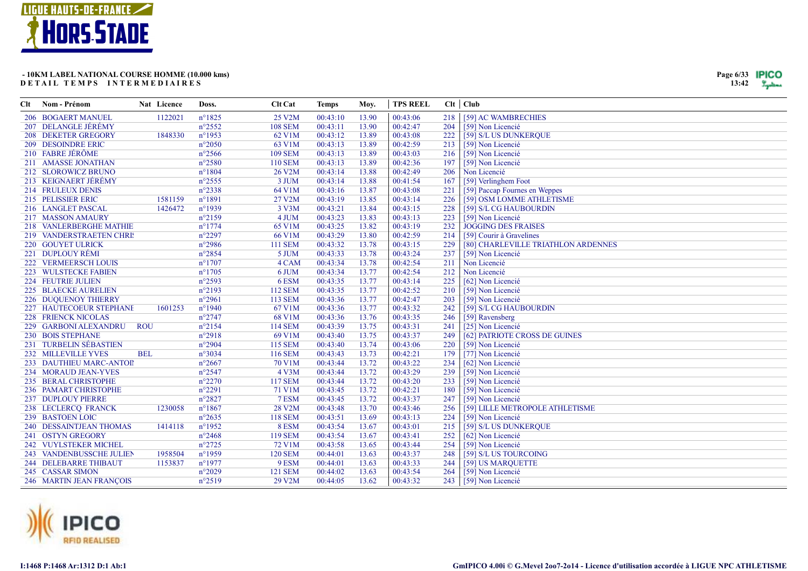



| Clt | Nom - Prénom               | Nat Licence | Doss.            | Clt Cat        | <b>Temps</b> | Moy.  | <b>TPS REEL</b> |     | $Clt$ $Club$                        |
|-----|----------------------------|-------------|------------------|----------------|--------------|-------|-----------------|-----|-------------------------------------|
|     | 206 BOGAERT MANUEL         | 1122021     | $n^{\circ}1825$  | 25 V2M         | 00:43:10     | 13.90 | 00:43:06        | 218 | [59] AC WAMBRECHIES                 |
|     | 207 DELANGLE JÉRÉMY        |             | $n^{\circ}2552$  | <b>108 SEM</b> | 00:43:11     | 13.90 | 00:42:47        | 204 | [59] Non Licencié                   |
|     | 208 DEKETER GREGORY        | 1848330     | $n^{\circ}$ 1953 | 62 V1M         | 00:43:12     | 13.89 | 00:43:08        | 222 | [59] S/L US DUNKERQUE               |
|     | 209 DESOINDRE ERIC         |             | $n^{\circ}2050$  | 63 V1M         | 00:43:13     | 13.89 | 00:42:59        | 213 | [59] Non Licencié                   |
|     | 210 FABRE JÉRÔME           |             | $n^{\circ}2566$  | <b>109 SEM</b> | 00:43:13     | 13.89 | 00:43:03        | 216 | [59] Non Licencié                   |
|     | 211 AMASSE JONATHAN        |             | $n^{\circ}2580$  | <b>110 SEM</b> | 00:43:13     | 13.89 | 00:42:36        | 197 | [59] Non Licencié                   |
|     | 212 SLOROWICZ BRUNO        |             | $n^{\circ}1804$  | 26 V2M         | 00:43:14     | 13.88 | 00:42:49        | 206 | Non Licencié                        |
|     | 213 KEIGNAERT JÉRÉMY       |             | $n^{\circ}2555$  | 3 JUM          | 00:43:14     | 13.88 | 00:41:54        | 167 | [59] Verlinghem Foot                |
|     | 214 FRULEUX DENIS          |             | $n^{\circ}2338$  | 64 V1M         | 00:43:16     | 13.87 | 00:43:08        | 221 | [59] Paccap Fournes en Weppes       |
|     | 215 PELISSIER ERIC         | 1581159     | $n^{\circ}1891$  | 27 V2M         | 00:43:19     | 13.85 | 00:43:14        | 226 | [59] OSM LOMME ATHLETISME           |
|     | 216 LANGLET PASCAL         | 1426472     | $n^{\circ}1939$  | 3 V3M          | 00:43:21     | 13.84 | 00:43:15        | 228 | [59] S/L CG HAUBOURDIN              |
|     | 217 MASSON AMAURY          |             | $n^{\circ}2159$  | 4 JUM          | 00:43:23     | 13.83 | 00:43:13        | 223 | [59] Non Licencié                   |
|     | 218 VANLERBERGHE MATHIE    |             | $n^{\circ}1774$  | 65 V1M         | 00:43:25     | 13.82 | 00:43:19        | 232 | <b>JOGGING DES FRAISES</b>          |
|     | 219 VANDERSTRAETEN CHRIS   |             | $n^{\circ}2297$  | 66 V1M         | 00:43:29     | 13.80 | 00:42:59        | 214 | [59] Courir à Gravelines            |
|     | 220 GOUYET ULRICK          |             | $n^{\circ}2986$  | <b>111 SEM</b> | 00:43:32     | 13.78 | 00:43:15        | 229 | [80] CHARLEVILLE TRIATHLON ARDENNES |
|     | 221 DUPLOUY RÉMI           |             | $n^{\circ}2854$  | 5 JUM          | 00:43:33     | 13.78 | 00:43:24        | 237 | [59] Non Licencié                   |
|     | 222 VERMEERSCH LOUIS       |             | $n^{\circ}1707$  | 4 CAM          | 00:43:34     | 13.78 | 00:42:54        | 211 | Non Licencié                        |
|     | 223 WULSTECKE FABIEN       |             | $n^{\circ}1705$  | 6 JUM          | 00:43:34     | 13.77 | 00:42:54        | 212 | Non Licencié                        |
|     | 224 FEUTRIE JULIEN         |             | $n^{\circ}2593$  | 6ESM           | 00:43:35     | 13.77 | 00:43:14        | 225 | [62] Non Licencié                   |
|     | 225 BLAECKE AURELIEN       |             | $n^{\circ}2193$  | <b>112 SEM</b> | 00:43:35     | 13.77 | 00:42:52        | 210 | [59] Non Licencié                   |
|     | 226 DUQUENOY THIERRY       |             | $n^{\circ}2961$  | 113 SEM        | 00:43:36     | 13.77 | 00:42:47        | 203 | [59] Non Licencié                   |
|     | 227 HAUTECOEUR STEPHANE    | 1601253     | $n^{\circ}1940$  | 67 V1M         | 00:43:36     | 13.77 | 00:43:32        | 242 | [59] S/L CG HAUBOURDIN              |
|     | <b>228 FRIENCK NICOLAS</b> |             | $n^{\circ}2747$  | 68 V1M         | 00:43:36     | 13.76 | 00:43:35        | 246 | [59] Ravensberg                     |
|     | 229 GARBONI ALEXANDRU      | <b>ROU</b>  | $n^{\circ}2154$  | <b>114 SEM</b> | 00:43:39     | 13.75 | 00:43:31        | 241 | [25] Non Licencié                   |
|     | 230 BOIS STEPHANE          |             | $n^{\circ}2918$  | 69 V1M         | 00:43:40     | 13.75 | 00:43:37        | 249 | [62] PATRIOTE CROSS DE GUINES       |
|     | 231 TURBELIN SÉBASTIEN     |             | $n^{\circ}2904$  | 115 SEM        | 00:43:40     | 13.74 | 00:43:06        | 220 | [59] Non Licencié                   |
|     | 232 MILLEVILLE YVES        | <b>BEL</b>  | $n^{\circ}3034$  | 116 SEM        | 00:43:43     | 13.73 | 00:42:21        | 179 | [77] Non Licencié                   |
|     | 233 DAUTHIEU MARC-ANTOI    |             | $n^{\circ}2667$  | 70 V1M         | 00:43:44     | 13.72 | 00:43:22        | 234 | [62] Non Licencié                   |
|     | 234 MORAUD JEAN-YVES       |             | $n^{\circ}2547$  | 4 V3M          | 00:43:44     | 13.72 | 00:43:29        | 239 | [59] Non Licencié                   |
|     | 235 BERAL CHRISTOPHE       |             | $n^{\circ}2270$  | <b>117 SEM</b> | 00:43:44     | 13.72 | 00:43:20        | 233 | [59] Non Licencié                   |
|     | 236 PAMART CHRISTOPHE      |             | $n^{\circ}2291$  | 71 V1M         | 00:43:45     | 13.72 | 00:42:21        | 180 | [59] Non Licencié                   |
|     | 237 DUPLOUY PIERRE         |             | $n^{\circ}2827$  | 7 ESM          | 00:43:45     | 13.72 | 00:43:37        | 247 | [59] Non Licencié                   |
|     | 238 LECLERCQ FRANCK        | 1230058     | $n^{\circ}1867$  | <b>28 V2M</b>  | 00:43:48     | 13.70 | 00:43:46        | 256 | [59] LILLE METROPOLE ATHLETISME     |
|     | 239 BASTOEN LOIC           |             | $n^{\circ}2635$  | <b>118 SEM</b> | 00:43:51     | 13.69 | 00:43:13        | 224 | [59] Non Licencié                   |
|     | 240 DESSAINTJEAN THOMAS    | 1414118     | $n^{\circ}$ 1952 | 8 ESM          | 00:43:54     | 13.67 | 00:43:01        | 215 | [59] S/L US DUNKERQUE               |
|     | 241 OSTYN GREGORY          |             | $n^{\circ}2468$  | <b>119 SEM</b> | 00:43:54     | 13.67 | 00:43:41        | 252 | [62] Non Licencié                   |
|     | 242 VUYLSTEKER MICHEL      |             | $n^{\circ}2725$  | 72 V1M         | 00:43:58     | 13.65 | 00:43:44        | 254 | [59] Non Licencié                   |
|     | 243 VANDENBUSSCHE JULIEN   | 1958504     | $n^{\circ}1959$  | <b>120 SEM</b> | 00:44:01     | 13.63 | 00:43:37        | 248 | [59] S/L US TOURCOING               |
|     | 244 DELEBARRE THIBAUT      | 1153837     | $n^{\circ}1977$  | 9 ESM          | 00:44:01     | 13.63 | 00:43:33        | 244 | [59] US MARQUETTE                   |
|     | 245 CASSAR SIMON           |             | $n^{\circ}2029$  | <b>121 SEM</b> | 00:44:02     | 13.63 | 00:43:54        | 264 | [59] Non Licencié                   |
|     | 246 MARTIN JEAN FRANCOIS   |             | $n^{\circ}2519$  | 29 V2M         | 00:44:05     | 13.62 | 00:43:32        | 243 | [59] Non Licencié                   |

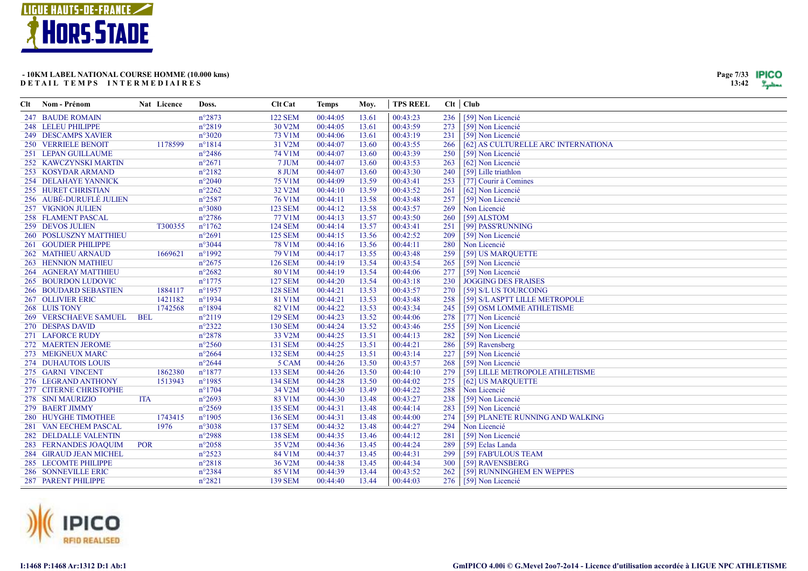

| Clt Nom - Prénom             | Nat Licence | Doss.            | Clt Cat        | <b>Temps</b> | Moy.  | <b>TPS REEL</b> |     | $Clt$ $Club$                        |
|------------------------------|-------------|------------------|----------------|--------------|-------|-----------------|-----|-------------------------------------|
| 247 BAUDE ROMAIN             |             | $n^{\circ}2873$  | <b>122 SEM</b> | 00:44:05     | 13.61 | 00:43:23        | 236 | [59] Non Licencié                   |
| 248 LELEU PHILIPPE           |             | $n^{\circ}2819$  | 30 V2M         | 00:44:05     | 13.61 | 00:43:59        | 273 | [59] Non Licencié                   |
| 249 DESCAMPS XAVIER          |             | $n^{\circ}3020$  | 73 V1M         | 00:44:06     | 13.61 | 00:43:19        | 231 | [59] Non Licencié                   |
| 250 VERRIELE BENOIT          | 1178599     | $n^{\circ}1814$  | 31 V2M         | 00:44:07     | 13.60 | 00:43:55        | 266 | [62] AS CULTURELLE ARC INTERNATIONA |
| 251 LEPAN GUILLAUME          |             | $n^{\circ}2486$  | 74 V1M         | 00:44:07     | 13.60 | 00:43:39        | 250 | [59] Non Licencié                   |
| 252 KAWCZYNSKI MARTIN        |             | $n^{\circ}2671$  | 7 JUM          | 00:44:07     | 13.60 | 00:43:53        | 263 | [62] Non Licencié                   |
| 253 KOSYDAR ARMAND           |             | $n^{\circ}2182$  | 8 JUM          | 00:44:07     | 13.60 | 00:43:30        | 240 | [59] Lille triathlon                |
| <b>254 DELAHAYE YANNICK</b>  |             | $n^{\circ}2040$  | 75 V1M         | 00:44:09     | 13.59 | 00:43:41        | 253 | [77] Courir à Comines               |
| 255 HURET CHRISTIAN          |             | $n^{\circ}2262$  | 32 V2M         | 00:44:10     | 13.59 | 00:43:52        | 261 | [62] Non Licencié                   |
| 256 AUBÉ-DURUFLÉ JULIEN      |             | $n^{\circ}2587$  | 76 V1M         | 00:44:11     | 13.58 | 00:43:48        | 257 | [59] Non Licencié                   |
| <b>257 VIGNION JULIEN</b>    |             | $n^{\circ}3080$  | <b>123 SEM</b> | 00:44:12     | 13.58 | 00:43:57        | 269 | Non Licencié                        |
| 258 FLAMENT PASCAL           |             | $n^{\circ}2786$  | 77 V1M         | 00:44:13     | 13.57 | 00:43:50        | 260 | [59] ALSTOM                         |
| 259 DEVOS JULIEN             | T300355     | $n^{\circ}1762$  | <b>124 SEM</b> | 00:44:14     | 13.57 | 00:43:41        | 251 | [99] PASS'RUNNING                   |
| 260 POSLUSZNY MATTHIEU       |             | $n^{\circ}2691$  | <b>125 SEM</b> | 00:44:15     | 13.56 | 00:42:52        | 209 | [59] Non Licencié                   |
| 261 GOUDIER PHILIPPE         |             | $n^{\circ}3044$  | <b>78 V1M</b>  | 00:44:16     | 13.56 | 00:44:11        | 280 | Non Licencié                        |
| 262 MATHIEU ARNAUD           | 1669621     | $n^{\circ}1992$  | 79 V1M         | 00:44:17     | 13.55 | 00:43:48        | 259 | [59] US MARQUETTE                   |
| 263 HENNION MATHIEU          |             | $n^{\circ}2675$  | <b>126 SEM</b> | 00:44:19     | 13.54 | 00:43:54        | 265 | [59] Non Licencié                   |
| <b>264 AGNERAY MATTHIEU</b>  |             | $n^{\circ}2682$  | 80 V1M         | 00:44:19     | 13.54 | 00:44:06        | 277 | [59] Non Licencié                   |
| 265 BOURDON LUDOVIC          |             | $n^{\circ}1775$  | <b>127 SEM</b> | 00:44:20     | 13.54 | 00:43:18        | 230 | <b>JOGGING DES FRAISES</b>          |
| <b>266 BOUDARD SEBASTIEN</b> | 1884117     | $n^{\circ}$ 1957 | <b>128 SEM</b> | 00:44:21     | 13.53 | 00:43:57        | 270 | [59] S/L US TOURCOING               |
| 267 OLLIVIER ERIC            | 1421182     | $n^{\circ}1934$  | 81 V1M         | 00:44:21     | 13.53 | 00:43:48        | 258 | [59] S/L ASPTT LILLE METROPOLE      |
| 268 LUIS TONY                | 1742568     | $n^{\circ}1894$  | 82 V1M         | 00:44:22     | 13.53 | 00:43:34        | 245 | [59] OSM LOMME ATHLETISME           |
| <b>269 VERSCHAEVE SAMUEL</b> | <b>BEL</b>  | $n^{\circ}2119$  | <b>129 SEM</b> | 00:44:23     | 13.52 | 00:44:06        | 278 | [77] Non Licencié                   |
| 270 DESPAS DAVID             |             | $n^{\circ}2322$  | <b>130 SEM</b> | 00:44:24     | 13.52 | 00:43:46        | 255 | [59] Non Licencié                   |
| 271 LAFORCE RUDY             |             | $n^{\circ}2878$  | 33 V2M         | 00:44:25     | 13.51 | 00:44:13        | 282 | [59] Non Licencié                   |
| 272 MAERTEN JEROME           |             | $n^{\circ}2560$  | 131 SEM        | 00:44:25     | 13.51 | 00:44:21        | 286 | [59] Ravensberg                     |
| 273 MEIGNEUX MARC            |             | $n^{\circ}2664$  | <b>132 SEM</b> | 00:44:25     | 13.51 | 00:43:14        | 227 | [59] Non Licencié                   |
| 274 DUHAUTOIS LOUIS          |             | $n^{\circ}2644$  | 5 CAM          | 00:44:26     | 13.50 | 00:43:57        | 268 | [59] Non Licencié                   |
| 275 GARNI VINCENT            | 1862380     | $n^{\circ}1877$  | <b>133 SEM</b> | 00:44:26     | 13.50 | 00:44:10        | 279 | [59] LILLE METROPOLE ATHLETISME     |
| 276 LEGRAND ANTHONY          | 1513943     | $n^{\circ}$ 1985 | <b>134 SEM</b> | 00:44:28     | 13.50 | 00:44:02        | 275 | [62] US MARQUETTE                   |
| 277 CITERNE CHRISTOPHE       |             | $n^{\circ}1704$  | 34 V2M         | 00:44:30     | 13.49 | 00:44:22        | 288 | Non Licencié                        |
| 278 SINI MAURIZIO            | <b>ITA</b>  | $n^{\circ}2693$  | 83 V1M         | 00:44:30     | 13.48 | 00:43:27        | 238 | [59] Non Licencié                   |
| 279 BAERT JIMMY              |             | $n^{\circ}2569$  | 135 SEM        | 00:44:31     | 13.48 | 00:44:14        | 283 | [59] Non Licencié                   |
| 280 HUYGHE TIMOTHEE          | 1743415     | $n^{\circ}1905$  | 136 SEM        | 00:44:31     | 13.48 | 00:44:00        | 274 | [59] PLANETE RUNNING AND WALKING    |
| 281 VAN EECHEM PASCAL        | 1976        | $n^{\circ}3038$  | 137 SEM        | 00:44:32     | 13.48 | 00:44:27        | 294 | Non Licencié                        |
| 282 DELDALLE VALENTIN        |             | $n^{\circ}2988$  | <b>138 SEM</b> | 00:44:35     | 13.46 | 00:44:12        | 281 | [59] Non Licencié                   |
| 283 FERNANDES JOAQUIM        | <b>POR</b>  | $n^{\circ}2058$  | 35 V2M         | 00:44:36     | 13.45 | 00:44:24        | 289 | [59] Eclas Landa                    |
| 284 GIRAUD JEAN MICHEL       |             | $n^{\circ}2523$  | 84 V1M         | 00:44:37     | 13.45 | 00:44:31        | 299 | [59] FAB'ULOUS TEAM                 |
| 285 LECOMTE PHILIPPE         |             | $n^{\circ}2818$  | 36 V2M         | 00:44:38     | 13.45 | 00:44:34        | 300 | [59] RAVENSBERG                     |
| 286 SONNEVILLE ERIC          |             | $n^{\circ}2384$  | 85 V1M         | 00:44:39     | 13.44 | 00:43:52        | 262 | [59] RUNNINGHEM EN WEPPES           |
| <b>287 PARENT PHILIPPE</b>   |             | $n^{\circ}2821$  | <b>139 SEM</b> | 00:44:40     | 13.44 | 00:44:03        | 276 | [59] Non Licencié                   |





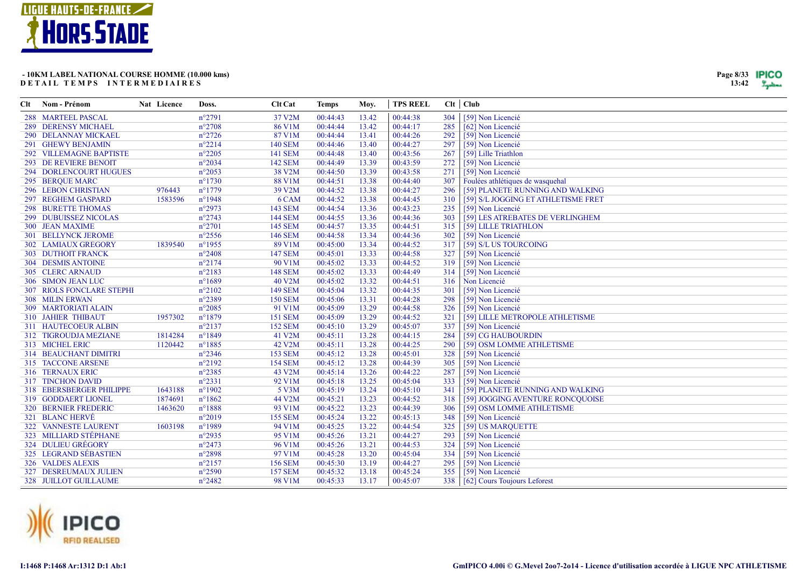



| Clt | Nom - Prénom                     | Nat Licence | Doss.            | <b>Clt Cat</b> | <b>Temps</b> | Moy.  | <b>TPS REEL</b> |     | $Clt$ $Club$                        |
|-----|----------------------------------|-------------|------------------|----------------|--------------|-------|-----------------|-----|-------------------------------------|
|     | 288 MARTEEL PASCAL               |             | $n^{\circ}2791$  | 37 V2M         | 00:44:43     | 13.42 | 00:44:38        | 304 | [59] Non Licencié                   |
|     | <b>289 DERENSY MICHAEL</b>       |             | $n^{\circ}2708$  | <b>86 V1M</b>  | 00:44:44     | 13.42 | 00:44:17        | 285 | [62] Non Licencié                   |
|     | 290 DELANNAY MICKAEL             |             | $n^{\circ}2726$  | 87 V1M         | 00:44:44     | 13.41 | 00:44:26        | 292 | [59] Non Licencié                   |
|     | 291 GHEWY BENJAMIN               |             | $n^{\circ}2214$  | <b>140 SEM</b> | 00:44:46     | 13.40 | 00:44:27        | 297 | [59] Non Licencié                   |
|     | 292 VILLEMAGNE BAPTISTE          |             | $n^{\circ}2205$  | <b>141 SEM</b> | 00:44:48     | 13.40 | 00:43:56        | 267 | [59] Lille Triathlon                |
|     | <b>293 DE REVIERE BENOIT</b>     |             | $n^{\circ}2034$  | <b>142 SEM</b> | 00:44:49     | 13.39 | 00:43:59        | 272 | [59] Non Licencié                   |
|     | 294 DORLENCOURT HUGUES           |             | $n^{\circ}2053$  | 38 V2M         | 00:44:50     | 13.39 | 00:43:58        | 271 | [59] Non Licencié                   |
|     | 295 BERQUE MARC                  |             | $n^{\circ}1730$  | 88 V1M         | 00:44:51     | 13.38 | 00:44:40        | 307 | Foulées athlétiques de wasquehal    |
|     | <b>296 LEBON CHRISTIAN</b>       | 976443      | $n^{\circ}1779$  | 39 V2M         | 00:44:52     | 13.38 | 00:44:27        | 296 | [59] PLANETE RUNNING AND WALKING    |
|     | 297 REGHEM GASPARD               | 1583596     | $n^{\circ}1948$  | 6 CAM          | 00:44:52     | 13.38 | 00:44:45        | 310 | [59] S/L JOGGING ET ATHLETISME FRET |
|     | <b>298 BURETTE THOMAS</b>        |             | $n^{\circ}2973$  | 143 SEM        | 00:44:54     | 13.36 | 00:43:23        | 235 | [59] Non Licencié                   |
|     | 299 DUBUISSEZ NICOLAS            |             | $n^{\circ}2743$  | <b>144 SEM</b> | 00:44:55     | 13.36 | 00:44:36        | 303 | [59] LES ATREBATES DE VERLINGHEM    |
|     | <b>300 JEAN MAXIME</b>           |             | $n^{\circ}2701$  | <b>145 SEM</b> | 00:44:57     | 13.35 | 00:44:51        | 315 | [59] LILLE TRIATHLON                |
|     | <b>301 BELLYNCK JEROME</b>       |             | $n^{\circ}2556$  | <b>146 SEM</b> | 00:44:58     | 13.34 | 00:44:36        | 302 | [59] Non Licencié                   |
|     | <b>302 LAMIAUX GREGORY</b>       | 1839540     | $n^{\circ}$ 1955 | 89 V1M         | 00:45:00     | 13.34 | 00:44:52        | 317 | [59] S/L US TOURCOING               |
|     | <b>303 DUTHOIT FRANCK</b>        |             | $n^{\circ}2408$  | <b>147 SEM</b> | 00:45:01     | 13.33 | 00:44:58        | 327 | [59] Non Licencié                   |
|     | <b>304 DESMIS ANTOINE</b>        |             | $n^{\circ}2174$  | 90 V1M         | 00:45:02     | 13.33 | 00:44:52        | 319 | [59] Non Licencié                   |
|     | 305 CLERC ARNAUD                 |             | $n^{\circ}2183$  | <b>148 SEM</b> | 00:45:02     | 13.33 | 00:44:49        | 314 | [59] Non Licencié                   |
|     | 306 SIMON JEAN LUC               |             | $n^{\circ}1689$  | 40 V2M         | 00:45:02     | 13.32 | 00:44:51        | 316 | Non Licencié                        |
|     | <b>307 RIOLS FONCLARE STEPHI</b> |             | $n^{\circ}2102$  | <b>149 SEM</b> | 00:45:04     | 13.32 | 00:44:35        | 301 | [59] Non Licencié                   |
|     | 308 MILIN ERWAN                  |             | $n^{\circ}2389$  | <b>150 SEM</b> | 00:45:06     | 13.31 | 00:44:28        | 298 | [59] Non Licencié                   |
|     | 309 MARTORIATI ALAIN             |             | $n^{\circ}2085$  | 91 V1M         | 00:45:09     | 13.29 | 00:44:58        | 326 | [59] Non Licencié                   |
|     | <b>310 JAHIER THIBAUT</b>        | 1957302     | $n^{\circ}1879$  | <b>151 SEM</b> | 00:45:09     | 13.29 | 00:44:52        | 321 | [59] LILLE METROPOLE ATHLETISME     |
|     | 311 HAUTECOEUR ALBIN             |             | $n^{\circ}2137$  | <b>152 SEM</b> | 00:45:10     | 13.29 | 00:45:07        | 337 | [59] Non Licencié                   |
|     | 312 TIGROUDJA MEZIANE            | 1814284     | $n^{\circ}1849$  | 41 V2M         | 00:45:11     | 13.28 | 00:44:15        | 284 | [59] CG HAUBOURDIN                  |
|     | 313 MICHEL ERIC                  | 1120442     | $n^{\circ}$ 1885 | 42 V2M         | 00:45:11     | 13.28 | 00:44:25        | 290 | [59] OSM LOMME ATHLETISME           |
|     | 314 BEAUCHANT DIMITRI            |             | $n^{\circ}2346$  | <b>153 SEM</b> | 00:45:12     | 13.28 | 00:45:01        | 328 | [59] Non Licencié                   |
|     | <b>315 TACCONE ARSENE</b>        |             | $n^{\circ}2192$  | <b>154 SEM</b> | 00:45:12     | 13.28 | 00:44:39        | 305 | [59] Non Licencié                   |
|     | 316 TERNAUX ERIC                 |             | $n^{\circ}2385$  | 43 V2M         | 00:45:14     | 13.26 | 00:44:22        | 287 | [59] Non Licencié                   |
|     | 317 TINCHON DAVID                |             | $n^{\circ}2331$  | 92 V1M         | 00:45:18     | 13.25 | 00:45:04        | 333 | [59] Non Licencié                   |
|     | 318 EBERSBERGER PHILIPPE         | 1643188     | $n^{\circ}1902$  | 5 V3M          | 00:45:19     | 13.24 | 00:45:10        | 341 | [59] PLANETE RUNNING AND WALKING    |
|     | 319 GODDAERT LIONEL              | 1874691     | $n^{\circ}1862$  | 44 V2M         | 00:45:21     | 13.23 | 00:44:52        | 318 | [59] JOGGING AVENTURE RONCQUOISE    |
|     | <b>320 BERNIER FREDERIC</b>      | 1463620     | $n^{\circ}1888$  | 93 V1M         | 00:45:22     | 13.23 | 00:44:39        | 306 | [59] OSM LOMME ATHLETISME           |
|     | 321 BLANC HERVÉ                  |             | $n^{\circ}2019$  | <b>155 SEM</b> | 00:45:24     | 13.22 | 00:45:13        | 348 | [59] Non Licencié                   |
|     | 322 VANNESTE LAURENT             | 1603198     | $n^{\circ}1989$  | 94 V1M         | 00:45:25     | 13.22 | 00:44:54        | 325 | [59] US MARQUETTE                   |
|     | 323 MILLIARD STÉPHANE            |             | $n^{\circ}2935$  | 95 V1M         | 00:45:26     | 13.21 | 00:44:27        | 293 | [59] Non Licencié                   |
|     | 324 DULIEU GRÉGORY               |             | $n^{\circ}2473$  | 96 V1M         | 00:45:26     | 13.21 | 00:44:53        | 324 | [59] Non Licencié                   |
|     | 325 LEGRAND SÉBASTIEN            |             | $n^{\circ}2898$  | 97 V1M         | 00:45:28     | 13.20 | 00:45:04        | 334 | [59] Non Licencié                   |
|     | 326 VALDES ALEXIS                |             | $n^{\circ}2157$  | <b>156 SEM</b> | 00:45:30     | 13.19 | 00:44:27        | 295 | [59] Non Licencié                   |
|     | 327 DESREUMAUX JULIEN            |             | $n^{\circ}2590$  | <b>157 SEM</b> | 00:45:32     | 13.18 | 00:45:24        | 355 | [59] Non Licencié                   |
|     | 328 JUILLOT GUILLAUME            |             | $n^{\circ}2482$  | 98 V1M         | 00:45:33     | 13.17 | 00:45:07        | 338 | [62] Cours Toujours Leforest        |

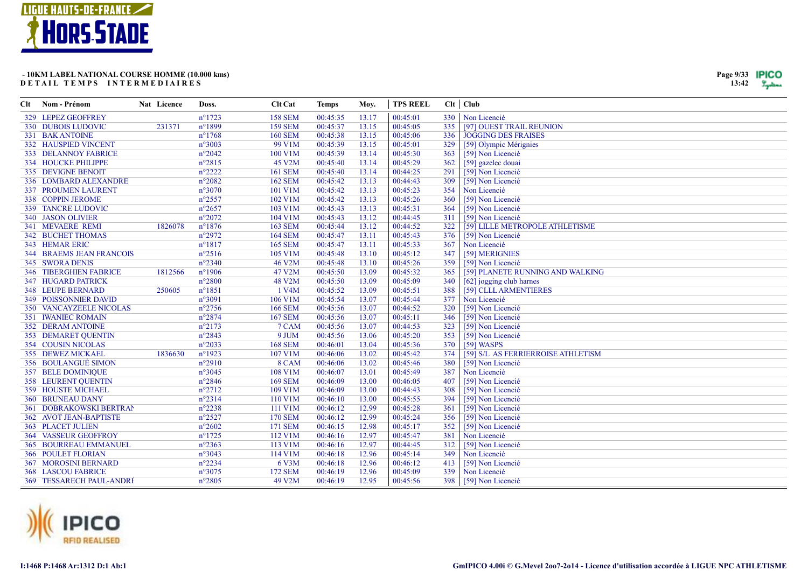

| Page 9/33 | <b>IPICO</b> |
|-----------|--------------|
| 13:42     |              |

| Clt | Nom - Prénom                    | Nat Licence | Doss.            | Clt Cat        | <b>Temps</b> | Moy.  | <b>TPS REEL</b> |     | $Clt$ $Club$                       |
|-----|---------------------------------|-------------|------------------|----------------|--------------|-------|-----------------|-----|------------------------------------|
|     | 329 LEPEZ GEOFFREY              |             | $n^{\circ}1723$  | <b>158 SEM</b> | 00:45:35     | 13.17 | 00:45:01        |     | 330   Non Licencié                 |
|     | 330 DUBOIS LUDOVIC              | 231371      | $n^{\circ}1899$  | <b>159 SEM</b> | 00:45:37     | 13.15 | 00:45:05        | 335 | [97] OUEST TRAIL REUNION           |
|     | 331 BAK ANTOINE                 |             | $n^{\circ}1768$  | <b>160 SEM</b> | 00:45:38     | 13.15 | 00:45:06        | 336 | <b>JOGGING DES FRAISES</b>         |
|     | <b>332 HAUSPIED VINCENT</b>     |             | $n^{\circ}3003$  | 99 V1M         | 00:45:39     | 13.15 | 00:45:01        | 329 | [59] Olympic Mérignies             |
|     | <b>333 DELANNOY FABRICE</b>     |             | $n^{\circ}2042$  | 100 V1M        | 00:45:39     | 13.14 | 00:45:30        | 363 | [59] Non Licencié                  |
|     | 334 HOUCKE PHILIPPE             |             | $n^{\circ}2815$  | 45 V2M         | 00:45:40     | 13.14 | 00:45:29        | 362 | [59] gazelec douai                 |
|     | 335 DEVIGNE BENOIT              |             | $n^{\circ}2222$  | <b>161 SEM</b> | 00:45:40     | 13.14 | 00:44:25        | 291 | [59] Non Licencié                  |
|     | 336 LOMBARD ALEXANDRE           |             | $n^{\circ}2082$  | <b>162 SEM</b> | 00:45:42     | 13.13 | 00:44:43        | 309 | [59] Non Licencié                  |
|     | 337 PROUMEN LAURENT             |             | $n^{\circ}3070$  | 101 V1M        | 00:45:42     | 13.13 | 00:45:23        | 354 | Non Licencié                       |
|     | 338 COPPIN JEROME               |             | $n^{\circ}2557$  | 102 V1M        | 00:45:42     | 13.13 | 00:45:26        | 360 | [59] Non Licencié                  |
|     | 339 TANCRE LUDOVIC              |             | $n^{\circ}2657$  | 103 V1M        | 00:45:43     | 13.13 | 00:45:31        | 364 | [59] Non Licencié                  |
|     | 340 JASON OLIVIER               |             | $n^{\circ}2072$  | 104 V1M        | 00:45:43     | 13.12 | 00:44:45        | 311 | [59] Non Licencié                  |
|     | 341 MEVAERE REMI                | 1826078     | $n^{\circ}1876$  | <b>163 SEM</b> | 00:45:44     | 13.12 | 00:44:52        | 322 | [59] LILLE METROPOLE ATHLETISME    |
|     | <b>342 BUCHET THOMAS</b>        |             | $n^{\circ}2972$  | <b>164 SEM</b> | 00:45:47     | 13.11 | 00:45:43        | 376 | [59] Non Licencié                  |
|     | 343 HEMAR ERIC                  |             | $n^{\circ}1817$  | <b>165 SEM</b> | 00:45:47     | 13.11 | 00:45:33        | 367 | Non Licencié                       |
|     | <b>344 BRAEMS JEAN FRANCOIS</b> |             | $n^{\circ}2516$  | 105 V1M        | 00:45:48     | 13.10 | 00:45:12        | 347 | [59] MERIGNIES                     |
|     | 345 SWORA DENIS                 |             | $n^{\circ}2340$  | 46 V2M         | 00:45:48     | 13.10 | 00:45:26        | 359 | [59] Non Licencié                  |
|     | <b>346 TIBERGHIEN FABRICE</b>   | 1812566     | $n^{\circ}$ 1906 | 47 V2M         | 00:45:50     | 13.09 | 00:45:32        | 365 | [59] PLANETE RUNNING AND WALKING   |
|     | 347 HUGARD PATRICK              |             | $n^{\circ}2800$  | 48 V2M         | 00:45:50     | 13.09 | 00:45:09        | 340 | [62] jogging club harnes           |
|     | <b>348 LEUPE BERNARD</b>        | 250605      | $n^{\circ}1851$  | 1 V4M          | 00:45:52     | 13.09 | 00:45:51        | 388 | [59] CLLL ARMENTIERES              |
|     | <b>349 POISSONNIER DAVID</b>    |             | $n^{\circ}3091$  | 106 V1M        | 00:45:54     | 13.07 | 00:45:44        | 377 | Non Licencié                       |
|     | <b>350 VANCAYZEELE NICOLAS</b>  |             | $n^{\circ}2756$  | <b>166 SEM</b> | 00:45:56     | 13.07 | 00:44:52        | 320 | [59] Non Licencié                  |
|     | <b>351 IWANIEC ROMAIN</b>       |             | $n^{\circ}2874$  | <b>167 SEM</b> | 00:45:56     | 13.07 | 00:45:11        | 346 | [59] Non Licencié                  |
|     | <b>352 DERAM ANTOINE</b>        |             | $n^{\circ}2173$  | 7 CAM          | 00:45:56     | 13.07 | 00:44:53        | 323 | [59] Non Licencié                  |
|     | 353 DEMARET QUENTIN             |             | $n^{\circ}2843$  | 9 JUM          | 00:45:56     | 13.06 | 00:45:20        | 353 | [59] Non Licencié                  |
|     | 354 COUSIN NICOLAS              |             | $n^{\circ}2033$  | <b>168 SEM</b> | 00:46:01     | 13.04 | 00:45:36        | 370 | $[59]$ WASPS                       |
|     | 355 DEWEZ MICKAEL               | 1836630     | $n^{\circ}1923$  | 107 V1M        | 00:46:06     | 13.02 | 00:45:42        | 374 | [59] S/L AS FERRIERROISE ATHLETISM |
|     | 356 BOULANGUÉ SIMON             |             | $n^{\circ}2910$  | 8 CAM          | 00:46:06     | 13.02 | 00:45:46        | 380 | [59] Non Licencié                  |
|     | 357 BELE DOMINIQUE              |             | $n^{\circ}3045$  | 108 V1M        | 00:46:07     | 13.01 | 00:45:49        | 387 | Non Licencié                       |
|     | 358 LEURENT QUENTIN             |             | $n^{\circ}2846$  | <b>169 SEM</b> | 00:46:09     | 13.00 | 00:46:05        | 407 | [59] Non Licencié                  |
|     | <b>359 HOUSTE MICHAEL</b>       |             | $n^{\circ}2712$  | 109 V1M        | 00:46:09     | 13.00 | 00:44:43        | 308 | [59] Non Licencié                  |
|     | <b>360 BRUNEAU DANY</b>         |             | $n^{\circ}2314$  | 110 V1M        | 00:46:10     | 13.00 | 00:45:55        | 394 | [59] Non Licencié                  |
|     | <b>361 DOBRAKOWSKI BERTRAN</b>  |             | $n^{\circ}2238$  | 111 V1M        | 00:46:12     | 12.99 | 00:45:28        | 361 | [59] Non Licencié                  |
|     | 362 AVOT JEAN-BAPTISTE          |             | $n^{\circ}2527$  | <b>170 SEM</b> | 00:46:12     | 12.99 | 00:45:24        | 356 | [59] Non Licencié                  |
|     | 363 PLACET JULIEN               |             | $n^{\circ}2602$  | <b>171 SEM</b> | 00:46:15     | 12.98 | 00:45:17        | 352 | [59] Non Licencié                  |
|     | <b>364 VASSEUR GEOFFROY</b>     |             | $n^{\circ}1725$  | 112 V1M        | 00:46:16     | 12.97 | 00:45:47        | 381 | Non Licencié                       |
|     | <b>365 BOURREAU EMMANUEL</b>    |             | $n^{\circ}2363$  | 113 V1M        | 00:46:16     | 12.97 | 00:44:45        | 312 | [59] Non Licencié                  |
|     | <b>366 POULET FLORIAN</b>       |             | $n^{\circ}3043$  | 114 V1M        | 00:46:18     | 12.96 | 00:45:14        | 349 | Non Licencié                       |
|     | <b>367 MOROSINI BERNARD</b>     |             | $n^{\circ}2234$  | 6 V3M          | 00:46:18     | 12.96 | 00:46:12        | 413 | [59] Non Licencié                  |
|     | <b>368 LASCOU FABRICE</b>       |             | $n^{\circ}3075$  | <b>172 SEM</b> | 00:46:19     | 12.96 | 00:45:09        | 339 | Non Licencié                       |
|     | 369 TESSARECH PAUL-ANDRI        |             | $n^{\circ}2805$  | 49 V2M         | 00:46:19     | 12.95 | 00:45:56        |     | 398 [59] Non Licencié              |

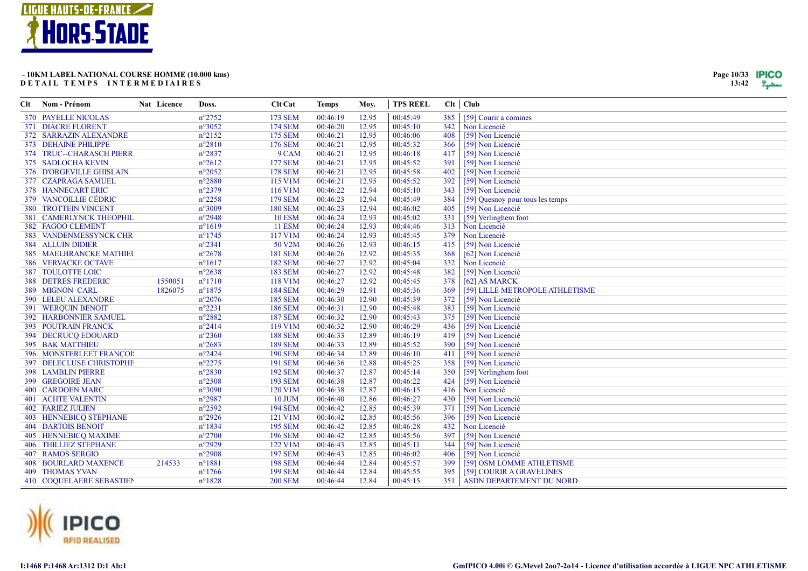

| Page 10/33 | IPICO |
|------------|-------|
| 13:42      |       |

| Clt Nom - Prénom              | Nat Licence | Doss.           | Clt Cat        | <b>Temps</b> | Moy.  | <b>TPS REEL</b> |     | $Clt$ $Club$                     |
|-------------------------------|-------------|-----------------|----------------|--------------|-------|-----------------|-----|----------------------------------|
| <b>370 PAYELLE NICOLAS</b>    |             | $n^{\circ}2752$ | <b>173 SEM</b> | 00:46:19     | 12.95 | 00:45:49        | 385 | [59] Courir a comines            |
| <b>371 DIACRE FLORENT</b>     |             | $n^{\circ}3052$ | <b>174 SEM</b> | 00:46:20     | 12.95 | 00:45:10        | 342 | Non Licencié                     |
| 372 SARRAZIN ALEXANDRE        |             | $n^{\circ}2152$ | <b>175 SEM</b> | 00:46:21     | 12.95 | 00:46:06        | 408 | [59] Non Licencié                |
| 373 DEHAINE PHILIPPE          |             | $n^{\circ}2810$ | <b>176 SEM</b> | 00:46:21     | 12.95 | 00:45:32        | 366 | [59] Non Licencié                |
| 374 TRUC--CHARASCH PIERR      |             | $n^{\circ}2837$ | 9 CAM          | 00:46:21     | 12.95 | 00:46:18        | 417 | [59] Non Licencié                |
| 375 SADLOCHA KEVIN            |             | $n^{\circ}2612$ | <b>177 SEM</b> | 00:46:21     | 12.95 | 00:45:52        | 391 | [59] Non Licencié                |
| 376 D'ORGEVILLE GHISLAIN      |             | $n^{\circ}2052$ | <b>178 SEM</b> | 00:46:21     | 12.95 | 00:45:58        | 402 | [59] Non Licencié                |
| 377 CZAPRAGA SAMUEL           |             | $n^{\circ}2880$ | 115 V1M        | 00:46:21     | 12.95 | 00:45:52        | 392 | [59] Non Licencié                |
| <b>378 HANNECART ERIC</b>     |             | $n^{\circ}2379$ | 116 V1M        | 00:46:22     | 12.94 | 00:45:10        | 343 | [59] Non Licencié                |
| 379 VANCOILLIE CÉDRIC         |             | $n^{\circ}2258$ | <b>179 SEM</b> | 00:46:23     | 12.94 | 00:45:49        | 384 | [59] Quesnoy pour tous les temps |
| <b>380 TROTTEIN VINCENT</b>   |             | $n^{\circ}3009$ | <b>180 SEM</b> | 00:46:23     | 12.94 | 00:46:02        | 405 | [59] Non Licencié                |
| 381 CAMERLYNCK THEOPHIL       |             | $n^{\circ}2948$ | <b>10 ESM</b>  | 00:46:24     | 12.93 | 00:45:02        | 331 | [59] Verlinghem foot             |
| 382 FAGOO CLEMENT             |             | $n^{\circ}1619$ | <b>11 ESM</b>  | 00:46:24     | 12.93 | 00:44:46        | 313 | Non Licencié                     |
| 383 VANDENMESSYNCK CHR        |             | $n^{\circ}1745$ | 117 V1M        | 00:46:24     | 12.93 | 00:45:45        | 379 | Non Licencié                     |
| <b>384 ALLUIN DIDIER</b>      |             | $n^{\circ}2341$ | 50 V2M         | 00:46:26     | 12.93 | 00:46:15        | 415 | [59] Non Licencié                |
| 385 MAELBRANCKE MATHIEU       |             | $n^{\circ}2678$ | <b>181 SEM</b> | 00:46:26     | 12.92 | 00:45:35        | 368 | [62] Non Licencié                |
| <b>386 VERVACKE OCTAVE</b>    |             | $n^{\circ}1617$ | <b>182 SEM</b> | 00:46:27     | 12.92 | 00:45:04        | 332 | Non Licencié                     |
| <b>387 TOULOTTE LOIC</b>      |             | $n^{\circ}2638$ | <b>183 SEM</b> | 00:46:27     | 12.92 | 00:45:48        | 382 | [59] Non Licencié                |
| <b>388 DETRES FREDERIC</b>    | 1550051     | $n^{\circ}1710$ | 118 V1M        | 00:46:27     | 12.92 | 00:45:45        | 378 | [62] AS MARCK                    |
| 389 MIGNON CARL               | 1826075     | $n^{\circ}1875$ | <b>184 SEM</b> | 00:46:29     | 12.91 | 00:45:36        | 369 | [59] LILLE METROPOLE ATHLETISME  |
| <b>390 LELEU ALEXANDRE</b>    |             | $n^{\circ}2076$ | <b>185 SEM</b> | 00:46:30     | 12.90 | 00:45:39        | 372 | [59] Non Licencié                |
| <b>391 WERQUIN BENOIT</b>     |             | $n^{\circ}2231$ | <b>186 SEM</b> | 00:46:31     | 12.90 | 00:45:48        | 383 | [59] Non Licencié                |
| <b>392 HARBONNIER SAMUEL</b>  |             | n°2882          | <b>187 SEM</b> | 00:46:32     | 12.90 | 00:45:43        | 375 | [59] Non Licencié                |
| <b>393 POUTRAIN FRANCK</b>    |             | $n^{\circ}2414$ | 119 V1M        | 00:46:32     | 12.90 | 00:46:29        | 436 | [59] Non Licencié                |
| 394 DECRUCQ EDOUARD           |             | $n^{\circ}2360$ | <b>188 SEM</b> | 00:46:33     | 12.89 | 00:46:19        | 419 | [59] Non Licencié                |
| 395 BAK MATTHIEU              |             | $n^{\circ}2683$ | <b>189 SEM</b> | 00:46:33     | 12.89 | 00:45:52        | 390 | [59] Non Licencié                |
| 396 MONSTERLEET FRANÇOI:      |             | $n^{\circ}2424$ | <b>190 SEM</b> | 00:46:34     | 12.89 | 00:46:10        | 411 | [59] Non Licencié                |
| 397 DELECLUSE CHRISTOPHE      |             | $n^{\circ}2275$ | <b>191 SEM</b> | 00:46:36     | 12.88 | 00:45:25        | 358 | [59] Non Licencié                |
| <b>398 LAMBLIN PIERRE</b>     |             | $n^{\circ}2830$ | <b>192 SEM</b> | 00:46:37     | 12.87 | 00:45:14        | 350 | [59] Verlinghem foot             |
| 399 GREGOIRE JEAN             |             | $n^{\circ}2508$ | <b>193 SEM</b> | 00:46:38     | 12.87 | 00:46:22        | 424 | [59] Non Licencié                |
| <b>400 CARDOEN MARC</b>       |             | $n^{\circ}3090$ | 120 V1M        | 00:46:38     | 12.87 | 00:46:15        | 416 | Non Licencié                     |
| <b>401 ACHTE VALENTIN</b>     |             | $n^{\circ}2987$ | <b>10 JUM</b>  | 00:46:40     | 12.86 | 00:46:27        | 430 | [59] Non Licencié                |
| <b>402 FARIEZ JULIEN</b>      |             | $n^{\circ}2592$ | <b>194 SEM</b> | 00:46:42     | 12.85 | 00:45:39        | 371 | [59] Non Licencié                |
| <b>403 HENNEBICQ STEPHANE</b> |             | $n^{\circ}2926$ | 121 V1M        | 00:46:42     | 12.85 | 00:45:56        | 396 | [59] Non Licencié                |
| <b>404 DARTOIS BENOIT</b>     |             | $n^{\circ}1834$ | <b>195 SEM</b> | 00:46:42     | 12.85 | 00:46:28        | 432 | Non Licencié                     |
| <b>405 HENNEBICQ MAXIME</b>   |             | $n^{\circ}2700$ | <b>196 SEM</b> | 00:46:42     | 12.85 | 00:45:56        | 397 | [59] Non Licencié                |
| <b>406 THILLIEZ STEPHANE</b>  |             | $n^{\circ}2929$ | 122 V1M        | 00:46:43     | 12.85 | 00:45:11        | 344 | [59] Non Licencié                |
| <b>407 RAMOS SERGIO</b>       |             | $n^{\circ}2908$ | <b>197 SEM</b> | 00:46:43     | 12.85 | 00:46:02        | 406 | [59] Non Licencié                |
| <b>408 BOURLARD MAXENCE</b>   | 214533      | $n^{\circ}1881$ | <b>198 SEM</b> | 00:46:44     | 12.84 | 00:45:57        | 399 | [59] OSM LOMME ATHLETISME        |
| <b>409 THOMAS YVAN</b>        |             | $n^{\circ}1766$ | <b>199 SEM</b> | 00:46:44     | 12.84 | 00:45:55        | 395 | [59] COURIR A GRAVELINES         |
| 410 COQUELAERE SEBASTIEN      |             | $n^{\circ}1828$ | <b>200 SEM</b> | 00:46:44     | 12.84 | 00:45:15        | 351 | ASDN DEPARTEMENT DU NORD         |

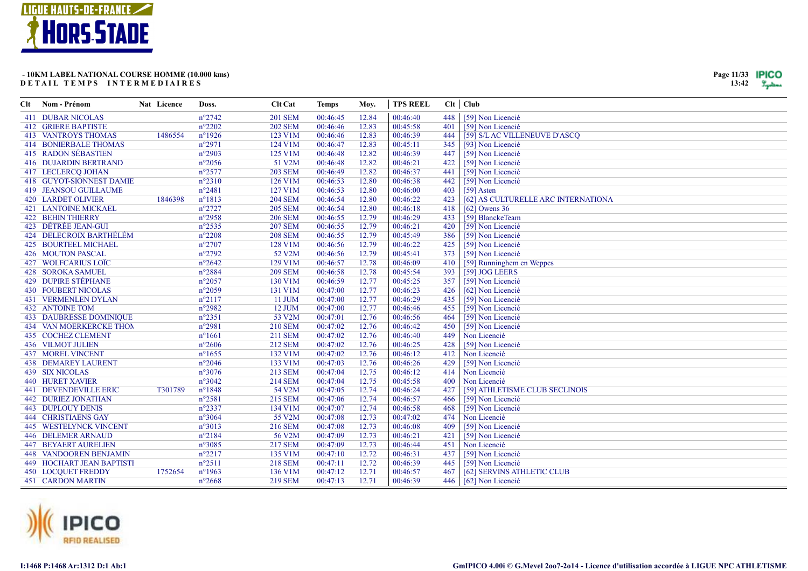

| Page 11/33 | IPICO |
|------------|-------|
| 13:42      |       |

| Clt Nom - Prénom                 | Nat Licence | Doss.           | Clt Cat        | <b>Temps</b> | Moy.  | <b>TPS REEL</b> |     | Clt   Club                          |
|----------------------------------|-------------|-----------------|----------------|--------------|-------|-----------------|-----|-------------------------------------|
| <b>411 DUBAR NICOLAS</b>         |             | $n^{\circ}2742$ | <b>201 SEM</b> | 00:46:45     | 12.84 | 00:46:40        | 448 | [59] Non Licencié                   |
| <b>412 GRIERE BAPTISTE</b>       |             | $n^{\circ}2202$ | <b>202 SEM</b> | 00:46:46     | 12.83 | 00:45:58        | 401 | [59] Non Licencié                   |
| <b>413 VANTROYS THOMAS</b>       | 1486554     | $n^{\circ}1926$ | 123 V1M        | 00:46:46     | 12.83 | 00:46:39        | 444 | [59] S/L AC VILLENEUVE D'ASCQ       |
| <b>414 BONIERBALE THOMAS</b>     |             | $n^{\circ}2971$ | 124 V1M        | 00:46:47     | 12.83 | 00:45:11        | 345 | [93] Non Licencié                   |
| 415 RADON SÉBASTIEN              |             | n°2903          | 125 V1M        | 00:46:48     | 12.82 | 00:46:39        | 447 | [59] Non Licencié                   |
| <b>416 DUJARDIN BERTRAND</b>     |             | $n^{\circ}2056$ | 51 V2M         | 00:46:48     | 12.82 | 00:46:21        | 422 | [59] Non Licencié                   |
| 417 LECLERCQ JOHAN               |             | $n^{\circ}2577$ | <b>203 SEM</b> | 00:46:49     | 12.82 | 00:46:37        | 441 | [59] Non Licencié                   |
| 418 GUYOT-SIONNEST DAMIE         |             | $n^{\circ}2310$ | 126 V1M        | 00:46:53     | 12.80 | 00:46:38        | 442 | [59] Non Licencié                   |
| <b>419 JEANSOU GUILLAUME</b>     |             | $n^{\circ}2481$ | 127 V1M        | 00:46:53     | 12.80 | 00:46:00        | 403 | $[59]$ Asten                        |
| <b>420 LARDET OLIVIER</b>        | 1846398     | $n^{\circ}1813$ | <b>204 SEM</b> | 00:46:54     | 12.80 | 00:46:22        | 423 | [62] AS CULTURELLE ARC INTERNATIONA |
| <b>421 LANTOINE MICKAEL</b>      |             | $n^{\circ}2727$ | <b>205 SEM</b> | 00:46:54     | 12.80 | 00:46:18        | 418 | [62] Owens $36$                     |
| <b>422 BEHIN THIERRY</b>         |             | n°2958          | <b>206 SEM</b> | 00:46:55     | 12.79 | 00:46:29        | 433 | [59] BlanckeTeam                    |
| 423 DÉTRÉE JEAN-GUI              |             | $n^{\circ}2535$ | <b>207 SEM</b> | 00:46:55     | 12.79 | 00:46:21        | 420 | [59] Non Licencié                   |
| 424 DELECROIX BARTHÉLÉM          |             | $n^{\circ}2208$ | <b>208 SEM</b> | 00:46:55     | 12.79 | 00:45:49        | 386 | [59] Non Licencié                   |
| 425 BOURTEEL MICHAEL             |             | $n^{\circ}2707$ | 128 V1M        | 00:46:56     | 12.79 | 00:46:22        | 425 | [59] Non Licencié                   |
| 426 MOUTON PASCAL                |             | $n^{\circ}2792$ | 52 V2M         | 00:46:56     | 12.79 | 00:45:41        | 373 | [59] Non Licencié                   |
| 427 WOLFCARIUS LOÏC              |             | $n^{\circ}2642$ | 129 V1M        | 00:46:57     | 12.78 | 00:46:09        | 410 | [59] Runninghem en Weppes           |
| 428 SOROKA SAMUEL                |             | $n^{\circ}2884$ | <b>209 SEM</b> | 00:46:58     | 12.78 | 00:45:54        | 393 | [59] JOG LEERS                      |
| 429 DUPIRE STÉPHANE              |             | $n^{\circ}2057$ | 130 V1M        | 00:46:59     | 12.77 | 00:45:25        | 357 | [59] Non Licencié                   |
| <b>430 FOUBERT NICOLAS</b>       |             | $n^{\circ}2059$ | 131 V1M        | 00:47:00     | 12.77 | 00:46:23        | 426 | [62] Non Licencié                   |
| <b>431 VERMENLEN DYLAN</b>       |             | $n^{\circ}2117$ | 11 JUM         | 00:47:00     | 12.77 | 00:46:29        | 435 | [59] Non Licencié                   |
| <b>432 ANTOINE TOM</b>           |             | n°2982          | 12 JUM         | 00:47:00     | 12.77 | 00:46:46        | 455 | [59] Non Licencié                   |
| <b>433 DAUBRESSE DOMINIQUE</b>   |             | $n^{\circ}2351$ | 53 V2M         | 00:47:01     | 12.76 | 00:46:56        | 464 | [59] Non Licencié                   |
| <b>434 VAN MOERKERCKE THON</b>   |             | n°2981          | <b>210 SEM</b> | 00:47:02     | 12.76 | 00:46:42        | 450 | [59] Non Licencié                   |
| 435 COCHEZ CLEMENT               |             | $n^{\circ}1661$ | 211 SEM        | 00:47:02     | 12.76 | 00:46:40        | 449 | Non Licencié                        |
| <b>436 VILMOT JULIEN</b>         |             | $n^{\circ}2606$ | 212 SEM        | 00:47:02     | 12.76 | 00:46:25        | 428 | [59] Non Licencié                   |
| <b>437 MOREL VINCENT</b>         |             | $n^{\circ}1655$ | 132 V1M        | 00:47:02     | 12.76 | 00:46:12        | 412 | Non Licencié                        |
| <b>438 DEMAREY LAURENT</b>       |             | $n^{\circ}2046$ | 133 V1M        | 00:47:03     | 12.76 | 00:46:26        | 429 | [59] Non Licencié                   |
| <b>439 SIX NICOLAS</b>           |             | $n^{\circ}3076$ | 213 SEM        | 00:47:04     | 12.75 | 00:46:12        | 414 | Non Licencié                        |
| <b>440 HURET XAVIER</b>          |             | $n^{\circ}3042$ | <b>214 SEM</b> | 00:47:04     | 12.75 | 00:45:58        | 400 | Non Licencié                        |
| <b>441 DEVENDEVILLE ERIC</b>     | T301789     | $n^{\circ}1848$ | 54 V2M         | 00:47:05     | 12.74 | 00:46:24        | 427 | [59] ATHLETISME CLUB SECLINOIS      |
| <b>442 DURIEZ JONATHAN</b>       |             | $n^{\circ}2581$ | <b>215 SEM</b> | 00:47:06     | 12.74 | 00:46:57        | 466 | [59] Non Licencié                   |
| <b>443 DUPLOUY DENIS</b>         |             | $n^{\circ}2337$ | 134 V1M        | 00:47:07     | 12.74 | 00:46:58        | 468 | [59] Non Licencié                   |
| <b>444 CHRISTIAENS GAY</b>       |             | $n^{\circ}3064$ | 55 V2M         | 00:47:08     | 12.73 | 00:47:02        | 474 | Non Licencié                        |
| <b>445 WESTELYNCK VINCENT</b>    |             | n°3013          | <b>216 SEM</b> | 00:47:08     | 12.73 | 00:46:08        | 409 | [59] Non Licencié                   |
| <b>446 DELEMER ARNAUD</b>        |             | $n^{\circ}2184$ | 56 V2M         | 00:47:09     | 12.73 | 00:46:21        | 421 | [59] Non Licencié                   |
| <b>447 BEYAERT AURELIEN</b>      |             | $n^{\circ}3085$ | <b>217 SEM</b> | 00:47:09     | 12.73 | 00:46:44        | 451 | Non Licencié                        |
| <b>448 VANDOOREN BENJAMIN</b>    |             | $n^{\circ}2217$ | 135 V1M        | 00:47:10     | 12.72 | 00:46:31        | 437 | [59] Non Licencié                   |
| <b>449 HOCHART JEAN BAPTISTI</b> |             | $n^{\circ}2511$ | <b>218 SEM</b> | 00:47:11     | 12.72 | 00:46:39        | 445 | [59] Non Licencié                   |
| <b>450 LOCQUET FREDDY</b>        | 1752654     | $n^{\circ}1963$ | 136 V1M        | 00:47:12     | 12.71 | 00:46:57        | 467 | [62] SERVINS ATHLETIC CLUB          |
| <b>451 CARDON MARTIN</b>         |             | $n^{\circ}2668$ | <b>219 SEM</b> | 00:47:13     | 12.71 | 00:46:39        |     | 446   [62] Non Licencié             |

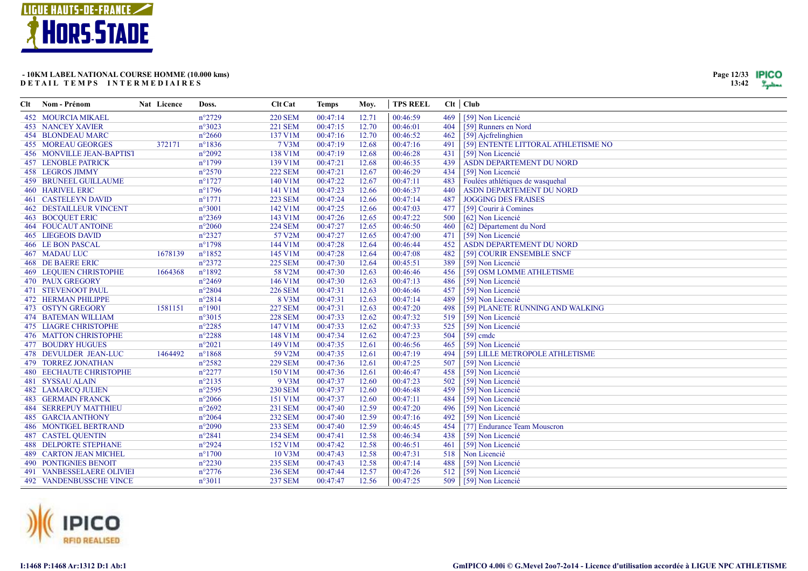

| Clt - | Nom - Prénom                     | Nat Licence | Doss.            | <b>Clt Cat</b> | <b>Temps</b> | Moy.  | <b>TPS REEL</b> |     | Clt   Club                          |
|-------|----------------------------------|-------------|------------------|----------------|--------------|-------|-----------------|-----|-------------------------------------|
|       | <b>452 MOURCIA MIKAEL</b>        |             | $n^{\circ}2729$  | <b>220 SEM</b> | 00:47:14     | 12.71 | 00:46:59        | 469 | [59] Non Licencié                   |
|       | <b>453 NANCEY XAVIER</b>         |             | $n^{\circ}3023$  | <b>221 SEM</b> | 00:47:15     | 12.70 | 00:46:01        | 404 | [59] Runners en Nord                |
|       | <b>454 BLONDEAU MARC</b>         |             | $n^{\circ}2660$  | 137 V1M        | 00:47:16     | 12.70 | 00:46:52        | 462 | [59] Ajcfrelinghien                 |
|       | <b>455 MOREAU GEORGES</b>        | 372171      | $n^{\circ}$ 1836 | 7 V3M          | 00:47:19     | 12.68 | 00:47:16        | 491 | [59] ENTENTE LITTORAL ATHLETISME NO |
|       | <b>456 MONVILLE JEAN-BAPTIST</b> |             | $n^{\circ}2092$  | 138 V1M        | 00:47:19     | 12.68 | 00:46:28        | 431 | [59] Non Licencié                   |
|       | <b>457 LENOBLE PATRICK</b>       |             | $n^{\circ}1799$  | 139 V1M        | 00:47:21     | 12.68 | 00:46:35        | 439 | ASDN DEPARTEMENT DU NORD            |
|       | 458 LEGROS JIMMY                 |             | $n^{\circ}2570$  | <b>222 SEM</b> | 00:47:21     | 12.67 | 00:46:29        | 434 | [59] Non Licencié                   |
|       | <b>459 BRUNEEL GUILLAUME</b>     |             | $n^{\circ}$ 1727 | 140 V1M        | 00:47:22     | 12.67 | 00:47:11        | 483 | Foulées athlétiques de wasquehal    |
|       | <b>460 HARIVEL ERIC</b>          |             | $n^{\circ}$ 1796 | 141 V1M        | 00:47:23     | 12.66 | 00:46:37        | 440 | ASDN DEPARTEMENT DU NORD            |
|       | <b>461 CASTELEYN DAVID</b>       |             | $n^{\circ}1771$  | <b>223 SEM</b> | 00:47:24     | 12.66 | 00:47:14        | 487 | <b>JOGGING DES FRAISES</b>          |
|       | <b>462 DESTAILLEUR VINCENT</b>   |             | $n^{\circ}3001$  | 142 V1M        | 00:47:25     | 12.66 | 00:47:03        | 477 | [59] Courir à Comines               |
|       | <b>463 BOCQUET ERIC</b>          |             | $n^{\circ}2369$  | 143 V1M        | 00:47:26     | 12.65 | 00:47:22        | 500 | [62] Non Licencié                   |
|       | <b>464 FOUCAUT ANTOINE</b>       |             | $n^{\circ}2060$  | <b>224 SEM</b> | 00:47:27     | 12.65 | 00:46:50        | 460 | [62] Département du Nord            |
|       | <b>465 LIEGEOIS DAVID</b>        |             | $n^{\circ}2327$  | 57 V2M         | 00:47:27     | 12.65 | 00:47:00        | 471 | [59] Non Licencié                   |
|       | 466 LE BON PASCAL                |             | $n^{\circ}1798$  | 144 V1M        | 00:47:28     | 12.64 | 00:46:44        | 452 | ASDN DEPARTEMENT DU NORD            |
|       | <b>467 MADAU LUC</b>             | 1678139     | $n^{\circ}1852$  | 145 V1M        | 00:47:28     | 12.64 | 00:47:08        | 482 | [59] COURIR ENSEMBLE SNCF           |
|       | <b>468 DE BAERE ERIC</b>         |             | $n^{\circ}2372$  | <b>225 SEM</b> | 00:47:30     | 12.64 | 00:45:51        | 389 | [59] Non Licencié                   |
|       | <b>469 LEQUIEN CHRISTOPHE</b>    | 1664368     | n°1892           | 58 V2M         | 00:47:30     | 12.63 | 00:46:46        | 456 | [59] OSM LOMME ATHLETISME           |
|       | <b>470 PAUX GREGORY</b>          |             | $n^{\circ}2469$  | 146 V1M        | 00:47:30     | 12.63 | 00:47:13        | 486 | [59] Non Licencié                   |
|       | <b>471 STEVENOOT PAUL</b>        |             | $n^{\circ}2804$  | <b>226 SEM</b> | 00:47:31     | 12.63 | 00:46:46        | 457 | [59] Non Licencié                   |
|       | <b>472 HERMAN PHILIPPE</b>       |             | $n^{\circ}2814$  | 8 V3M          | 00:47:31     | 12.63 | 00:47:14        | 489 | [59] Non Licencié                   |
|       | 473 OSTYN GREGORY                | 1581151     | $n^{\circ}1901$  | <b>227 SEM</b> | 00:47:31     | 12.63 | 00:47:20        | 498 | [59] PLANETE RUNNING AND WALKING    |
|       | <b>474 BATEMAN WILLIAM</b>       |             | $n^{\circ}3015$  | <b>228 SEM</b> | 00:47:33     | 12.62 | 00:47:32        | 519 | [59] Non Licencié                   |
|       | <b>475 LIAGRE CHRISTOPHE</b>     |             | $n^{\circ}2285$  | 147 V1M        | 00:47:33     | 12.62 | 00:47:33        | 525 | [59] Non Licencié                   |
|       | <b>476 MATTON CHRISTOPHE</b>     |             | $n^{\circ}2288$  | 148 V1M        | 00:47:34     | 12.62 | 00:47:23        | 504 | $[59]$ cmdc                         |
|       | <b>477 BOUDRY HUGUES</b>         |             | $n^{\circ}2021$  | 149 V1M        | 00:47:35     | 12.61 | 00:46:56        | 465 | [59] Non Licencié                   |
|       | 478 DEVULDER JEAN-LUC            | 1464492     | $n^{\circ}$ 1868 | 59 V2M         | 00:47:35     | 12.61 | 00:47:19        | 494 | [59] LILLE METROPOLE ATHLETISME     |
|       | <b>479 TORREZ JONATHAN</b>       |             | $n^{\circ}2582$  | <b>229 SEM</b> | 00:47:36     | 12.61 | 00:47:25        | 507 | [59] Non Licencié                   |
|       | <b>480 EECHAUTE CHRISTOPHE</b>   |             | $n^{\circ}2277$  | 150 V1M        | 00:47:36     | 12.61 | 00:46:47        | 458 | [59] Non Licencié                   |
|       | <b>481 SYSSAU ALAIN</b>          |             | $n^{\circ}2135$  | 9 V3M          | 00:47:37     | 12.60 | 00:47:23        | 502 | [59] Non Licencié                   |
|       | <b>482 LAMARCQ JULIEN</b>        |             | $n^{\circ}2595$  | <b>230 SEM</b> | 00:47:37     | 12.60 | 00:46:48        | 459 | [59] Non Licencié                   |
|       | <b>483 GERMAIN FRANCK</b>        |             | $n^{\circ}2066$  | 151 V1M        | 00:47:37     | 12.60 | 00:47:11        | 484 | [59] Non Licencié                   |
|       | <b>484 SERREPUY MATTHIEU</b>     |             | $n^{\circ}2692$  | 231 SEM        | 00:47:40     | 12.59 | 00:47:20        | 496 | [59] Non Licencié                   |
|       | <b>485 GARCIA ANTHONY</b>        |             | $n^{\circ}2064$  | <b>232 SEM</b> | 00:47:40     | 12.59 | 00:47:16        | 492 | [59] Non Licencié                   |
|       | <b>486 MONTIGEL BERTRAND</b>     |             | $n^{\circ}2090$  | 233 SEM        | 00:47:40     | 12.59 | 00:46:45        | 454 | [77] Endurance Team Mouscron        |
|       | <b>487 CASTEL QUENTIN</b>        |             | $n^{\circ}2841$  | <b>234 SEM</b> | 00:47:41     | 12.58 | 00:46:34        | 438 | [59] Non Licencié                   |
|       | <b>488 DELPORTE STEPHANE</b>     |             | $n^{\circ}2924$  | 152 V1M        | 00:47:42     | 12.58 | 00:46:51        | 461 | [59] Non Licencié                   |
|       | <b>489 CARTON JEAN MICHEL</b>    |             | $n^{\circ}1700$  | 10 V3M         | 00:47:43     | 12.58 | 00:47:31        | 518 | Non Licencié                        |
|       | <b>490 PONTIGNIES BENOIT</b>     |             | $n^{\circ}2230$  | <b>235 SEM</b> | 00:47:43     | 12.58 | 00:47:14        | 488 | [59] Non Licencié                   |
|       | 491 VANBESSELAERE OLIVIEI        |             | $n^{\circ}2776$  | <b>236 SEM</b> | 00:47:44     | 12.57 | 00:47:26        | 512 | [59] Non Licencié                   |
|       | <b>492 VANDENBUSSCHE VINCE</b>   |             | $n^{\circ}3011$  | <b>237 SEM</b> | 00:47:47     | 12.56 | 00:47:25        | 509 | [59] Non Licencié                   |

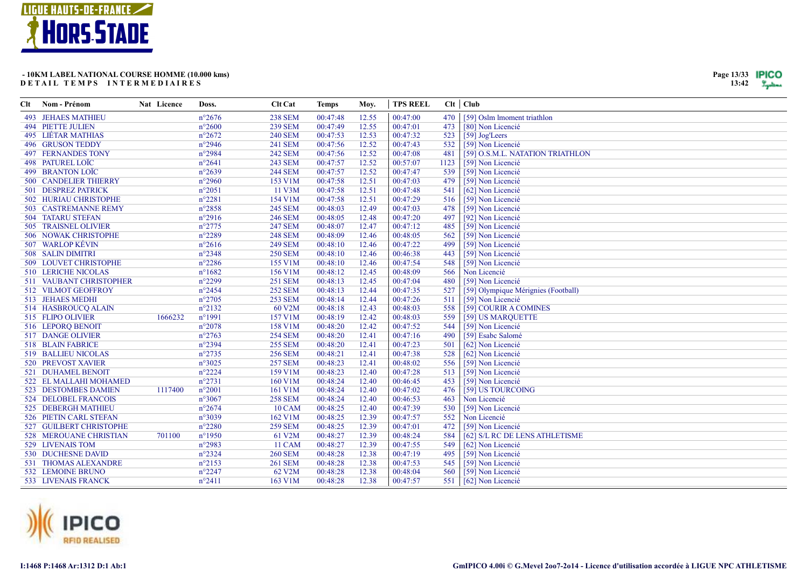

| Page 13/33 | TPICO |
|------------|-------|
| 13:42      |       |

| Clt | Nom - Prénom                 | Nat Licence | Doss.           | <b>Clt Cat</b> | <b>Temps</b> | Moy.  | <b>TPS REEL</b> |      | Clt   Club                          |
|-----|------------------------------|-------------|-----------------|----------------|--------------|-------|-----------------|------|-------------------------------------|
|     | <b>493 JEHAES MATHIEU</b>    |             | $n^{\circ}2676$ | <b>238 SEM</b> | 00:47:48     | 12.55 | 00:47:00        | 470  | [59] Oslm Imoment triathlon         |
|     | <b>494 PIETTE JULIEN</b>     |             | $n^{\circ}2600$ | <b>239 SEM</b> | 00:47:49     | 12.55 | 00:47:01        | 473  | [80] Non Licencié                   |
|     | 495 LIÉTAR MATHIAS           |             | $n^{\circ}2672$ | <b>240 SEM</b> | 00:47:53     | 12.53 | 00:47:32        | 523  | [59] Jog'Leers                      |
|     | <b>496 GRUSON TEDDY</b>      |             | $n^{\circ}2946$ | 241 SEM        | 00:47:56     | 12.52 | 00:47:43        | 532  | [59] Non Licencié                   |
|     | <b>497 FERNANDES TONY</b>    |             | $n^{\circ}2984$ | <b>242 SEM</b> | 00:47:56     | 12.52 | 00:47:08        | 481  | [59] O.S.M.L. NATATION TRIATHLON    |
|     | 498 PATUREL LOÏC             |             | $n^{\circ}2641$ | 243 SEM        | 00:47:57     | 12.52 | 00:57:07        | 1123 | [59] Non Licencié                   |
|     | <b>499 BRANTON LOÏC</b>      |             | $n^{\circ}2639$ | <b>244 SEM</b> | 00:47:57     | 12.52 | 00:47:47        | 539  | [59] Non Licencié                   |
|     | <b>500 CANDELIER THIERRY</b> |             | $n^{\circ}2960$ | 153 V1M        | 00:47:58     | 12.51 | 00:47:03        | 479  | [59] Non Licencié                   |
|     | 501 DESPREZ PATRICK          |             | $n^{\circ}2051$ | 11 V3M         | 00:47:58     | 12.51 | 00:47:48        | 541  | [62] Non Licencié                   |
|     | 502 HURIAU CHRISTOPHE        |             | $n^{\circ}2281$ | 154 V1M        | 00:47:58     | 12.51 | 00:47:29        | 516  | [59] Non Licencié                   |
|     | 503 CASTREMANNE REMY         |             | $n^{\circ}2858$ | <b>245 SEM</b> | 00:48:03     | 12.49 | 00:47:03        | 478  | [59] Non Licencié                   |
|     | <b>504 TATARU STEFAN</b>     |             | $n^{\circ}2916$ | <b>246 SEM</b> | 00:48:05     | 12.48 | 00:47:20        | 497  | [92] Non Licencié                   |
|     | 505 TRAISNEL OLIVIER         |             | $n^{\circ}2775$ | <b>247 SEM</b> | 00:48:07     | 12.47 | 00:47:12        | 485  | [59] Non Licencié                   |
|     | 506 NOWAK CHRISTOPHE         |             | n°2289          | <b>248 SEM</b> | 00:48:09     | 12.46 | 00:48:05        | 562  | [59] Non Licencié                   |
|     | 507 WARLOP KÉVIN             |             | $n^{\circ}2616$ | <b>249 SEM</b> | 00:48:10     | 12.46 | 00:47:22        | 499  | [59] Non Licencié                   |
|     | 508 SALIN DIMITRI            |             | $n^{\circ}2348$ | <b>250 SEM</b> | 00:48:10     | 12.46 | 00:46:38        | 443  | [59] Non Licencié                   |
|     | 509 LOUVET CHRISTOPHE        |             | $n^{\circ}2286$ | 155 V1M        | 00:48:10     | 12.46 | 00:47:54        | 548  | [59] Non Licencié                   |
|     | 510 LERICHE NICOLAS          |             | $n^{\circ}1682$ | 156 V1M        | 00:48:12     | 12.45 | 00:48:09        | 566  | Non Licencié                        |
|     | 511 VAUBANT CHRISTOPHER      |             | n°2299          | <b>251 SEM</b> | 00:48:13     | 12.45 | 00:47:04        | 480  | [59] Non Licencié                   |
|     | 512 VILMOT GEOFFROY          |             | $n^{\circ}2454$ | <b>252 SEM</b> | 00:48:13     | 12.44 | 00:47:35        | 527  | [59] Olympique Mérignies (Football) |
|     | 513 JEHAES MEDHI             |             | $n^{\circ}2705$ | <b>253 SEM</b> | 00:48:14     | 12.44 | 00:47:26        | 511  | [59] Non Licencié                   |
|     | 514 HASBROUCQ ALAIN          |             | $n^{\circ}2132$ | 60 V2M         | 00:48:18     | 12.43 | 00:48:03        | 558  | [59] COURIR A COMINES               |
|     | 515 FLIPO OLIVIER            | 1666232     | $n^{\circ}1991$ | 157 V1M        | 00:48:19     | 12.42 | 00:48:03        | 559  | [59] US MARQUETTE                   |
|     | 516 LEPORQ BENOIT            |             | $n^{\circ}2078$ | 158 V1M        | 00:48:20     | 12.42 | 00:47:52        | 544  | [59] Non Licencié                   |
|     | 517 DANGE OLIVIER            |             | $n^{\circ}2763$ | <b>254 SEM</b> | 00:48:20     | 12.41 | 00:47:16        | 490  | [59] Esabc Salomé                   |
|     | 518 BLAIN FABRICE            |             | $n^{\circ}2394$ | <b>255 SEM</b> | 00:48:20     | 12.41 | 00:47:23        | 501  | [62] Non Licencié                   |
|     | 519 BALLIEU NICOLAS          |             | $n^{\circ}2735$ | <b>256 SEM</b> | 00:48:21     | 12.41 | 00:47:38        | 528  | [62] Non Licencié                   |
|     | 520 PREVOST XAVIER           |             | $n^{\circ}3025$ | <b>257 SEM</b> | 00:48:23     | 12.41 | 00:48:02        | 556  | [59] Non Licencié                   |
|     | 521 DUHAMEL BENOIT           |             | $n^{\circ}2224$ | 159 V1M        | 00:48:23     | 12.40 | 00:47:28        | 513  | [59] Non Licencié                   |
|     | 522 EL MALLAHI MOHAMED       |             | $n^{\circ}2731$ | 160 V1M        | 00:48:24     | 12.40 | 00:46:45        | 453  | [59] Non Licencié                   |
|     | 523 DESTOMBES DAMIEN         | 1117400     | $n^{\circ}2001$ | 161 V1M        | 00:48:24     | 12.40 | 00:47:02        | 476  | [59] US TOURCOING                   |
|     | 524 DELOBEL FRANCOIS         |             | $n^{\circ}3067$ | <b>258 SEM</b> | 00:48:24     | 12.40 | 00:46:53        | 463  | Non Licencié                        |
|     | 525 DEBERGH MATHIEU          |             | $n^{\circ}2674$ | <b>10 CAM</b>  | 00:48:25     | 12.40 | 00:47:39        | 530  | [59] Non Licencié                   |
|     | 526 PIETIN CARL STEFAN       |             | n°3039          | 162 V1M        | 00:48:25     | 12.39 | 00:47:57        | 552  | Non Licencié                        |
|     | 527 GUILBERT CHRISTOPHE      |             | $n^{\circ}2280$ | <b>259 SEM</b> | 00:48:25     | 12.39 | 00:47:01        | 472  | [59] Non Licencié                   |
|     | 528 MEROUANE CHRISTIAN       | 701100      | $n^{\circ}1950$ | 61 V2M         | 00:48:27     | 12.39 | 00:48:24        | 584  | [62] S/L RC DE LENS ATHLETISME      |
|     | 529 LIVENAIS TOM             |             | $n^{\circ}2983$ | <b>11 CAM</b>  | 00:48:27     | 12.39 | 00:47:55        | 549  | [62] Non Licencié                   |
|     | 530 DUCHESNE DAVID           |             | $n^{\circ}2324$ | <b>260 SEM</b> | 00:48:28     | 12.38 | 00:47:19        | 495  | [59] Non Licencié                   |
|     | 531 THOMAS ALEXANDRE         |             | $n^{\circ}2153$ | <b>261 SEM</b> | 00:48:28     | 12.38 | 00:47:53        | 545  | [59] Non Licencié                   |
|     | 532 LEMOINE BRUNO            |             | $n^{\circ}2247$ | 62 V2M         | 00:48:28     | 12.38 | 00:48:04        | 560  | [59] Non Licencié                   |
|     | 533 LIVENAIS FRANCK          |             | $n^{\circ}2411$ | 163 V1M        | 00:48:28     | 12.38 | 00:47:57        |      | 551   [62] Non Licencié             |

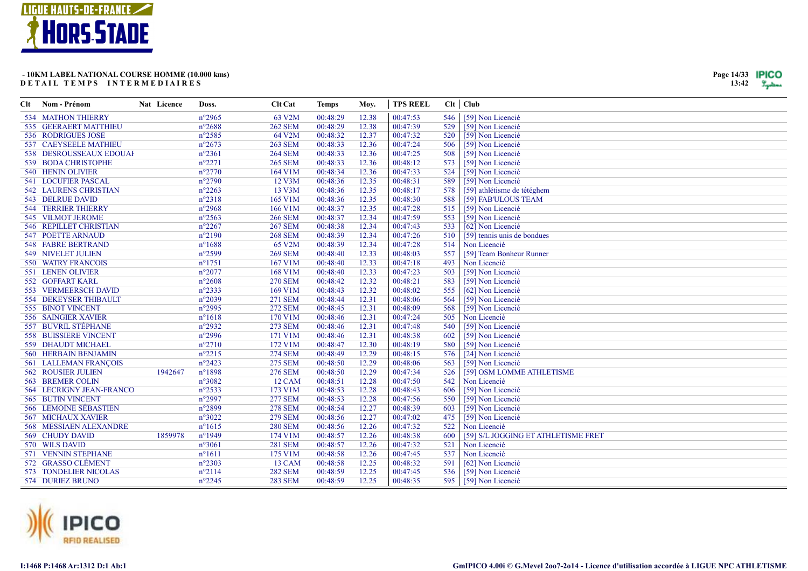

| Clt | Nom - Prénom                 | Nat Licence | Doss.           | <b>Clt</b> Cat | <b>Temps</b> | Moy.  | <b>TPS REEL</b> |     | Clt   Club                          |
|-----|------------------------------|-------------|-----------------|----------------|--------------|-------|-----------------|-----|-------------------------------------|
|     | <b>534 MATHON THIERRY</b>    |             | $n^{\circ}2965$ | 63 V2M         | 00:48:29     | 12.38 | 00:47:53        | 546 | [59] Non Licencié                   |
|     | 535 GEERAERT MATTHIEU        |             | $n^{\circ}2688$ | <b>262 SEM</b> | 00:48:29     | 12.38 | 00:47:39        | 529 | [59] Non Licencié                   |
|     | 536 RODRIGUES JOSE           |             | $n^{\circ}2585$ | 64 V2M         | 00:48:32     | 12.37 | 00:47:32        | 520 | [59] Non Licencié                   |
|     | 537 CAEYSEELE MATHIEU        |             | $n^{\circ}2673$ | <b>263 SEM</b> | 00:48:33     | 12.36 | 00:47:24        | 506 | [59] Non Licencié                   |
|     | 538 DESROUSSEAUX EDOUAI      |             | $n^{\circ}2361$ | <b>264 SEM</b> | 00:48:33     | 12.36 | 00:47:25        | 508 | [59] Non Licencié                   |
|     | 539 BODA CHRISTOPHE          |             | $n^{\circ}2271$ | <b>265 SEM</b> | 00:48:33     | 12.36 | 00:48:12        | 573 | [59] Non Licencié                   |
|     | 540 HENIN OLIVIER            |             | $n^{\circ}2770$ | 164 V1M        | 00:48:34     | 12.36 | 00:47:33        | 524 | [59] Non Licencié                   |
|     | 541 LOCUFIER PASCAL          |             | $n^{\circ}2790$ | 12 V3M         | 00:48:36     | 12.35 | 00:48:31        | 589 | [59] Non Licencié                   |
|     | <b>542 LAURENS CHRISTIAN</b> |             | $n^{\circ}2263$ | 13 V3M         | 00:48:36     | 12.35 | 00:48:17        | 578 | [59] athlétisme de tétéghem         |
|     | 543 DELRUE DAVID             |             | $n^{\circ}2318$ | 165 V1M        | 00:48:36     | 12.35 | 00:48:30        | 588 | [59] FAB'ULOUS TEAM                 |
|     | <b>544 TERRIER THIERRY</b>   |             | $n^{\circ}2968$ | 166 V1M        | 00:48:37     | 12.35 | 00:47:28        | 515 | [59] Non Licencié                   |
|     | 545 VILMOT JEROME            |             | $n^{\circ}2563$ | <b>266 SEM</b> | 00:48:37     | 12.34 | 00:47:59        | 553 | [59] Non Licencié                   |
|     | 546 REPILLET CHRISTIAN       |             | $n^{\circ}2267$ | <b>267 SEM</b> | 00:48:38     | 12.34 | 00:47:43        | 533 | [62] Non Licencié                   |
|     | 547 POETTE ARNAUD            |             | $n^{\circ}2190$ | <b>268 SEM</b> | 00:48:39     | 12.34 | 00:47:26        | 510 | [59] tennis unis de bondues         |
|     | <b>548 FABRE BERTRAND</b>    |             | $n^{\circ}1688$ | 65 V2M         | 00:48:39     | 12.34 | 00:47:28        | 514 | Non Licencié                        |
|     | <b>549 NIVELET JULIEN</b>    |             | $n^{\circ}2599$ | <b>269 SEM</b> | 00:48:40     | 12.33 | 00:48:03        | 557 | [59] Team Bonheur Runner            |
|     | 550 WATRY FRANCOIS           |             | $n^{\circ}1751$ | 167 V1M        | 00:48:40     | 12.33 | 00:47:18        | 493 | Non Licencié                        |
|     | 551 LENEN OLIVIER            |             | $n^{\circ}2077$ | 168 V1M        | 00:48:40     | 12.33 | 00:47:23        | 503 | [59] Non Licencié                   |
|     | 552 GOFFART KARL             |             | $n^{\circ}2608$ | <b>270 SEM</b> | 00:48:42     | 12.32 | 00:48:21        | 583 | [59] Non Licencié                   |
|     | 553 VERMEERSCH DAVID         |             | $n^{\circ}2333$ | 169 V1M        | 00:48:43     | 12.32 | 00:48:02        | 555 | [62] Non Licencié                   |
|     | 554 DEKEYSER THIBAULT        |             | $n^{\circ}2039$ | <b>271 SEM</b> | 00:48:44     | 12.31 | 00:48:06        | 564 | [59] Non Licencié                   |
|     | 555 BINOT VINCENT            |             | $n^{\circ}2995$ | <b>272 SEM</b> | 00:48:45     | 12.31 | 00:48:09        | 568 | [59] Non Licencié                   |
|     | 556 SAINGIER XAVIER          |             | $n^{\circ}1618$ | 170 V1M        | 00:48:46     | 12.31 | 00:47:24        | 505 | Non Licencié                        |
|     | 557 BUVRIL STÉPHANE          |             | $n^{\circ}2932$ | <b>273 SEM</b> | 00:48:46     | 12.31 | 00:47:48        | 540 | [59] Non Licencié                   |
|     | <b>558 BUISSIERE VINCENT</b> |             | $n^{\circ}2996$ | 171 V1M        | 00:48:46     | 12.31 | 00:48:38        | 602 | [59] Non Licencié                   |
|     | 559 DHAUDT MICHAEL           |             | $n^{\circ}2710$ | 172 V1M        | 00:48:47     | 12.30 | 00:48:19        | 580 | [59] Non Licencié                   |
|     | <b>560 HERBAIN BENJAMIN</b>  |             | $n^{\circ}2215$ | <b>274 SEM</b> | 00:48:49     | 12.29 | 00:48:15        | 576 | [24] Non Licencié                   |
|     | 561 LALLEMAN FRANÇOIS        |             | $n^{\circ}2423$ | <b>275 SEM</b> | 00:48:50     | 12.29 | 00:48:06        | 563 | [59] Non Licencié                   |
|     | <b>562 ROUSIER JULIEN</b>    | 1942647     | $n^{\circ}1898$ | <b>276 SEM</b> | 00:48:50     | 12.29 | 00:47:34        | 526 | [59] OSM LOMME ATHLETISME           |
|     | 563 BREMER COLIN             |             | n°3082          | 12 CAM         | 00:48:51     | 12.28 | 00:47:50        | 542 | Non Licencié                        |
|     | 564 LÉCRIGNY JEAN-FRANCO     |             | $n^{\circ}2533$ | 173 V1M        | 00:48:53     | 12.28 | 00:48:43        | 606 | [59] Non Licencié                   |
|     | 565 BUTIN VINCENT            |             | $n^{\circ}2997$ | <b>277 SEM</b> | 00:48:53     | 12.28 | 00:47:56        | 550 | [59] Non Licencié                   |
|     | 566 LEMOINE SÉBASTIEN        |             | $n^{\circ}2899$ | <b>278 SEM</b> | 00:48:54     | 12.27 | 00:48:39        | 603 | [59] Non Licencié                   |
|     | <b>567 MICHAUX XAVIER</b>    |             | $n^{\circ}3022$ | <b>279 SEM</b> | 00:48:56     | 12.27 | 00:47:02        | 475 | [59] Non Licencié                   |
|     | 568 MESSIAEN ALEXANDRE       |             | $n^{\circ}1615$ | <b>280 SEM</b> | 00:48:56     | 12.26 | 00:47:32        | 522 | Non Licencié                        |
|     | 569 CHUDY DAVID              | 1859978     | $n^{\circ}1949$ | 174 V1M        | 00:48:57     | 12.26 | 00:48:38        | 600 | [59] S/L JOGGING ET ATHLETISME FRET |
|     | 570 WILS DAVID               |             | $n^{\circ}3061$ | <b>281 SEM</b> | 00:48:57     | 12.26 | 00:47:32        | 521 | Non Licencié                        |
|     | 571 VENNIN STEPHANE          |             | $n^{\circ}1611$ | 175 V1M        | 00:48:58     | 12.26 | 00:47:45        | 537 | Non Licencié                        |
|     | 572 GRASSO CLÉMENT           |             | $n^{\circ}2303$ | 13 CAM         | 00:48:58     | 12.25 | 00:48:32        | 591 | [62] Non Licencié                   |
|     | 573 TONDELIER NICOLAS        |             | $n^{\circ}2114$ | <b>282 SEM</b> | 00:48:59     | 12.25 | 00:47:45        | 536 | [59] Non Licencié                   |
|     | 574 DURIEZ BRUNO             |             | $n^{\circ}2245$ | <b>283 SEM</b> | 00:48:59     | 12.25 | 00:48:35        | 595 | [59] Non Licencié                   |



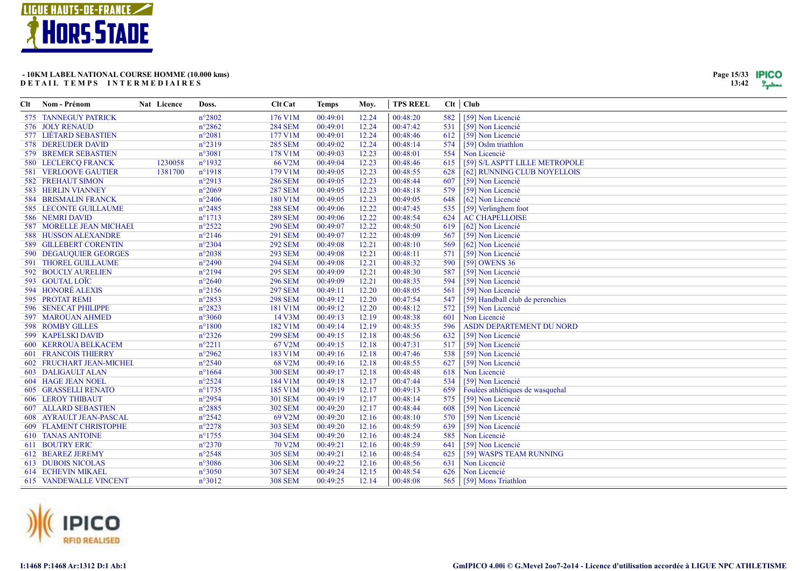

| Page 15/33 | IPICC |
|------------|-------|
| 13:42      |       |

|     | Clt Nom - Prénom                | <b>Nat</b> Licence | Doss.            | <b>Clt</b> Cat | <b>Temps</b> | Mov.  | <b>TPS REEL</b> |     | $Clt$ Club                       |
|-----|---------------------------------|--------------------|------------------|----------------|--------------|-------|-----------------|-----|----------------------------------|
|     | 575 TANNEGUY PATRICK            |                    | $n^{\circ}2802$  | 176 V1M        | 00:49:01     | 12.24 | 00:48:20        | 582 | [59] Non Licencié                |
|     | 576 JOLY RENAUD                 |                    | $n^{\circ}2862$  | <b>284 SEM</b> | 00:49:01     | 12.24 | 00:47:42        | 531 | [59] Non Licencié                |
|     | 577 LIÉTARD SEBASTIEN           |                    | $n^{\circ}2081$  | 177 V1M        | 00:49:01     | 12.24 | 00:48:46        | 612 | [59] Non Licencié                |
|     | 578 DEREUDER DAVID              |                    | $n^{\circ}2319$  | <b>285 SEM</b> | 00:49:02     | 12.24 | 00:48:14        | 574 | [59] Oslm triathlon              |
|     | 579 BREMER SEBASTIEN            |                    | $n^{\circ}3081$  | 178 V1M        | 00:49:03     | 12.23 | 00:48:01        | 554 | Non Licencié                     |
|     | 580 LECLERCQ FRANCK             | 1230058            | n°1932           | 66 V2M         | 00:49:04     | 12.23 | 00:48:46        | 615 | [59] S/L ASPTT LILLE METROPOLE   |
|     | <b>581 VERLOOVE GAUTIER</b>     | 1381700            | $n^{\circ}1918$  | 179 V1M        | 00:49:05     | 12.23 | 00:48:55        | 628 | [62] RUNNING CLUB NOYELLOIS      |
|     | <b>582 FREHAUT SIMON</b>        |                    | $n^{\circ}2913$  | <b>286 SEM</b> | 00:49:05     | 12.23 | 00:48:44        | 607 | [59] Non Licencié                |
|     | <b>583 HERLIN VIANNEY</b>       |                    | $n^{\circ}2069$  | <b>287 SEM</b> | 00:49:05     | 12.23 | 00:48:18        | 579 | [59] Non Licencié                |
|     | <b>584 BRISMALIN FRANCK</b>     |                    | $n^{\circ}2406$  | 180 V1M        | 00:49:05     | 12.23 | 00:49:05        | 648 | [62] Non Licencié                |
|     | <b>585 LECONTE GUILLAUME</b>    |                    | $n^{\circ}2485$  | <b>288 SEM</b> | 00:49:06     | 12.22 | 00:47:45        | 535 | [59] Verlinghem foot             |
|     | 586 NEMRI DAVID                 |                    | $n^{\circ}1713$  | <b>289 SEM</b> | 00:49:06     | 12.22 | 00:48:54        | 624 | <b>AC CHAPELLOISE</b>            |
|     | <b>587 MORELLE JEAN MICHAEL</b> |                    | $n^{\circ}2522$  | <b>290 SEM</b> | 00:49:07     | 12.22 | 00:48:50        | 619 | [62] Non Licencié                |
|     | 588 HUSSON ALEXANDRE            |                    | $n^{\circ}2146$  | <b>291 SEM</b> | 00:49:07     | 12.22 | 00:48:09        | 567 | [59] Non Licencié                |
|     | 589 GILLEBERT CORENTIN          |                    | $n^{\circ}2304$  | <b>292 SEM</b> | 00:49:08     | 12.21 | 00:48:10        | 569 | [62] Non Licencié                |
|     | 590 DEGAUQUIER GEORGES          |                    | $n^{\circ}2038$  | <b>293 SEM</b> | 00:49:08     | 12.21 | 00:48:11        | 571 | [59] Non Licencié                |
|     | 591 THOREL GUILLAUME            |                    | $n^{\circ}2490$  | <b>294 SEM</b> | 00:49:08     | 12.21 | 00:48:32        | 590 | [59] OWENS 36                    |
|     | 592 BOUCLY AURELIEN             |                    | $n^{\circ}2194$  | <b>295 SEM</b> | 00:49:09     | 12.21 | 00:48:30        | 587 | [59] Non Licencié                |
|     | 593 GOUTAL LOÏC                 |                    | $n^{\circ}2640$  | <b>296 SEM</b> | 00:49:09     | 12.21 | 00:48:35        | 594 | [59] Non Licencié                |
|     | 594 HONORÉ ALEXIS               |                    | $n^{\circ}2156$  | <b>297 SEM</b> | 00:49:11     | 12.20 | 00:48:05        | 561 | [59] Non Licencié                |
|     | 595 PROTAT REMI                 |                    | $n^{\circ}2853$  | <b>298 SEM</b> | 00:49:12     | 12.20 | 00:47:54        | 547 | [59] Handball club de perenchies |
|     | 596 SENECAT PHILIPPE            |                    | n°2823           | 181 V1M        | 00:49:12     | 12.20 | 00:48:12        | 572 | [59] Non Licencié                |
|     | 597 MAROUAN AHMED               |                    | $n^{\circ}3060$  | 14 V3M         | 00:49:13     | 12.19 | 00:48:38        | 601 | Non Licencié                     |
|     | 598 ROMBY GILLES                |                    | $n^{\circ}1800$  | 182 V1M        | 00:49:14     | 12.19 | 00:48:35        | 596 | ASDN DEPARTEMENT DU NORD         |
|     | 599 KAPELSKI DAVID              |                    | $n^{\circ}2326$  | <b>299 SEM</b> | 00:49:15     | 12.18 | 00:48:56        | 632 | [59] Non Licencié                |
|     | 600 KERROUA BELKACEM            |                    | $n^{\circ}2211$  | 67 V2M         | 00:49:15     | 12.18 | 00:47:31        | 517 | [59] Non Licencié                |
| 601 | <b>FRANCOIS THIERRY</b>         |                    | n°2962           | 183 V1M        | 00:49:16     | 12.18 | 00:47:46        | 538 | [59] Non Licencié                |
|     | 602 FRUCHART JEAN-MICHEI        |                    | $n^{\circ}2540$  | 68 V2M         | 00:49:16     | 12.18 | 00:48:55        | 627 | [59] Non Licencié                |
|     | <b>603 DALIGAULT ALAN</b>       |                    | $n^{\circ}1664$  | <b>300 SEM</b> | 00:49:17     | 12.18 | 00:48:48        | 618 | Non Licencié                     |
|     | <b>604 HAGE JEAN NOEL</b>       |                    | $n^{\circ}2524$  | 184 V1M        | 00:49:18     | 12.17 | 00:47:44        | 534 | [59] Non Licencié                |
|     | <b>605 GRASSELLI RENATO</b>     |                    | $n^{\circ}$ 1735 | 185 V1M        | 00:49:19     | 12.17 | 00:49:13        | 659 | Foulées athlétiques de wasquehal |
|     | <b>606 LEROY THIBAUT</b>        |                    | n°2954           | <b>301 SEM</b> | 00:49:19     | 12.17 | 00:48:14        | 575 | [59] Non Licencié                |
|     | <b>607 ALLARD SEBASTIEN</b>     |                    | $n^{\circ}2885$  | <b>302 SEM</b> | 00:49:20     | 12.17 | 00:48:44        | 608 | [59] Non Licencié                |
|     | 608 AYRAULT JEAN-PASCAL         |                    | $n^{\circ}2542$  | 69 V2M         | 00:49:20     | 12.16 | 00:48:10        | 570 | [59] Non Licencié                |
|     | 609 FLAMENT CHRISTOPHE          |                    | $n^{\circ}2278$  | <b>303 SEM</b> | 00:49:20     | 12.16 | 00:48:59        | 639 | [59] Non Licencié                |
|     | <b>610 TANAS ANTOINE</b>        |                    | $n^{\circ}$ 1755 | <b>304 SEM</b> | 00:49:20     | 12.16 | 00:48:24        | 585 | Non Licencié                     |
|     | 611 BOUTRY ERIC                 |                    | $n^{\circ}2370$  | 70 V2M         | 00:49:21     | 12.16 | 00:48:59        | 641 | [59] Non Licencié                |
|     | 612 BEAREZ JEREMY               |                    | $n^{\circ}2548$  | <b>305 SEM</b> | 00:49:21     | 12.16 | 00:48:54        | 625 | [59] WASPS TEAM RUNNING          |
|     | <b>613 DUBOIS NICOLAS</b>       |                    | $n^{\circ}3086$  | <b>306 SEM</b> | 00:49:22     | 12.16 | 00:48:56        | 631 | Non Licencié                     |
|     | 614 ECHEVIN MIKAEL              |                    | $n^{\circ}3050$  | <b>307 SEM</b> | 00:49:24     | 12.15 | 00:48:54        | 626 | Non Licencié                     |
|     | <b>615 VANDEWALLE VINCENT</b>   |                    | $n^{\circ}3012$  | <b>308 SEM</b> | 00:49:25     | 12.14 | 00:48:08        | 565 | [59] Mons Triathlon              |

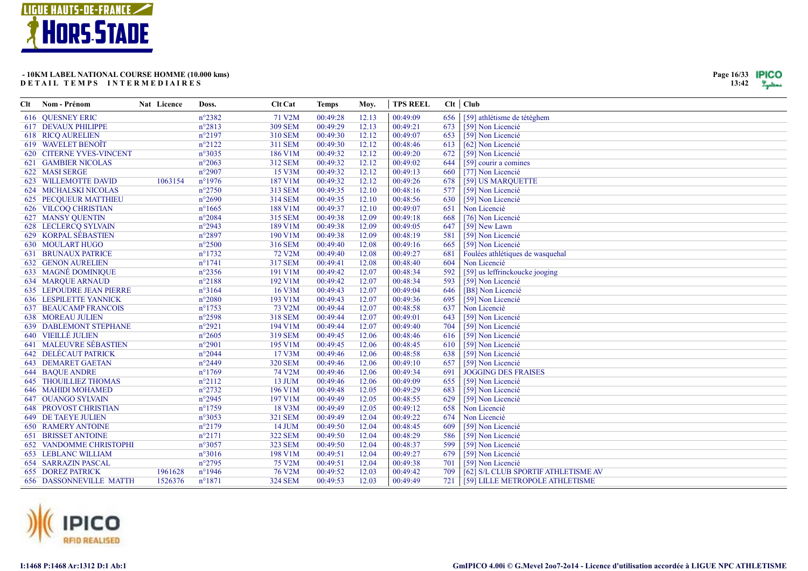

| Page 16/33 | IPICO |
|------------|-------|
| 13:42      |       |

| Clt | Nom - Prénom                    | Nat Licence | Doss.            | <b>Clt Cat</b>      | <b>Temps</b> | Moy.  | <b>TPS REEL</b> |     | Clt   Club                          |
|-----|---------------------------------|-------------|------------------|---------------------|--------------|-------|-----------------|-----|-------------------------------------|
|     | <b>616 OUESNEY ERIC</b>         |             | $n^{\circ}2382$  | 71 V2M              | 00:49:28     | 12.13 | 00:49:09        | 656 | [59] athlétisme de tétéghem         |
|     | <b>617 DEVAUX PHILIPPE</b>      |             | $n^{\circ}2813$  | <b>309 SEM</b>      | 00:49:29     | 12.13 | 00:49:21        | 673 | [59] Non Licencié                   |
|     | <b>618 RICO AURELIEN</b>        |             | $n^{\circ}2197$  | 310 SEM             | 00:49:30     | 12.12 | 00:49:07        | 653 | [59] Non Licencié                   |
|     | 619 WAVELET BENOÎT              |             | $n^{\circ}2122$  | <b>311 SEM</b>      | 00:49:30     | 12.12 | 00:48:46        | 613 | [62] Non Licencié                   |
|     | 620 CITERNE YVES-VINCENT        |             | $n^{\circ}3035$  | 186 V1M             | 00:49:32     | 12.12 | 00:49:20        | 672 | [59] Non Licencié                   |
|     | <b>621 GAMBIER NICOLAS</b>      |             | $n^{\circ}2063$  | 312 SEM             | 00:49:32     | 12.12 | 00:49:02        | 644 | [59] courir a comines               |
|     | 622 MASI SERGE                  |             | $n^{\circ}2907$  | 15 V3M              | 00:49:32     | 12.12 | 00:49:13        | 660 | [77] Non Licencié                   |
|     | 623 WILLEMOTTE DAVID            | 1063154     | $n^{\circ}1976$  | 187 V1M             | 00:49:32     | 12.12 | 00:49:26        | 678 | [59] US MARQUETTE                   |
|     | 624 MICHALSKI NICOLAS           |             | $n^{\circ}2750$  | 313 SEM             | 00:49:35     | 12.10 | 00:48:16        | 577 | [59] Non Licencié                   |
|     | 625 PECQUEUR MATTHIEU           |             | $n^{\circ}2690$  | <b>314 SEM</b>      | 00:49:35     | 12.10 | 00:48:56        | 630 | [59] Non Licencié                   |
|     | <b>626 VILCOQ CHRISTIAN</b>     |             | $n^{\circ}1665$  | 188 V1M             | 00:49:37     | 12.10 | 00:49:07        | 651 | Non Licencié                        |
|     | <b>627 MANSY QUENTIN</b>        |             | $n^{\circ}2084$  | 315 SEM             | 00:49:38     | 12.09 | 00:49:18        | 668 | [76] Non Licencié                   |
|     | 628 LECLERCQ SYLVAIN            |             | $n^{\circ}2943$  | 189 V1M             | 00:49:38     | 12.09 | 00:49:05        | 647 | [59] New Lawn                       |
|     | 629 KORPAL SÉBASTIEN            |             | $n^{\circ}2897$  | 190 V1M             | 00:49:38     | 12.09 | 00:48:19        | 581 | [59] Non Licencié                   |
|     | <b>630 MOULART HUGO</b>         |             | $n^{\circ}2500$  | 316 SEM             | 00:49:40     | 12.08 | 00:49:16        | 665 | [59] Non Licencié                   |
|     | <b>631 BRUNAUX PATRICE</b>      |             | $n^{\circ}1732$  | 72 V <sub>2</sub> M | 00:49:40     | 12.08 | 00:49:27        | 681 | Foulées athlétiques de wasquehal    |
|     | <b>632 GENON AURELIEN</b>       |             | $n^{\circ}1741$  | <b>317 SEM</b>      | 00:49:41     | 12.08 | 00:48:40        | 604 | Non Licencié                        |
|     | <b>633 MAGNÉ DOMINIQUE</b>      |             | $n^{\circ}2356$  | 191 V1M             | 00:49:42     | 12.07 | 00:48:34        | 592 | [59] us leffrinckoucke jooging      |
|     | <b>634 MARQUE ARNAUD</b>        |             | $n^{\circ}2188$  | 192 V1M             | 00:49:42     | 12.07 | 00:48:34        | 593 | [59] Non Licencié                   |
|     | <b>635 LEPOUDRE JEAN PIERRE</b> |             | $n^{\circ}3164$  | 16 V3M              | 00:49:43     | 12.07 | 00:49:04        | 646 | [B8] Non Licencié                   |
|     | <b>636 LESPILETTE YANNICK</b>   |             | $n^{\circ}2080$  | 193 V1M             | 00:49:43     | 12.07 | 00:49:36        | 695 | [59] Non Licencié                   |
|     | <b>637 BEAUCAMP FRANCOIS</b>    |             | $n^{\circ}1753$  | 73 V2M              | 00:49:44     | 12.07 | 00:48:58        | 637 | Non Licencié                        |
|     | <b>638 MOREAU JULIEN</b>        |             | $n^{\circ}2598$  | <b>318 SEM</b>      | 00:49:44     | 12.07 | 00:49:01        | 643 | [59] Non Licencié                   |
|     | <b>639 DABLEMONT STEPHANE</b>   |             | $n^{\circ}2921$  | 194 V1M             | 00:49:44     | 12.07 | 00:49:40        | 704 | [59] Non Licencié                   |
|     | 640 VIEILLÉ JULIEN              |             | $n^{\circ}2605$  | <b>319 SEM</b>      | 00:49:45     | 12.06 | 00:48:46        | 616 | [59] Non Licencié                   |
|     | <b>641 MALEUVRE SÉBASTIEN</b>   |             | $n^{\circ}2901$  | 195 V1M             | 00:49:45     | 12.06 | 00:48:45        | 610 | [59] Non Licencié                   |
|     | <b>642 DELÉCAUT PATRICK</b>     |             | $n^{\circ}2044$  | 17 V3M              | 00:49:46     | 12.06 | 00:48:58        | 638 | [59] Non Licencié                   |
|     | <b>643 DEMARET GAETAN</b>       |             | $n^{\circ}2449$  | <b>320 SEM</b>      | 00:49:46     | 12.06 | 00:49:10        | 657 | [59] Non Licencié                   |
|     | <b>644 BAQUE ANDRE</b>          |             | $n^{\circ}1769$  | 74 V2M              | 00:49:46     | 12.06 | 00:49:34        | 691 | <b>JOGGING DES FRAISES</b>          |
|     | <b>645 THOUILLIEZ THOMAS</b>    |             | $n^{\circ}2112$  | 13 JUM              | 00:49:46     | 12.06 | 00:49:09        | 655 | [59] Non Licencié                   |
|     | 646 MAHIDI MOHAMED              |             | $n^{\circ}2732$  | 196 V1M             | 00:49:48     | 12.05 | 00:49:29        | 683 | [59] Non Licencié                   |
|     | <b>647 OUANGO SYLVAIN</b>       |             | n°2945           | 197 V1M             | 00:49:49     | 12.05 | 00:48:55        | 629 | [59] Non Licencié                   |
|     | <b>648 PROVOST CHRISTIAN</b>    |             | $n^{\circ}1759$  | 18 V3M              | 00:49:49     | 12.05 | 00:49:12        | 658 | Non Licencié                        |
|     | <b>649 DE TAEYE JULIEN</b>      |             | $n^{\circ}3053$  | <b>321 SEM</b>      | 00:49:49     | 12.04 | 00:49:22        | 674 | Non Licencié                        |
|     | <b>650 RAMERY ANTOINE</b>       |             | $n^{\circ}2179$  | 14 JUM              | 00:49:50     | 12.04 | 00:48:45        | 609 | [59] Non Licencié                   |
|     | <b>651 BRISSET ANTOINE</b>      |             | $n^{\circ}2171$  | <b>322 SEM</b>      | 00:49:50     | 12.04 | 00:48:29        | 586 | [59] Non Licencié                   |
|     | <b>652 VANDOMME CHRISTOPHI</b>  |             | $n^{\circ}3057$  | <b>323 SEM</b>      | 00:49:50     | 12.04 | 00:48:37        | 599 | [59] Non Licencié                   |
|     | <b>653 LEBLANC WILLIAM</b>      |             | $n^{\circ}3016$  | 198 V1M             | 00:49:51     | 12.04 | 00:49:27        | 679 | [59] Non Licencié                   |
|     | <b>654 SARRAZIN PASCAL</b>      |             | $n^{\circ}2795$  | 75 V2M              | 00:49:51     | 12.04 | 00:49:38        | 701 | [59] Non Licencié                   |
|     | <b>655 DOREZ PATRICK</b>        | 1961628     | $n^{\circ}$ 1946 | 76 V2M              | 00:49:52     | 12.03 | 00:49:42        | 709 | [62] S/L CLUB SPORTIF ATHLETISME AV |
|     | <b>656 DASSONNEVILLE MATTH</b>  | 1526376     | $n^{\circ}1871$  | <b>324 SEM</b>      | 00:49:53     | 12.03 | 00:49:49        | 721 | [59] LILLE METROPOLE ATHLETISME     |

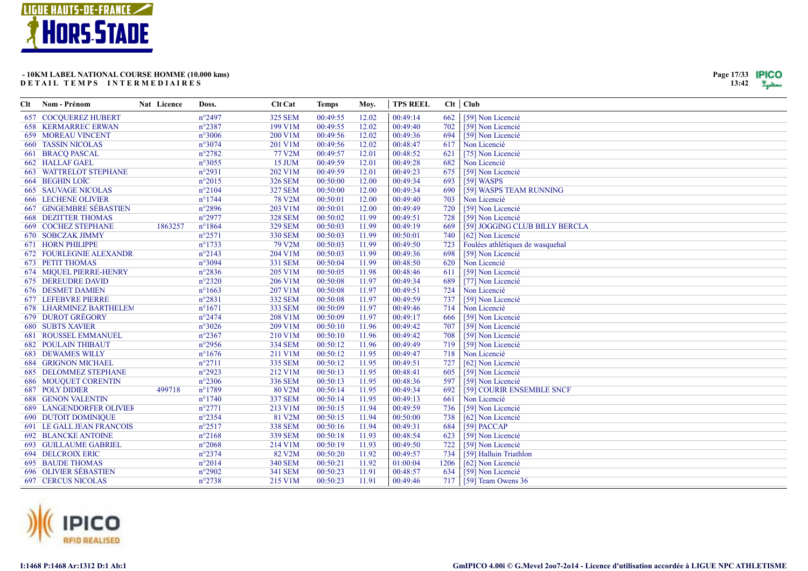

| Page 17/33 | IPICO |
|------------|-------|
| 13:42      |       |

| Clt | Nom - Prénom                     | Nat Licence | Doss.           | <b>Clt Cat</b>      | <b>Temps</b> | Moy.  | <b>TPS REEL</b> |      | $Clt$ $Club$                     |
|-----|----------------------------------|-------------|-----------------|---------------------|--------------|-------|-----------------|------|----------------------------------|
|     | <b>657 COCOUEREZ HUBERT</b>      |             | $n^{\circ}2497$ | <b>325 SEM</b>      | 00:49:55     | 12.02 | 00:49:14        | 662  | [59] Non Licencié                |
|     | <b>658 KERMARREC ERWAN</b>       |             | $n^{\circ}2387$ | 199 V1M             | 00:49:55     | 12.02 | 00:49:40        | 702  | [59] Non Licencié                |
|     | <b>659 MOREAU VINCENT</b>        |             | $n^{\circ}3006$ | 200 V1M             | 00:49:56     | 12.02 | 00:49:36        | 694  | [59] Non Licencié                |
|     | <b>660 TASSIN NICOLAS</b>        |             | $n^{\circ}3074$ | 201 V1M             | 00:49:56     | 12.02 | 00:48:47        | 617  | Non Licencié                     |
|     | 661 BRACQ PASCAL                 |             | $n^{\circ}2782$ | 77 V2M              | 00:49:57     | 12.01 | 00:48:52        | 621  | [75] Non Licencié                |
|     | 662 HALLAF GAEL                  |             | $n^{\circ}3055$ | 15 JUM              | 00:49:59     | 12.01 | 00:49:28        | 682  | Non Licencié                     |
|     | <b>663 WATTRELOT STEPHANE</b>    |             | $n^{\circ}2931$ | 202 V1M             | 00:49:59     | 12.01 | 00:49:23        | 675  | [59] Non Licencié                |
|     | 664 BEGHIN LOÏC                  |             | $n^{\circ}2015$ | <b>326 SEM</b>      | 00:50:00     | 12.00 | 00:49:34        | 693  | [59] WASPS                       |
|     | <b>665 SAUVAGE NICOLAS</b>       |             | $n^{\circ}2104$ | <b>327 SEM</b>      | 00:50:00     | 12.00 | 00:49:34        | 690  | [59] WASPS TEAM RUNNING          |
|     | <b>666 LECHENE OLIVIER</b>       |             | $n^{\circ}1744$ | 78 V <sub>2</sub> M | 00:50:01     | 12.00 | 00:49:40        | 703  | Non Licencié                     |
|     | 667 GINGEMBRE SÉBASTIEN          |             | $n^{\circ}2896$ | 203 V1M             | 00:50:01     | 12.00 | 00:49:49        | 720  | [59] Non Licencié                |
|     | <b>668 DEZITTER THOMAS</b>       |             | $n^{\circ}2977$ | <b>328 SEM</b>      | 00:50:02     | 11.99 | 00:49:51        | 728  | [59] Non Licencié                |
|     | <b>669 COCHEZ STEPHANE</b>       | 1863257     | $n^{\circ}1864$ | <b>329 SEM</b>      | 00:50:03     | 11.99 | 00:49:19        | 669  | [59] JOGGING CLUB BILLY BERCLA   |
|     | 670 SOBCZAK JIMMY                |             | $n^{\circ}2571$ | <b>330 SEM</b>      | 00:50:03     | 11.99 | 00:50:01        | 740  | [62] Non Licencié                |
|     | <b>671 HORN PHILIPPE</b>         |             | $n^{\circ}1733$ | 79 V2M              | 00:50:03     | 11.99 | 00:49:50        | 723  | Foulées athlétiques de wasquehal |
|     | <b>672 FOURLEGNIE ALEXANDR</b>   |             | $n^{\circ}2143$ | 204 V1M             | 00:50:03     | 11.99 | 00:49:36        | 698  | [59] Non Licencié                |
|     | <b>673 PETIT THOMAS</b>          |             | $n^{\circ}3094$ | 331 SEM             | 00:50:04     | 11.99 | 00:48:50        | 620  | Non Licencié                     |
|     | 674 MIQUEL PIERRE-HENRY          |             | $n^{\circ}2836$ | 205 V1M             | 00:50:05     | 11.98 | 00:48:46        | 611  | [59] Non Licencié                |
|     | <b>675 DEREUDRE DAVID</b>        |             | $n^{\circ}2320$ | 206 V1M             | 00:50:08     | 11.97 | 00:49:34        | 689  | [77] Non Licencié                |
|     | 676 DESMET DAMIEN                |             | $n^{\circ}1663$ | 207 V1M             | 00:50:08     | 11.97 | 00:49:51        | 724  | Non Licencié                     |
|     | <b>677 LEFEBVRE PIERRE</b>       |             | $n^{\circ}2831$ | <b>332 SEM</b>      | 00:50:08     | 11.97 | 00:49:59        | 737  | [59] Non Licencié                |
|     | 678 LHARMINEZ BARTHELEM          |             | $n^{\circ}1671$ | <b>333 SEM</b>      | 00:50:09     | 11.97 | 00:49:46        | 714  | Non Licencié                     |
|     | 679 DUROT GRÉGORY                |             | $n^{\circ}2474$ | 208 V1M             | 00:50:09     | 11.97 | 00:49:17        | 666  | [59] Non Licencié                |
|     | <b>680 SUBTS XAVIER</b>          |             | $n^{\circ}3026$ | 209 V1M             | 00:50:10     | 11.96 | 00:49:42        | 707  | [59] Non Licencié                |
|     | <b>681 ROUSSEL EMMANUEL</b>      |             | $n^{\circ}2367$ | 210 V1M             | 00:50:10     | 11.96 | 00:49:42        | 708  | [59] Non Licencié                |
|     | <b>682 POULAIN THIBAUT</b>       |             | $n^{\circ}2956$ | <b>334 SEM</b>      | 00:50:12     | 11.96 | 00:49:49        | 719  | [59] Non Licencié                |
|     | <b>683 DEWAMES WILLY</b>         |             | $n^{\circ}1676$ | 211 V1M             | 00:50:12     | 11.95 | 00:49:47        | 718  | Non Licencié                     |
|     | <b>684 GRIGNON MICHAEL</b>       |             | $n^{\circ}2711$ | <b>335 SEM</b>      | 00:50:12     | 11.95 | 00:49:51        | 727  | [62] Non Licencié                |
|     | <b>685 DELOMMEZ STEPHANE</b>     |             | $n^{\circ}2923$ | 212 V1M             | 00:50:13     | 11.95 | 00:48:41        | 605  | [59] Non Licencié                |
|     | <b>686 MOUQUET CORENTIN</b>      |             | $n^{\circ}2306$ | <b>336 SEM</b>      | 00:50:13     | 11.95 | 00:48:36        | 597  | [59] Non Licencié                |
|     | <b>687 POLY DIDIER</b>           | 499718      | $n^{\circ}1789$ | 80 V2M              | 00:50:14     | 11.95 | 00:49:34        | 692  | [59] COURIR ENSEMBLE SNCF        |
|     | <b>688 GENON VALENTIN</b>        |             | $n^{\circ}1740$ | <b>337 SEM</b>      | 00:50:14     | 11.95 | 00:49:13        | 661  | Non Licencié                     |
|     | <b>689 LANGENDORFER OLIVIEF</b>  |             | $n^{\circ}2771$ | 213 V1M             | 00:50:15     | 11.94 | 00:49:59        | 736  | [59] Non Licencié                |
|     | <b>690 DUTOIT DOMINIQUE</b>      |             | $n^{\circ}2354$ | 81 V2M              | 00:50:15     | 11.94 | 00:50:00        | 738  | [62] Non Licencié                |
|     | <b>691 LE GALL JEAN FRANCOIS</b> |             | $n^{\circ}2517$ | <b>338 SEM</b>      | 00:50:16     | 11.94 | 00:49:31        | 684  | [59] PACCAP                      |
|     | <b>692 BLANCKE ANTOINE</b>       |             | $n^{\circ}2168$ | <b>339 SEM</b>      | 00:50:18     | 11.93 | 00:48:54        | 623  | [59] Non Licencié                |
|     | <b>693 GUILLAUME GABRIEL</b>     |             | $n^{\circ}2068$ | 214 V1M             | 00:50:19     | 11.93 | 00:49:50        | 722  | [59] Non Licencié                |
|     | <b>694 DELCROIX ERIC</b>         |             | $n^{\circ}2374$ | 82 V <sub>2</sub> M | 00:50:20     | 11.92 | 00:49:57        | 734  | [59] Halluin Triathlon           |
|     | <b>695 BAUDE THOMAS</b>          |             | $n^{\circ}2014$ | <b>340 SEM</b>      | 00:50:21     | 11.92 | 01:00:04        | 1206 | [62] Non Licencié                |
|     | <b>696 OLIVIER SÉBASTIEN</b>     |             | $n^{\circ}2902$ | <b>341 SEM</b>      | 00:50:23     | 11.91 | 00:48:57        | 634  | [59] Non Licencié                |
|     | <b>697 CERCUS NICOLAS</b>        |             | $n^{\circ}2738$ | 215 V1M             | 00:50:23     | 11.91 | 00:49:46        |      | 717   [59] Team Owens 36         |

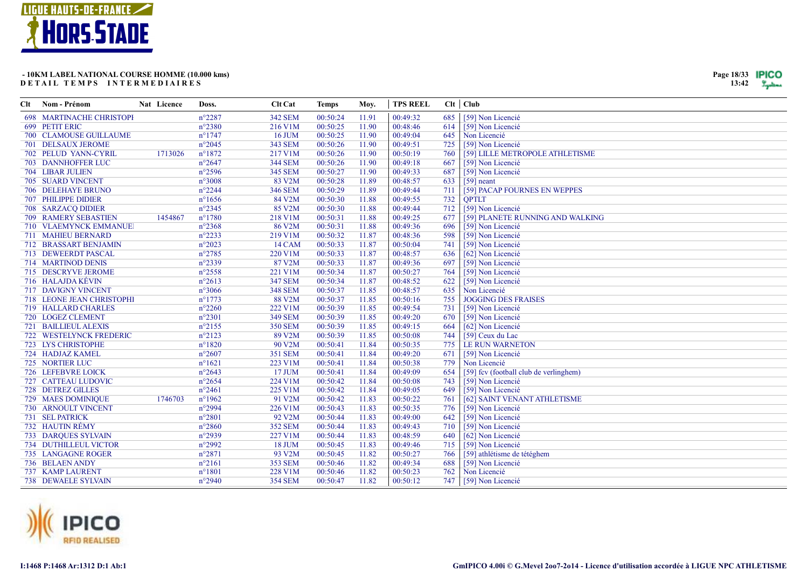

| Clt Nom - Prénom                | Nat Licence | Doss.            | <b>Clt Cat</b>      | <b>Temps</b> | Moy.  | <b>TPS REEL</b> |     | $Clt$ $Club$                           |
|---------------------------------|-------------|------------------|---------------------|--------------|-------|-----------------|-----|----------------------------------------|
| <b>698 MARTINACHE CHRISTOPH</b> |             | $n^{\circ}2287$  | <b>342 SEM</b>      | 00:50:24     | 11.91 | 00:49:32        | 685 | [59] Non Licencié                      |
| 699 PETIT ERIC                  |             | $n^{\circ}2380$  | 216 V1M             | 00:50:25     | 11.90 | 00:48:46        | 614 | [59] Non Licencié                      |
| 700 CLAMOUSE GUILLAUME          |             | $n^{\circ}1747$  | <b>16 JUM</b>       | 00:50:25     | 11.90 | 00:49:04        | 645 | Non Licencié                           |
| <b>701 DELSAUX JEROME</b>       |             | $n^{\circ}2045$  | <b>343 SEM</b>      | 00:50:26     | 11.90 | 00:49:51        | 725 | [59] Non Licencié                      |
| 702 PELUD YANN-CYRIL            | 1713026     | $n^{\circ}1872$  | 217 V1M             | 00:50:26     | 11.90 | 00:50:19        | 760 | [59] LILLE METROPOLE ATHLETISME        |
| 703 DANNHOFFER LUC              |             | $n^{\circ}2647$  | <b>344 SEM</b>      | 00:50:26     | 11.90 | 00:49:18        | 667 | [59] Non Licencié                      |
| 704 LIBAR JULIEN                |             | $n^{\circ}2596$  | <b>345 SEM</b>      | 00:50:27     | 11.90 | 00:49:33        | 687 | [59] Non Licencié                      |
| 705 SUARD VINCENT               |             | $n^{\circ}3008$  | 83 V2M              | 00:50:28     | 11.89 | 00:48:57        | 633 | $[59]$ neant                           |
| <b>706 DELEHAYE BRUNO</b>       |             | $n^{\circ}2244$  | <b>346 SEM</b>      | 00:50:29     | 11.89 | 00:49:44        | 711 | [59] PACAP FOURNES EN WEPPES           |
| 707 PHILIPPE DIDIER             |             | $n^{\circ}1656$  | 84 V2M              | 00:50:30     | 11.88 | 00:49:55        | 732 | <b>OPTLT</b>                           |
| 708 SARZACQ DIDIER              |             | $n^{\circ}2345$  | 85 V2M              | 00:50:30     | 11.88 | 00:49:44        | 712 | [59] Non Licencié                      |
| 709 RAMERY SEBASTIEN            | 1454867     | $n^{\circ}1780$  | 218 V1M             | 00:50:31     | 11.88 | 00:49:25        | 677 | [59] PLANETE RUNNING AND WALKING       |
| 710 VLAEMYNCK EMMANUE           |             | $n^{\circ}2368$  | 86 V <sub>2</sub> M | 00:50:31     | 11.88 | 00:49:36        | 696 | [59] Non Licencié                      |
| 711 MAHIEU BERNARD              |             | $n^{\circ}2233$  | 219 V1M             | 00:50:32     | 11.87 | 00:48:36        | 598 | [59] Non Licencié                      |
| 712 BRASSART BENJAMIN           |             | $n^{\circ}2023$  | 14 CAM              | 00:50:33     | 11.87 | 00:50:04        | 741 | [59] Non Licencié                      |
| 713 DEWEERDT PASCAL             |             | n°2785           | 220 V1M             | 00:50:33     | 11.87 | 00:48:57        | 636 | [62] Non Licencié                      |
| 714 MARTINOD DENIS              |             | n°2339           | 87 V2M              | 00:50:33     | 11.87 | 00:49:36        | 697 | [59] Non Licencié                      |
| 715 DESCRYVE JEROME             |             | $n^{\circ}2558$  | 221 V1M             | 00:50:34     | 11.87 | 00:50:27        | 764 | [59] Non Licencié                      |
| 716 HALAJDA KÉVIN               |             | $n^{\circ}2613$  | <b>347 SEM</b>      | 00:50:34     | 11.87 | 00:48:52        | 622 | [59] Non Licencié                      |
| 717 DAVIGNY VINCENT             |             | $n^{\circ}3066$  | <b>348 SEM</b>      | 00:50:37     | 11.85 | 00:48:57        | 635 | Non Licencié                           |
| 718 LEONE JEAN CHRISTOPHI       |             | $n^{\circ}$ 1773 | 88 V2M              | 00:50:37     | 11.85 | 00:50:16        | 755 | <b>JOGGING DES FRAISES</b>             |
| 719 HALLARD CHARLES             |             | $n^{\circ}2260$  | 222 V1M             | 00:50:39     | 11.85 | 00:49:54        | 731 | [59] Non Licencié                      |
| 720 LOGEZ CLEMENT               |             | $n^{\circ}2301$  | <b>349 SEM</b>      | 00:50:39     | 11.85 | 00:49:20        | 670 | [59] Non Licencié                      |
| 721 BAILLIEUL ALEXIS            |             | $n^{\circ}2155$  | <b>350 SEM</b>      | 00:50:39     | 11.85 | 00:49:15        | 664 | [62] Non Licencié                      |
| 722 WESTELYNCK FREDERIC         |             | $n^{\circ}2123$  | 89 V2M              | 00:50:39     | 11.85 | 00:50:08        | 744 | [59] Ceux du Lac                       |
| 723 LYS CHRISTOPHE              |             | $n^{\circ}1820$  | 90 V2M              | 00:50:41     | 11.84 | 00:50:35        | 775 | LE RUN WARNETON                        |
| 724 HADJAZ KAMEL                |             | $n^{\circ}2607$  | <b>351 SEM</b>      | 00:50:41     | 11.84 | 00:49:20        | 671 | [59] Non Licencié                      |
| 725 NORTIER LUC                 |             | $n^{\circ}1621$  | 223 V1M             | 00:50:41     | 11.84 | 00:50:38        | 779 | Non Licencié                           |
| 726 LEFEBVRE LOICK              |             | $n^{\circ}2643$  | 17 JUM              | 00:50:41     | 11.84 | 00:49:09        | 654 | [59] fcv (football club de verlinghem) |
| 727 CATTEAU LUDOVIC             |             | $n^{\circ}2654$  | 224 V1M             | 00:50:42     | 11.84 | 00:50:08        | 743 | [59] Non Licencié                      |
| 728 DETREZ GILLES               |             | $n^{\circ}2461$  | 225 V1M             | 00:50:42     | 11.84 | 00:49:05        | 649 | [59] Non Licencié                      |
| 729 MAES DOMINIQUE              | 1746703     | $n^{\circ}1962$  | 91 V2M              | 00:50:42     | 11.83 | 00:50:22        | 761 | [62] SAINT VENANT ATHLETISME           |
| 730 ARNOULT VINCENT             |             | n°2994           | 226 V1M             | 00:50:43     | 11.83 | 00:50:35        | 776 | [59] Non Licencié                      |
| 731 SEL PATRICK                 |             | $n^{\circ}2801$  | 92 V <sub>2</sub> M | 00:50:44     | 11.83 | 00:49:00        | 642 | [59] Non Licencié                      |
| 732 HAUTIN RÉMY                 |             | $n^{\circ}2860$  | <b>352 SEM</b>      | 00:50:44     | 11.83 | 00:49:43        | 710 | [59] Non Licencié                      |
| 733 DARQUES SYLVAIN             |             | $n^{\circ}2939$  | 227 V1M             | 00:50:44     | 11.83 | 00:48:59        | 640 | [62] Non Licencié                      |
| 734 DUTHILLEUL VICTOR           |             | n°2992           | 18 JUM              | 00:50:45     | 11.83 | 00:49:46        | 715 | [59] Non Licencié                      |
| 735 LANGAGNE ROGER              |             | $n^{\circ}2871$  | 93 V2M              | 00:50:45     | 11.82 | 00:50:27        | 766 | [59] athlétisme de tétéghem            |
| 736 BELAEN ANDY                 |             | $n^{\circ}2161$  | <b>353 SEM</b>      | 00:50:46     | 11.82 | 00:49:34        | 688 | [59] Non Licencié                      |
| 737 KAMP LAURENT                |             | $n^{\circ}1801$  | 228 V1M             | 00:50:46     | 11.82 | 00:50:23        | 762 | Non Licencié                           |
| <b>738 DEWAELE SYLVAIN</b>      |             | $n^{\circ}2940$  | <b>354 SEM</b>      | 00:50:47     | 11.82 | 00:50:12        | 747 | [59] Non Licencié                      |

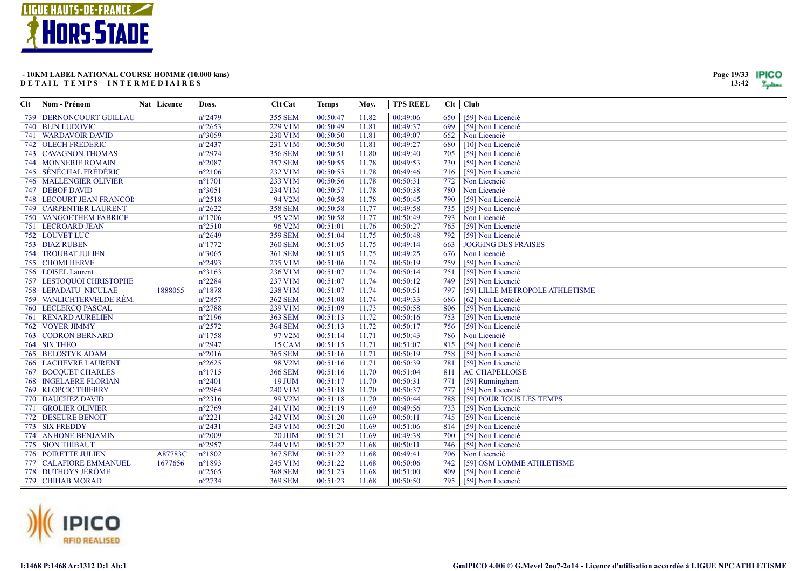

| Clt | Nom - Prénom                    | Nat Licence | Doss.           | <b>Clt Cat</b> | <b>Temps</b> | Moy.  | <b>TPS REEL</b> |     | $Clt$ $Club$                    |
|-----|---------------------------------|-------------|-----------------|----------------|--------------|-------|-----------------|-----|---------------------------------|
|     | 739 DERNONCOURT GUILLAU         |             | $n^{\circ}2479$ | <b>355 SEM</b> | 00:50:47     | 11.82 | 00:49:06        | 650 | [59] Non Licencié               |
|     | 740 BLIN LUDOVIC                |             | $n^{\circ}2653$ | 229 V1M        | 00:50:49     | 11.81 | 00:49:37        | 699 | [59] Non Licencié               |
|     | 741 WARDAVOIR DAVID             |             | n°3059          | 230 V1M        | 00:50:50     | 11.81 | 00:49:07        | 652 | Non Licencié                    |
|     | <b>742 OLECH FREDERIC</b>       |             | $n^{\circ}2437$ | 231 V1M        | 00:50:50     | 11.81 | 00:49:27        | 680 | [10] Non Licencié               |
|     | 743 CAVAGNON THOMAS             |             | $n^{\circ}2974$ | <b>356 SEM</b> | 00:50:51     | 11.80 | 00:49:40        | 705 | [59] Non Licencié               |
|     | <b>744 MONNERIE ROMAIN</b>      |             | $n^{\circ}2087$ | <b>357 SEM</b> | 00:50:55     | 11.78 | 00:49:53        | 730 | [59] Non Licencié               |
|     | 745 SÉNÉCHAL FRÉDÉRIC           |             | $n^{\circ}2106$ | 232 V1M        | 00:50:55     | 11.78 | 00:49:46        | 716 | [59] Non Licencié               |
|     | <b>746 MALLENGIER OLIVIER</b>   |             | $n^{\circ}1701$ | 233 V1M        | 00:50:56     | 11.78 | 00:50:31        | 772 | Non Licencié                    |
|     | 747 DEBOF DAVID                 |             | $n^{\circ}3051$ | 234 V1M        | 00:50:57     | 11.78 | 00:50:38        | 780 | Non Licencié                    |
|     | <b>748 LECOURT JEAN FRANCOI</b> |             | $n^{\circ}2518$ | 94 V2M         | 00:50:58     | 11.78 | 00:50:45        | 790 | [59] Non Licencié               |
|     | 749 CARPENTIER LAURENT          |             | $n^{\circ}2622$ | <b>358 SEM</b> | 00:50:58     | 11.77 | 00:49:58        | 735 | [59] Non Licencié               |
|     | 750 VANGOETHEM FABRICE          |             | $n^{\circ}1706$ | 95 V2M         | 00:50:58     | 11.77 | 00:50:49        | 793 | Non Licencié                    |
|     | 751 LECROARD JEAN               |             | $n^{\circ}2510$ | 96 V2M         | 00:51:01     | 11.76 | 00:50:27        | 765 | [59] Non Licencié               |
|     | 752 LOUVET LUC                  |             | $n^{\circ}2649$ | <b>359 SEM</b> | 00:51:04     | 11.75 | 00:50:48        | 792 | [59] Non Licencié               |
|     | <b>753 DIAZ RUBEN</b>           |             | $n^{\circ}1772$ | <b>360 SEM</b> | 00:51:05     | 11.75 | 00:49:14        | 663 | <b>JOGGING DES FRAISES</b>      |
|     | <b>754 TROUBAT JULIEN</b>       |             | $n^{\circ}3065$ | <b>361 SEM</b> | 00:51:05     | 11.75 | 00:49:25        | 676 | Non Licencié                    |
|     | 755 CHOMI HERVE                 |             | $n^{\circ}2493$ | 235 V1M        | 00:51:06     | 11.74 | 00:50:19        | 759 | [59] Non Licencié               |
|     | 756 LOISEL Laurent              |             | $n^{\circ}3163$ | 236 V1M        | 00:51:07     | 11.74 | 00:50:14        | 751 | [59] Non Licencié               |
|     | 757 LESTOQUOI CHRISTOPHE        |             | $n^{\circ}2284$ | 237 V1M        | 00:51:07     | 11.74 | 00:50:12        | 749 | [59] Non Licencié               |
|     | <b>758 LEPADATU NICULAE</b>     | 1888055     | $n^{\circ}1878$ | 238 V1M        | 00:51:07     | 11.74 | 00:50:51        | 797 | [59] LILLE METROPOLE ATHLETISME |
|     | 759 VANLICHTERVELDE RÉM         |             | $n^{\circ}2857$ | <b>362 SEM</b> | 00:51:08     | 11.74 | 00:49:33        | 686 | [62] Non Licencié               |
|     | 760 LECLERCQ PASCAL             |             | $n^{\circ}2788$ | 239 V1M        | 00:51:09     | 11.73 | 00:50:58        | 806 | [59] Non Licencié               |
|     | 761 RENARD AURELIEN             |             | $n^{\circ}2196$ | <b>363 SEM</b> | 00:51:13     | 11.72 | 00:50:16        | 753 | [59] Non Licencié               |
|     | 762 VOYER JIMMY                 |             | $n^{\circ}2572$ | <b>364 SEM</b> | 00:51:13     | 11.72 | 00:50:17        | 756 | [59] Non Licencié               |
|     | <b>763 CODRON BERNARD</b>       |             | $n^{\circ}1758$ | 97 V2M         | 00:51:14     | 11.71 | 00:50:43        | 786 | Non Licencié                    |
|     | 764 SIX THEO                    |             | $n^{\circ}2947$ | 15 CAM         | 00:51:15     | 11.71 | 00:51:07        | 815 | [59] Non Licencié               |
|     | <b>765 BELOSTYK ADAM</b>        |             | $n^{\circ}2016$ | <b>365 SEM</b> | 00:51:16     | 11.71 | 00:50:19        | 758 | [59] Non Licencié               |
|     | <b>766 LACHEVRE LAURENT</b>     |             | $n^{\circ}2625$ | 98 V2M         | 00:51:16     | 11.71 | 00:50:39        | 781 | [59] Non Licencié               |
|     | <b>767 BOCQUET CHARLES</b>      |             | $n^{\circ}1715$ | <b>366 SEM</b> | 00:51:16     | 11.70 | 00:51:04        | 811 | <b>AC CHAPELLOISE</b>           |
|     | <b>768 INGELAERE FLORIAN</b>    |             | $n^{\circ}2401$ | 19 JUM         | 00:51:17     | 11.70 | 00:50:31        | 771 | [59] Runninghem                 |
|     | <b>769 KLOPCIC THIERRY</b>      |             | $n^{\circ}2964$ | 240 V1M        | 00:51:18     | 11.70 | 00:50:37        | 777 | [59] Non Licencié               |
|     | 770 DAUCHEZ DAVID               |             | $n^{\circ}2316$ | 99 V2M         | 00:51:18     | 11.70 | 00:50:44        | 788 | [59] POUR TOUS LES TEMPS        |
|     | 771 GROLIER OLIVIER             |             | $n^{\circ}2769$ | 241 V1M        | 00:51:19     | 11.69 | 00:49:56        | 733 | [59] Non Licencié               |
|     | 772 DESEURE BENOIT              |             | $n^{\circ}2221$ | 242 V1M        | 00:51:20     | 11.69 | 00:50:11        | 745 | [59] Non Licencié               |
|     | 773 SIX FREDDY                  |             | $n^{\circ}2431$ | 243 V1M        | 00:51:20     | 11.69 | 00:51:06        | 814 | [59] Non Licencié               |
|     | 774 ANHONE BENJAMIN             |             | $n^{\circ}2009$ | $20$ JUM       | 00:51:21     | 11.69 | 00:49:38        | 700 | [59] Non Licencié               |
|     | 775 SION THIBAUT                |             | $n^{\circ}2957$ | 244 V1M        | 00:51:22     | 11.68 | 00:50:11        | 746 | [59] Non Licencié               |
|     | 776 POIRETTE JULIEN             | A87783C     | $n^{\circ}1802$ | <b>367 SEM</b> | 00:51:22     | 11.68 | 00:49:41        | 706 | Non Licencié                    |
|     | 777 CALAFIORE EMMANUEL          | 1677656     | $n^{\circ}1893$ | 245 V1M        | 00:51:22     | 11.68 | 00:50:06        | 742 | [59] OSM LOMME ATHLETISME       |
|     | 778 DUTHOYS JÉRÔME              |             | $n^{\circ}2565$ | <b>368 SEM</b> | 00:51:23     | 11.68 | 00:51:00        | 809 | [59] Non Licencié               |
|     | 779 CHIHAB MORAD                |             | $n^{\circ}2734$ | <b>369 SEM</b> | 00:51:23     | 11.68 | 00:50:50        |     | 795   [59] Non Licencié         |



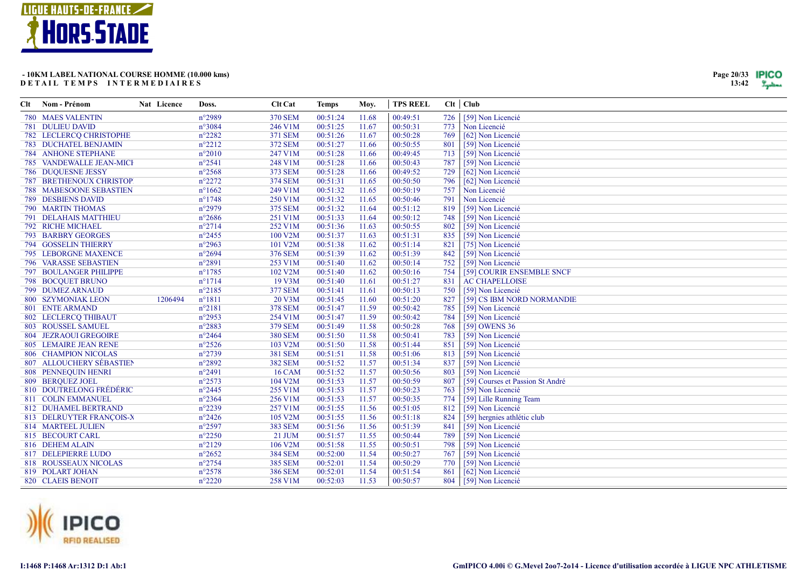

| Clt | Nom - Prénom                   | Nat Licence | Doss.           | <b>Clt Cat</b> | <b>Temps</b> | Moy.  | <b>TPS REEL</b> |     | Clt   Club                       |
|-----|--------------------------------|-------------|-----------------|----------------|--------------|-------|-----------------|-----|----------------------------------|
|     | <b>780 MAES VALENTIN</b>       |             | $n^{\circ}2989$ | <b>370 SEM</b> | 00:51:24     | 11.68 | 00:49:51        | 726 | [59] Non Licencié                |
|     | 781 DULIEU DAVID               |             | $n^{\circ}3084$ | 246 V1M        | 00:51:25     | 11.67 | 00:50:31        | 773 | Non Licencié                     |
|     | 782 LECLERCQ CHRISTOPHE        |             | $n^{\circ}2282$ | 371 SEM        | 00:51:26     | 11.67 | 00:50:28        | 769 | [62] Non Licencié                |
|     | <b>783 DUCHATEL BENJAMIN</b>   |             | $n^{\circ}2212$ | <b>372 SEM</b> | 00:51:27     | 11.66 | 00:50:55        | 801 | [59] Non Licencié                |
|     | <b>784 ANHONE STEPHANE</b>     |             | $n^{\circ}2010$ | 247 V1M        | 00:51:28     | 11.66 | 00:49:45        | 713 | [59] Non Licencié                |
|     | 785 VANDEWALLE JEAN-MICH       |             | $n^{\circ}2541$ | 248 V1M        | 00:51:28     | 11.66 | 00:50:43        | 787 | [59] Non Licencié                |
|     | <b>786 DUQUESNE JESSY</b>      |             | $n^{\circ}2568$ | 373 SEM        | 00:51:28     | 11.66 | 00:49:52        | 729 | [62] Non Licencié                |
|     | <b>787 BRETHENOUX CHRISTOP</b> |             | $n^{\circ}2272$ | 374 SEM        | 00:51:31     | 11.65 | 00:50:50        | 796 | [62] Non Licencié                |
|     | <b>788 MABESOONE SEBASTIEN</b> |             | $n^{\circ}1662$ | 249 V1M        | 00:51:32     | 11.65 | 00:50:19        | 757 | Non Licencié                     |
|     | <b>789 DESBIENS DAVID</b>      |             | $n^{\circ}1748$ | 250 V1M        | 00:51:32     | 11.65 | 00:50:46        | 791 | Non Licencié                     |
|     | 790 MARTIN THOMAS              |             | $n^{\circ}2979$ | 375 SEM        | 00:51:32     | 11.64 | 00:51:12        | 819 | [59] Non Licencié                |
|     | 791 DELAHAIS MATTHIEU          |             | $n^{\circ}2686$ | 251 V1M        | 00:51:33     | 11.64 | 00:50:12        | 748 | [59] Non Licencié                |
|     | 792 RICHE MICHAEL              |             | $n^{\circ}2714$ | 252 V1M        | 00:51:36     | 11.63 | 00:50:55        | 802 | [59] Non Licencié                |
|     | <b>793 BARBRY GEORGES</b>      |             | $n^{\circ}2455$ | 100 V2M        | 00:51:37     | 11.63 | 00:51:31        | 835 | [59] Non Licencié                |
|     | 794 GOSSELIN THIERRY           |             | $n^{\circ}2963$ | 101 V2M        | 00:51:38     | 11.62 | 00:51:14        | 821 | [75] Non Licencié                |
|     | <b>795 LEBORGNE MAXENCE</b>    |             | $n^{\circ}2694$ | 376 SEM        | 00:51:39     | 11.62 | 00:51:39        | 842 | [59] Non Licencié                |
|     | <b>796 VARASSE SEBASTIEN</b>   |             | $n^{\circ}2891$ | 253 V1M        | 00:51:40     | 11.62 | 00:50:14        | 752 | [59] Non Licencié                |
|     | <b>797 BOULANGER PHILIPPE</b>  |             | $n^{\circ}1785$ | 102 V2M        | 00:51:40     | 11.62 | 00:50:16        | 754 | [59] COURIR ENSEMBLE SNCF        |
|     | 798 BOCQUET BRUNO              |             | $n^{\circ}1714$ | 19 V3M         | 00:51:40     | 11.61 | 00:51:27        | 831 | <b>AC CHAPELLOISE</b>            |
|     | 799 DUMEZ ARNAUD               |             | $n^{\circ}2185$ | <b>377 SEM</b> | 00:51:41     | 11.61 | 00:50:13        | 750 | [59] Non Licencié                |
|     | 800 SZYMONIAK LEON             | 1206494     | $n^{\circ}1811$ | 20 V3M         | 00:51:45     | 11.60 | 00:51:20        | 827 | [59] CS IBM NORD NORMANDIE       |
|     | 801 ENTE ARMAND                |             | $n^{\circ}2181$ | <b>378 SEM</b> | 00:51:47     | 11.59 | 00:50:42        | 785 | [59] Non Licencié                |
|     | 802 LECLERCQ THIBAUT           |             | $n^{\circ}2953$ | 254 V1M        | 00:51:47     | 11.59 | 00:50:42        | 784 | [59] Non Licencié                |
|     | 803 ROUSSEL SAMUEL             |             | $n^{\circ}2883$ | 379 SEM        | 00:51:49     | 11.58 | 00:50:28        | 768 | [59] OWENS 36                    |
|     | 804 JEZRAOUI GREGOIRE          |             | $n^{\circ}2464$ | <b>380 SEM</b> | 00:51:50     | 11.58 | 00:50:41        | 783 | [59] Non Licencié                |
|     | 805 LEMAIRE JEAN RENE          |             | $n^{\circ}2526$ | 103 V2M        | 00:51:50     | 11.58 | 00:51:44        | 851 | [59] Non Licencié                |
|     | 806 CHAMPION NICOLAS           |             | $n^{\circ}2739$ | <b>381 SEM</b> | 00:51:51     | 11.58 | 00:51:06        | 813 | [59] Non Licencié                |
|     | 807 ALLOUCHERY SÉBASTIEN       |             | $n^{\circ}2892$ | <b>382 SEM</b> | 00:51:52     | 11.57 | 00:51:34        | 837 | [59] Non Licencié                |
|     | 808 PENNEQUIN HENRI            |             | $n^{\circ}2491$ | <b>16 CAM</b>  | 00:51:52     | 11.57 | 00:50:56        | 803 | [59] Non Licencié                |
|     | 809 BEROUEZ JOEL               |             | $n^{\circ}2573$ | 104 V2M        | 00:51:53     | 11.57 | 00:50:59        | 807 | [59] Courses et Passion St André |
|     | 810 DOUTRELONG FRÉDÉRIC        |             | $n^{\circ}2445$ | 255 V1M        | 00:51:53     | 11.57 | 00:50:23        | 763 | [59] Non Licencié                |
|     | 811 COLIN EMMANUEL             |             | $n^{\circ}2364$ | 256 V1M        | 00:51:53     | 11.57 | 00:50:35        | 774 | [59] Lille Running Team          |
|     | 812 DUHAMEL BERTRAND           |             | $n^{\circ}2239$ | 257 V1M        | 00:51:55     | 11.56 | 00:51:05        | 812 | [59] Non Licencié                |
|     | 813 DELRUYTER FRANCOIS-X       |             | $n^{\circ}2426$ | 105 V2M        | 00:51:55     | 11.56 | 00:51:18        | 824 | [59] hergnies athlétic club      |
|     | 814 MARTEEL JULIEN             |             | $n^{\circ}2597$ | <b>383 SEM</b> | 00:51:56     | 11.56 | 00:51:39        | 841 | [59] Non Licencié                |
|     | 815 BECOURT CARL               |             | $n^{\circ}2250$ | 21 JUM         | 00:51:57     | 11.55 | 00:50:44        | 789 | [59] Non Licencié                |
|     | 816 DEHEM ALAIN                |             | $n^{\circ}2129$ | 106 V2M        | 00:51:58     | 11.55 | 00:50:51        | 798 | [59] Non Licencié                |
|     | 817 DELEPIERRE LUDO            |             | $n^{\circ}2652$ | <b>384 SEM</b> | 00:52:00     | 11.54 | 00:50:27        | 767 | [59] Non Licencié                |
|     | 818 ROUSSEAUX NICOLAS          |             | $n^{\circ}2754$ | <b>385 SEM</b> | 00:52:01     | 11.54 | 00:50:29        | 770 | [59] Non Licencié                |
|     | 819 POLART JOHAN               |             | $n^{\circ}2578$ | <b>386 SEM</b> | 00:52:01     | 11.54 | 00:51:54        | 861 | [62] Non Licencié                |
|     | 820 CLAEIS BENOIT              |             | $n^{\circ}2220$ | 258 V1M        | 00:52:03     | 11.53 | 00:50:57        | 804 | [59] Non Licencié                |



I:1468 P:1468 Ar:1312 D:1 Ab:1

Page 20/33 **IPICO**  $13:42$   $\frac{9}{2}$  yellows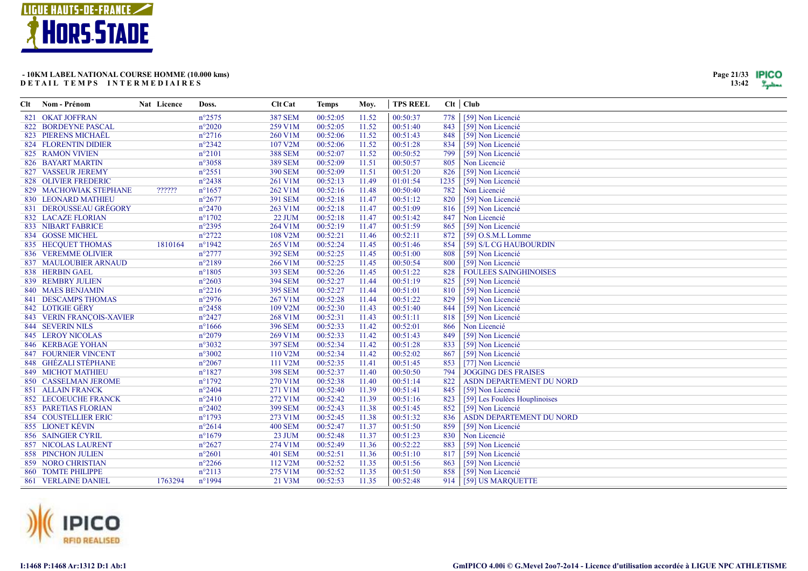

| Clt | Nom - Prénom                | Nat Licence | Doss.           | <b>Clt Cat</b>       | <b>Temps</b> | Moy.  | <b>TPS REEL</b> | Clt   Club |                                 |
|-----|-----------------------------|-------------|-----------------|----------------------|--------------|-------|-----------------|------------|---------------------------------|
|     | 821 OKAT JOFFRAN            |             | $n^{\circ}2575$ | <b>387 SEM</b>       | 00:52:05     | 11.52 | 00:50:37        | 778        | [59] Non Licencié               |
|     | 822 BORDEYNE PASCAL         |             | $n^{\circ}2020$ | 259 V1M              | 00:52:05     | 11.52 | 00:51:40        | 843        | [59] Non Licencié               |
|     | 823 PIERENS MICHAËL         |             | $n^{\circ}2716$ | 260 V1M              | 00:52:06     | 11.52 | 00:51:43        | 848        | [59] Non Licencié               |
|     | 824 FLORENTIN DIDIER        |             | $n^{\circ}2342$ | 107 V2M              | 00:52:06     | 11.52 | 00:51:28        | 834        | [59] Non Licencié               |
|     | 825 RAMON VIVIEN            |             | $n^{\circ}2101$ | <b>388 SEM</b>       | 00:52:07     | 11.52 | 00:50:52        | 799        | [59] Non Licencié               |
|     | 826 BAYART MARTIN           |             | $n^{\circ}3058$ | <b>389 SEM</b>       | 00:52:09     | 11.51 | 00:50:57        | 805        | Non Licencié                    |
|     | 827 VASSEUR JEREMY          |             | $n^{\circ}2551$ | <b>390 SEM</b>       | 00:52:09     | 11.51 | 00:51:20        | 826        | [59] Non Licencié               |
|     | 828 OLIVIER FREDERIC        |             | $n^{\circ}2438$ | 261 V1M              | 00:52:13     | 11.49 | 01:01:54        | 1235       | [59] Non Licencié               |
|     | 829 MACHOWIAK STEPHANE      | ??????      | $n^{\circ}1657$ | 262 V1M              | 00:52:16     | 11.48 | 00:50:40        | 782        | Non Licencié                    |
|     | 830 LEONARD MATHIEU         |             | $n^{\circ}2677$ | <b>391 SEM</b>       | 00:52:18     | 11.47 | 00:51:12        | 820        | [59] Non Licencié               |
|     | 831 DEROUSSEAU GRÉGORY      |             | $n^{\circ}2470$ | 263 V1M              | 00:52:18     | 11.47 | 00:51:09        | 816        | [59] Non Licencié               |
|     | <b>832 LACAZE FLORIAN</b>   |             | $n^{\circ}1702$ | <b>22 JUM</b>        | 00:52:18     | 11.47 | 00:51:42        | 847        | Non Licencié                    |
|     | <b>833 NIBART FABRICE</b>   |             | $n^{\circ}2395$ | 264 V1M              | 00:52:19     | 11.47 | 00:51:59        | 865        | [59] Non Licencié               |
|     | 834 GOSSE MICHEL            |             | $n^{\circ}2722$ | 108 V2M              | 00:52:21     | 11.46 | 00:52:11        | 872        | $[59]$ O.S.M.L Lomme            |
|     | 835 HECQUET THOMAS          | 1810164     | $n^{\circ}1942$ | 265 V1M              | 00:52:24     | 11.45 | 00:51:46        | 854        | [59] S/L CG HAUBOURDIN          |
|     | 836 VEREMME OLIVIER         |             | $n^{\circ}2777$ | <b>392 SEM</b>       | 00:52:25     | 11.45 | 00:51:00        | 808        | [59] Non Licencié               |
|     | 837 MAULOUBIER ARNAUD       |             | $n^{\circ}2189$ | 266 V1M              | 00:52:25     | 11.45 | 00:50:54        | 800        | [59] Non Licencié               |
|     | 838 HERBIN GAEL             |             | $n^{\circ}1805$ | <b>393 SEM</b>       | 00:52:26     | 11.45 | 00:51:22        | 828        | <b>FOULEES SAINGHINOISES</b>    |
|     | 839 REMBRY JULIEN           |             | $n^{\circ}2603$ | <b>394 SEM</b>       | 00:52:27     | 11.44 | 00:51:19        | 825        | [59] Non Licencié               |
|     | 840 MAES BENJAMIN           |             | $n^{\circ}2216$ | <b>395 SEM</b>       | 00:52:27     | 11.44 | 00:51:01        | 810        | [59] Non Licencié               |
|     | 841 DESCAMPS THOMAS         |             | $n^{\circ}2976$ | 267 V1M              | 00:52:28     | 11.44 | 00:51:22        | 829        | [59] Non Licencié               |
|     | 842 LOTIGIE GÉRY            |             | $n^{\circ}2458$ | 109 V2M              | 00:52:30     | 11.43 | 00:51:40        | 844        | [59] Non Licencié               |
|     | 843 VERIN FRANÇOIS-XAVIER   |             | $n^{\circ}2427$ | 268 V1M              | 00:52:31     | 11.43 | 00:51:11        | 818        | [59] Non Licencié               |
|     | <b>844 SEVERIN NILS</b>     |             | $n^{\circ}1666$ | <b>396 SEM</b>       | 00:52:33     | 11.42 | 00:52:01        | 866        | Non Licencié                    |
|     | <b>845 LEROY NICOLAS</b>    |             | $n^{\circ}2079$ | 269 V1M              | 00:52:33     | 11.42 | 00:51:43        | 849        | [59] Non Licencié               |
|     | <b>846 KERBAGE YOHAN</b>    |             | $n^{\circ}3032$ | <b>397 SEM</b>       | 00:52:34     | 11.42 | 00:51:28        | 833        | [59] Non Licencié               |
|     | <b>847 FOURNIER VINCENT</b> |             | $n^{\circ}3002$ | 110 V2M              | 00:52:34     | 11.42 | 00:52:02        | 867        | [59] Non Licencié               |
|     | 848 GHÉZALI STÉPHANE        |             | $n^{\circ}2067$ | 111 V2M              | 00:52:35     | 11.41 | 00:51:45        | 853        | [77] Non Licencié               |
|     | 849 MICHOT MATHIEU          |             | $n^{\circ}1827$ | <b>398 SEM</b>       | 00:52:37     | 11.40 | 00:50:50        | 794        | <b>JOGGING DES FRAISES</b>      |
|     | 850 CASSELMAN JEROME        |             | $n^{\circ}1792$ | 270 V1M              | 00:52:38     | 11.40 | 00:51:14        | 822        | <b>ASDN DEPARTEMENT DU NORD</b> |
|     | <b>851 ALLAIN FRANCK</b>    |             | $n^{\circ}2404$ | 271 V1M              | 00:52:40     | 11.39 | 00:51:41        | 845        | [59] Non Licencié               |
|     | <b>852 LECOEUCHE FRANCK</b> |             | $n^{\circ}2410$ | 272 V1M              | 00:52:42     | 11.39 | 00:51:16        | 823        | [59] Les Foulées Houplinoises   |
|     | <b>853 PARETIAS FLORIAN</b> |             | $n^{\circ}2402$ | <b>399 SEM</b>       | 00:52:43     | 11.38 | 00:51:45        | 852        | [59] Non Licencié               |
|     | <b>854 COUSTELLIER ERIC</b> |             | $n^{\circ}1793$ | 273 V1M              | 00:52:45     | 11.38 | 00:51:32        | 836        | ASDN DEPARTEMENT DU NORD        |
|     | 855 LIONET KÉVIN            |             | $n^{\circ}2614$ | <b>400 SEM</b>       | 00:52:47     | 11.37 | 00:51:50        | 859        | [59] Non Licencié               |
|     | 856 SAINGIER CYRIL          |             | $n^{\circ}1679$ | 23 JUM               | 00:52:48     | 11.37 | 00:51:23        | 830        | Non Licencié                    |
|     | <b>857 NICOLAS LAURENT</b>  |             | $n^{\circ}2627$ | 274 V1M              | 00:52:49     | 11.36 | 00:52:22        | 883        | [59] Non Licencié               |
|     | <b>858 PINCHON JULIEN</b>   |             | $n^{\circ}2601$ | <b>401 SEM</b>       | 00:52:51     | 11.36 | 00:51:10        | 817        | [59] Non Licencié               |
|     | <b>859 NORO CHRISTIAN</b>   |             | $n^{\circ}2266$ | 112 V <sub>2</sub> M | 00:52:52     | 11.35 | 00:51:56        | 863        | [59] Non Licencié               |
|     | 860 TOMTE PHILIPPE          |             | $n^{\circ}2113$ | 275 V1M              | 00:52:52     | 11.35 | 00:51:50        | 858        | [59] Non Licencié               |
|     | <b>861 VERLAINE DANIEL</b>  | 1763294     | n°1994          | 21 V3M               | 00:52:53     | 11.35 | 00:52:48        | 914        | [59] US MARQUETTE               |



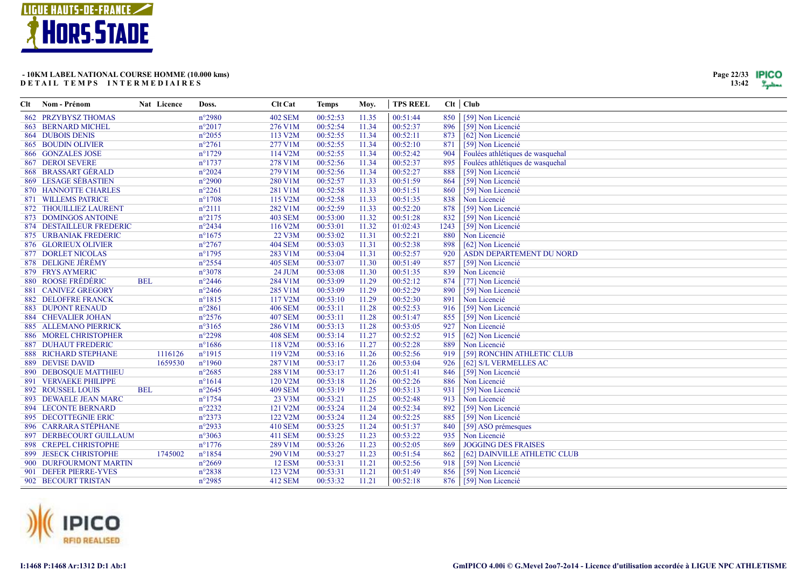

| Clt | Nom - Prénom                 | Nat Licence | Doss.           | <b>Clt Cat</b> | Temps    | Moy.  | <b>TPS REEL</b> |      | Clt   Club                       |
|-----|------------------------------|-------------|-----------------|----------------|----------|-------|-----------------|------|----------------------------------|
|     | 862 PRZYBYSZ THOMAS          |             | $n^{\circ}2980$ | <b>402 SEM</b> | 00:52:53 | 11.35 | 00:51:44        | 850  | [59] Non Licencié                |
|     | 863 BERNARD MICHEL           |             | $n^{\circ}2017$ | 276 V1M        | 00:52:54 | 11.34 | 00:52:37        | 896  | [59] Non Licencié                |
|     | <b>864 DUBOIS DENIS</b>      |             | $n^{\circ}2055$ | 113 V2M        | 00:52:55 | 11.34 | 00:52:11        | 873  | [62] Non Licencié                |
|     | 865 BOUDIN OLIVIER           |             | $n^{\circ}2761$ | 277 V1M        | 00:52:55 | 11.34 | 00:52:10        | 871  | [59] Non Licencié                |
|     | 866 GONZALES JOSE            |             | $n^{\circ}1729$ | 114 V2M        | 00:52:55 | 11.34 | 00:52:42        | 904  | Foulées athlétiques de wasquehal |
|     | <b>867 DEROI SEVERE</b>      |             | $n^{\circ}1737$ | 278 V1M        | 00:52:56 | 11.34 | 00:52:37        | 895  | Foulées athlétiques de wasquehal |
|     | 868 BRASSART GÉRALD          |             | $n^{\circ}2024$ | 279 V1M        | 00:52:56 | 11.34 | 00:52:27        | 888  | [59] Non Licencié                |
|     | 869 LESAGE SÉBASTIEN         |             | $n^{\circ}2900$ | 280 V1M        | 00:52:57 | 11.33 | 00:51:59        | 864  | [59] Non Licencié                |
|     | 870 HANNOTTE CHARLES         |             | $n^{\circ}2261$ | 281 V1M        | 00:52:58 | 11.33 | 00:51:51        | 860  | [59] Non Licencié                |
|     | <b>871 WILLEMS PATRICE</b>   |             | $n^{\circ}1708$ | 115 V2M        | 00:52:58 | 11.33 | 00:51:35        | 838  | Non Licencié                     |
|     | 872 THOUILLIEZ LAURENT       |             | $n^{\circ}2111$ | 282 V1M        | 00:52:59 | 11.33 | 00:52:20        | 878  | [59] Non Licencié                |
|     | 873 DOMINGOS ANTOINE         |             | $n^{\circ}2175$ | <b>403 SEM</b> | 00:53:00 | 11.32 | 00:51:28        | 832  | [59] Non Licencié                |
|     | 874 DESTAILLEUR FREDERIC     |             | $n^{\circ}2434$ | 116 V2M        | 00:53:01 | 11.32 | 01:02:43        | 1243 | [59] Non Licencié                |
|     | 875 URBANIAK FREDERIC        |             | $n^{\circ}1675$ | 22 V3M         | 00:53:02 | 11.31 | 00:52:21        | 880  | Non Licencié                     |
|     | 876 GLORIEUX OLIVIER         |             | $n^{\circ}2767$ | <b>404 SEM</b> | 00:53:03 | 11.31 | 00:52:38        | 898  | [62] Non Licencié                |
|     | <b>877 DORLET NICOLAS</b>    |             | $n^{\circ}1795$ | 283 V1M        | 00:53:04 | 11.31 | 00:52:57        | 920  | ASDN DEPARTEMENT DU NORD         |
|     | 878 DELIGNE JÉRÉMY           |             | $n^{\circ}2554$ | <b>405 SEM</b> | 00:53:07 | 11.30 | 00:51:49        | 857  | [59] Non Licencié                |
|     | 879 FRYS AYMERIC             |             | $n^{\circ}3078$ | 24 JUM         | 00:53:08 | 11.30 | 00:51:35        | 839  | Non Licencié                     |
|     | 880 ROOSE FRÉDÉRIC           | <b>BEL</b>  | $n^{\circ}2446$ | 284 V1M        | 00:53:09 | 11.29 | 00:52:12        | 874  | [77] Non Licencié                |
|     | 881 CANIVEZ GREGORY          |             | $n^{\circ}2466$ | 285 V1M        | 00:53:09 | 11.29 | 00:52:29        | 890  | [59] Non Licencié                |
|     | <b>882 DELOFFRE FRANCK</b>   |             | $n^{\circ}1815$ | 117 V2M        | 00:53:10 | 11.29 | 00:52:30        | 891  | Non Licencié                     |
|     | <b>883 DUPONT RENAUD</b>     |             | $n^{\circ}2861$ | <b>406 SEM</b> | 00:53:11 | 11.28 | 00:52:53        | 916  | [59] Non Licencié                |
|     | <b>884 CHEVALIER JOHAN</b>   |             | $n^{\circ}2576$ | <b>407 SEM</b> | 00:53:11 | 11.28 | 00:51:47        | 855  | [59] Non Licencié                |
|     | 885 ALLEMANO PIERRICK        |             | $n^{\circ}3165$ | 286 V1M        | 00:53:13 | 11.28 | 00:53:05        | 927  | Non Licencié                     |
|     | 886 MOREL CHRISTOPHER        |             | $n^{\circ}2298$ | <b>408 SEM</b> | 00:53:14 | 11.27 | 00:52:52        | 915  | [62] Non Licencié                |
|     | <b>887 DUHAUT FREDERIC</b>   |             | $n^{\circ}1686$ | 118 V2M        | 00:53:16 | 11.27 | 00:52:28        | 889  | Non Licencié                     |
|     | <b>888 RICHARD STEPHANE</b>  | 1116126     | $n^{\circ}1915$ | 119 V2M        | 00:53:16 | 11.26 | 00:52:56        | 919  | [59] RONCHIN ATHLETIC CLUB       |
|     | 889 DEVISE DAVID             | 1659530     | $n^{\circ}1960$ | 287 V1M        | 00:53:17 | 11.26 | 00:53:04        | 926  | [62] S/L VERMELLES AC            |
|     | 890 DEBOSQUE MATTHIEU        |             | $n^{\circ}2685$ | 288 V1M        | 00:53:17 | 11.26 | 00:51:41        | 846  | [59] Non Licencié                |
|     | <b>891 VERVAEKE PHILIPPE</b> |             | $n^{\circ}1614$ | 120 V2M        | 00:53:18 | 11.26 | 00:52:26        | 886  | Non Licencié                     |
|     | <b>892 ROUSSEL LOUIS</b>     | <b>BEL</b>  | $n^{\circ}2645$ | <b>409 SEM</b> | 00:53:19 | 11.25 | 00:53:13        | 931  | [59] Non Licencié                |
|     | 893 DEWAELE JEAN MARC        |             | $n^{\circ}1754$ | 23 V3M         | 00:53:21 | 11.25 | 00:52:48        | 913  | Non Licencié                     |
|     | 894 LECONTE BERNARD          |             | $n^{\circ}2232$ | 121 V2M        | 00:53:24 | 11.24 | 00:52:34        | 892  | [59] Non Licencié                |
|     | 895 DECOTTEGNIE ERIC         |             | $n^{\circ}2373$ | 122 V2M        | 00:53:24 | 11.24 | 00:52:25        | 885  | [59] Non Licencié                |
|     | 896 CARRARA STÉPHANE         |             | n°2933          | <b>410 SEM</b> | 00:53:25 | 11.24 | 00:51:37        | 840  | [59] ASO prémesques              |
|     | 897 DERBECOURT GUILLAUM      |             | $n^{\circ}3063$ | <b>411 SEM</b> | 00:53:25 | 11.23 | 00:53:22        | 935  | Non Licencié                     |
|     | 898 CREPEL CHRISTOPHE        |             | $n^{\circ}1776$ | 289 V1M        | 00:53:26 | 11.23 | 00:52:05        | 869  | <b>JOGGING DES FRAISES</b>       |
|     | 899 JESECK CHRISTOPHE        | 1745002     | $n^{\circ}1854$ | 290 V1M        | 00:53:27 | 11.23 | 00:51:54        | 862  | [62] DAINVILLE ATHLETIC CLUB     |
|     | 900 DURFOURMONT MARTIN       |             | $n^{\circ}2669$ | <b>12 ESM</b>  | 00:53:31 | 11.21 | 00:52:56        | 918  | [59] Non Licencié                |
|     | 901 DEFER PIERRE-YVES        |             | $n^{\circ}2838$ | 123 V2M        | 00:53:31 | 11.21 | 00:51:49        | 856  | [59] Non Licencié                |
|     | 902 BECOURT TRISTAN          |             | $n^{\circ}2985$ | <b>412 SEM</b> | 00:53:32 | 11.21 | 00:52:18        |      | 876 [59] Non Licencié            |
|     |                              |             |                 |                |          |       |                 |      |                                  |

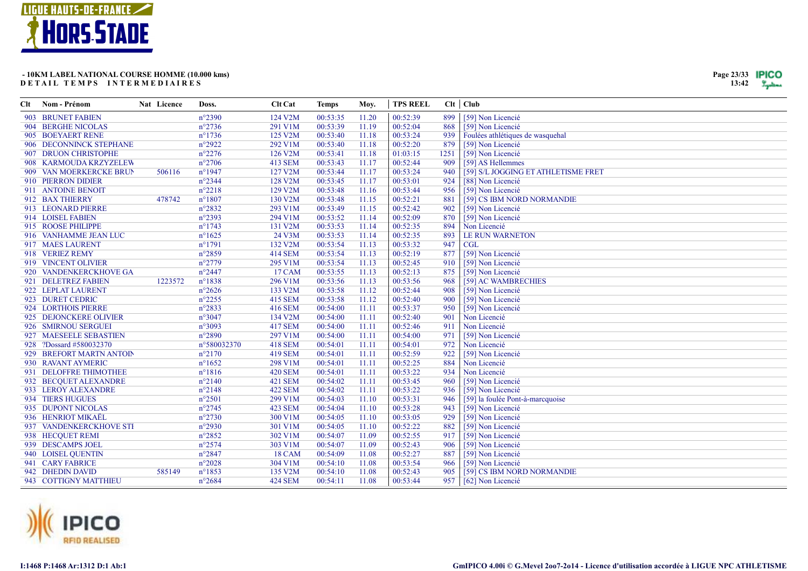

| Page 23/33 | TPICO |
|------------|-------|
| 13:42      |       |

| Clt | Nom - Prénom             | Nat Licence | Doss.           | <b>Clt Cat</b> | <b>Temps</b> | Moy.  | <b>TPS REEL</b> |      | Clt   Club                          |
|-----|--------------------------|-------------|-----------------|----------------|--------------|-------|-----------------|------|-------------------------------------|
|     | 903 BRUNET FABIEN        |             | $n^{\circ}2390$ | 124 V2M        | 00:53:35     | 11.20 | 00:52:39        | 899  | [59] Non Licencié                   |
|     | 904 BERGHE NICOLAS       |             | $n^{\circ}2736$ | 291 V1M        | 00:53:39     | 11.19 | 00:52:04        | 868  | [59] Non Licencié                   |
|     | 905 BOEYAERT RENE        |             | $n^{\circ}1736$ | 125 V2M        | 00:53:40     | 11.18 | 00:53:24        | 939  | Foulées athlétiques de wasquehal    |
|     | 906 DECONNINCK STEPHANE  |             | $n^{\circ}2922$ | 292 V1M        | 00:53:40     | 11.18 | 00:52:20        | 879  | [59] Non Licencié                   |
|     | 907 DRUON CHRISTOPHE     |             | $n^{\circ}2276$ | 126 V2M        | 00:53:41     | 11.18 | 01:03:15        | 1251 | [59] Non Licencié                   |
|     | 908 KARMOUDA KRZYZELEW   |             | $n^{\circ}2706$ | 413 SEM        | 00:53:43     | 11.17 | 00:52:44        | 909  | [59] AS Hellemmes                   |
|     | 909 VAN MOERKERCKE BRUN  | 506116      | $n^{\circ}1947$ | 127 V2M        | 00:53:44     | 11.17 | 00:53:24        | 940  | [59] S/L JOGGING ET ATHLETISME FRET |
|     | 910 PIERRON DIDIER       |             | $n^{\circ}2344$ | 128 V2M        | 00:53:45     | 11.17 | 00:53:01        | 924  | [88] Non Licencié                   |
|     | 911 ANTOINE BENOIT       |             | $n^{\circ}2218$ | 129 V2M        | 00:53:48     | 11.16 | 00:53:44        | 956  | [59] Non Licencié                   |
|     | 912 BAX THIERRY          | 478742      | $n^{\circ}1807$ | 130 V2M        | 00:53:48     | 11.15 | 00:52:21        | 881  | [59] CS IBM NORD NORMANDIE          |
|     | 913 LEONARD PIERRE       |             | $n^{\circ}2832$ | 293 V1M        | 00:53:49     | 11.15 | 00:52:42        | 902  | [59] Non Licencié                   |
|     | 914 LOISEL FABIEN        |             | n°2393          | 294 V1M        | 00:53:52     | 11.14 | 00:52:09        | 870  | [59] Non Licencié                   |
|     | 915 ROOSE PHILIPPE       |             | $n^{\circ}1743$ | 131 V2M        | 00:53:53     | 11.14 | 00:52:35        | 894  | Non Licencié                        |
|     | 916 VANHAMME JEAN LUC    |             | $n^{\circ}1625$ | 24 V3M         | 00:53:53     | 11.14 | 00:52:35        | 893  | <b>LE RUN WARNETON</b>              |
|     | 917 MAES LAURENT         |             | $n^{\circ}1791$ | 132 V2M        | 00:53:54     | 11.13 | 00:53:32        | 947  | <b>CGL</b>                          |
|     | 918 VERIEZ REMY          |             | $n^{\circ}2859$ | <b>414 SEM</b> | 00:53:54     | 11.13 | 00:52:19        | 877  | [59] Non Licencié                   |
|     | 919 VINCENT OLIVIER      |             | $n^{\circ}2779$ | 295 V1M        | 00:53:54     | 11.13 | 00:52:45        | 910  | [59] Non Licencié                   |
|     | 920 VANDENKERCKHOVE GA   |             | $n^{\circ}2447$ | 17 CAM         | 00:53:55     | 11.13 | 00:52:13        | 875  | [59] Non Licencié                   |
|     | 921 DELETREZ FABIEN      | 1223572     | $n^{\circ}1838$ | 296 V1M        | 00:53:56     | 11.13 | 00:53:56        | 968  | [59] AC WAMBRECHIES                 |
|     | 922 LEPLAT LAURENT       |             | $n^{\circ}2626$ | 133 V2M        | 00:53:58     | 11.12 | 00:52:44        | 908  | [59] Non Licencié                   |
|     | 923 DURET CEDRIC         |             | $n^{\circ}2255$ | 415 SEM        | 00:53:58     | 11.12 | 00:52:40        | 900  | [59] Non Licencié                   |
|     | 924 LORTHOIS PIERRE      |             | $n^{\circ}2833$ | 416 SEM        | 00:54:00     | 11.11 | 00:53:37        | 950  | [59] Non Licencié                   |
|     | 925 DEJONCKERE OLIVIER   |             | $n^{\circ}3047$ | 134 V2M        | 00:54:00     | 11.11 | 00:52:40        | 901  | Non Licencié                        |
|     | 926 SMIRNOU SERGUEI      |             | n°3093          | <b>417 SEM</b> | 00:54:00     | 11.11 | 00:52:46        | 911  | Non Licencié                        |
|     | 927 MAESEELE SEBASTIEN   |             | $n^{\circ}2890$ | 297 V1M        | 00:54:00     | 11.11 | 00:54:00        | 971  | [59] Non Licencié                   |
|     | 928 ?Dossard #580032370  |             | n°580032370     | <b>418 SEM</b> | 00:54:01     | 11.11 | 00:54:01        | 972  | Non Licencié                        |
|     | 929 BREFORT MARTN ANTOIN |             | $n^{\circ}2170$ | <b>419 SEM</b> | 00:54:01     | 11.11 | 00:52:59        | 922  | [59] Non Licencié                   |
|     | 930 RAVANT AYMERIC       |             | $n^{\circ}1652$ | 298 V1M        | 00:54:01     | 11.11 | 00:52:25        | 884  | Non Licencié                        |
|     | 931 DELOFFRE THIMOTHEE   |             | $n^{\circ}1816$ | <b>420 SEM</b> | 00:54:01     | 11.11 | 00:53:22        | 934  | Non Licencié                        |
|     | 932 BECQUET ALEXANDRE    |             | $n^{\circ}2140$ | <b>421 SEM</b> | 00:54:02     | 11.11 | 00:53:45        | 960  | [59] Non Licencié                   |
|     | 933 LEROY ALEXANDRE      |             | $n^{\circ}2148$ | <b>422 SEM</b> | 00:54:02     | 11.11 | 00:53:22        | 936  | [59] Non Licencié                   |
|     | 934 TIERS HUGUES         |             | $n^{\circ}2501$ | 299 V1M        | 00:54:03     | 11.10 | 00:53:31        | 946  | [59] la foulée Pont-à-marcquoise    |
|     | 935 DUPONT NICOLAS       |             | $n^{\circ}2745$ | <b>423 SEM</b> | 00:54:04     | 11.10 | 00:53:28        | 943  | [59] Non Licencié                   |
|     | 936 HENRIOT MIKAËL       |             | $n^{\circ}2730$ | 300 V1M        | 00:54:05     | 11.10 | 00:53:05        | 929  | [59] Non Licencié                   |
|     | 937 VANDENKERCKHOVE STI  |             | $n^{\circ}2930$ | 301 V1M        | 00:54:05     | 11.10 | 00:52:22        | 882  | [59] Non Licencié                   |
|     | 938 HECQUET REMI         |             | $n^{\circ}2852$ | 302 V1M        | 00:54:07     | 11.09 | 00:52:55        | 917  | [59] Non Licencié                   |
|     | 939 DESCAMPS JOEL        |             | $n^{\circ}2574$ | 303 V1M        | 00:54:07     | 11.09 | 00:52:43        | 906  | [59] Non Licencié                   |
|     | 940 LOISEL QUENTIN       |             | $n^{\circ}2847$ | 18 CAM         | 00:54:09     | 11.08 | 00:52:27        | 887  | [59] Non Licencié                   |
|     | 941 CARY FABRICE         |             | $n^{\circ}2028$ | 304 V1M        | 00:54:10     | 11.08 | 00:53:54        | 966  | [59] Non Licencié                   |
|     | 942 DHEDIN DAVID         | 585149      | $n^{\circ}1853$ | 135 V2M        | 00:54:10     | 11.08 | 00:52:43        | 905  | [59] CS IBM NORD NORMANDIE          |
|     | 943 COTTIGNY MATTHIEU    |             | $n^{\circ}2684$ | <b>424 SEM</b> | 00:54:11     | 11.08 | 00:53:44        | 957  | [62] Non Licencié                   |

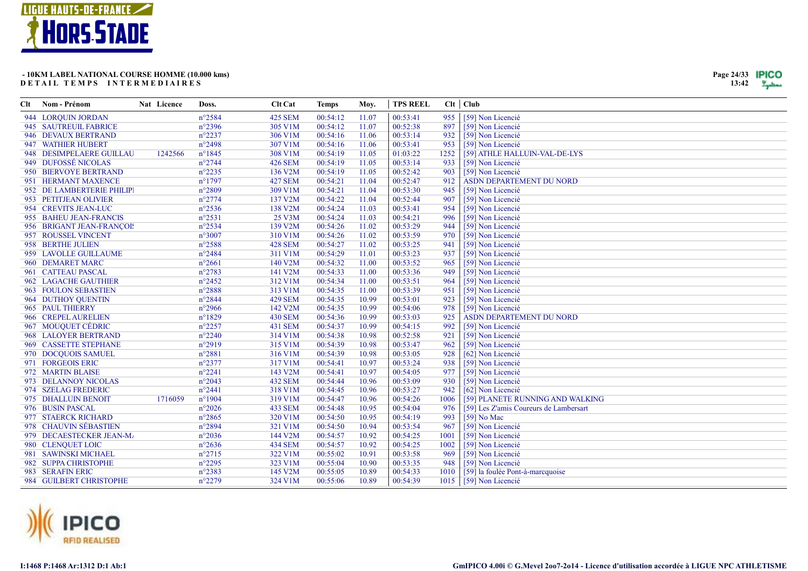

Nom - Prénom

**Clt** 

# - 10KM LABEL NATIONAL COURSE HOMME (10.000 kms) DETAIL TEMPS INTERMEDIAIRES

Nat Licence

Doss.

Clt Cat

**Temps** 

Moy.

| 944 LORQUIN JORDAN         |         | $n^{\circ}2584$ | 425 SEM        | 00:54:12 | 11.07 | 00:53:41 | 955  | [59] Non Licencié                      |
|----------------------------|---------|-----------------|----------------|----------|-------|----------|------|----------------------------------------|
| 945 SAUTREUIL FABRICE      |         | $n^{\circ}2396$ | 305 V1M        | 00:54:12 | 11.07 | 00:52:38 | 897  | [59] Non Licencié                      |
| 946 DEVAUX BERTRAND        |         | $n^{\circ}2237$ | 306 V1M        | 00:54:16 | 11.06 | 00:53:14 | 932  | [59] Non Licencié                      |
| 947 WATHIER HUBERT         |         | $n^{\circ}2498$ | 307 V1M        | 00:54:16 | 11.06 | 00:53:41 | 953  | [59] Non Licencié                      |
| 948 DESIMPELAERE GUILLAU   | 1242566 | $n^{\circ}1845$ | 308 V1M        | 00:54:19 | 11.05 | 01:03:22 | 1252 | [59] ATHLE HALLUIN-VAL-DE-LYS          |
| 949 DUFOSSÉ NICOLAS        |         | $n^{\circ}2744$ | <b>426 SEM</b> | 00:54:19 | 11.05 | 00:53:14 | 933  | [59] Non Licencié                      |
| 950 BIERVOYE BERTRAND      |         | $n^{\circ}2235$ | 136 V2M        | 00:54:19 | 11.05 | 00:52:42 | 903  | [59] Non Licencié                      |
| 951 HERMANT MAXENCE        |         | $n^{\circ}1797$ | <b>427 SEM</b> | 00:54:21 | 11.04 | 00:52:47 | 912  | ASDN DEPARTEMENT DU NORD               |
| 952 DE LAMBERTERIE PHILIPI |         | $n^{\circ}2809$ | 309 V1M        | 00:54:21 | 11.04 | 00:53:30 | 945  | [59] Non Licencié                      |
| 953 PETITJEAN OLIVIER      |         | $n^{\circ}2774$ | 137 V2M        | 00:54:22 | 11.04 | 00:52:44 | 907  | [59] Non Licencié                      |
| 954 CREVITS JEAN-LUC       |         | $n^{\circ}2536$ | 138 V2M        | 00:54:24 | 11.03 | 00:53:41 | 954  | [59] Non Licencié                      |
| 955 BAHEU JEAN-FRANCIS     |         | $n^{\circ}2531$ | 25 V3M         | 00:54:24 | 11.03 | 00:54:21 | 996  | [59] Non Licencié                      |
| 956 BRIGANT JEAN-FRANÇOIS  |         | $n^{\circ}2534$ | 139 V2M        | 00:54:26 | 11.02 | 00:53:29 | 944  | [59] Non Licencié                      |
| 957 ROUSSEL VINCENT        |         | $n^{\circ}3007$ | 310 V1M        | 00:54:26 | 11.02 | 00:53:59 | 970  | [59] Non Licencié                      |
| 958 BERTHE JULIEN          |         | $n^{\circ}2588$ | <b>428 SEM</b> | 00:54:27 | 11.02 | 00:53:25 | 941  | [59] Non Licencié                      |
| 959 LAVOLLE GUILLAUME      |         | $n^{\circ}2484$ | 311 V1M        | 00:54:29 | 11.01 | 00:53:23 | 937  | [59] Non Licencié                      |
| 960 DEMARET MARC           |         | $n^{\circ}2661$ | 140 V2M        | 00:54:32 | 11.00 | 00:53:52 | 965  | [59] Non Licencié                      |
| 961 CATTEAU PASCAL         |         | $n^{\circ}2783$ | 141 V2M        | 00:54:33 | 11.00 | 00:53:36 | 949  | [59] Non Licencié                      |
| 962 LAGACHE GAUTHIER       |         | $n^{\circ}2452$ | 312 V1M        | 00:54:34 | 11.00 | 00:53:51 | 964  | [59] Non Licencié                      |
| 963 FOULON SEBASTIEN       |         | $n^{\circ}2888$ | 313 V1M        | 00:54:35 | 11.00 | 00:53:39 | 951  | [59] Non Licencié                      |
| 964 DUTHOY QUENTIN         |         | $n^{\circ}2844$ | <b>429 SEM</b> | 00:54:35 | 10.99 | 00:53:01 | 923  | [59] Non Licencié                      |
| 965 PAUL THIERRY           |         | $n^{\circ}2966$ | 142 V2M        | 00:54:35 | 10.99 | 00:54:06 | 978  | [59] Non Licencié                      |
| 966 CREPEL AURELIEN        |         | $n^{\circ}1829$ | <b>430 SEM</b> | 00:54:36 | 10.99 | 00:53:03 | 925  | ASDN DEPARTEMENT DU NORD               |
| 967 MOUQUET CÉDRIC         |         | $n^{\circ}2257$ | 431 SEM        | 00:54:37 | 10.99 | 00:54:15 | 992  | [59] Non Licencié                      |
| 968 LALOYER BERTRAND       |         | $n^{\circ}2240$ | 314 V1M        | 00:54:38 | 10.98 | 00:52:58 | 921  | [59] Non Licencié                      |
| 969 CASSETTE STEPHANE      |         | $n^{\circ}2919$ | 315 V1M        | 00:54:39 | 10.98 | 00:53:47 | 962  | [59] Non Licencié                      |
| 970 DOCQUOIS SAMUEL        |         | $n^{\circ}2881$ | 316 V1M        | 00:54:39 | 10.98 | 00:53:05 | 928  | [62] Non Licencié                      |
| 971 FORGEOIS ERIC          |         | $n^{\circ}2377$ | 317 V1M        | 00:54:41 | 10.97 | 00:53:24 | 938  | [59] Non Licencié                      |
| 972 MARTIN BLAISE          |         | $n^{\circ}2241$ | 143 V2M        | 00:54:41 | 10.97 | 00:54:05 | 977  | [59] Non Licencié                      |
| 973 DELANNOY NICOLAS       |         | $n^{\circ}2043$ | 432 SEM        | 00:54:44 | 10.96 | 00:53:09 | 930  | [59] Non Licencié                      |
| 974 SZELAG FREDERIC        |         | $n^{\circ}2441$ | 318 V1M        | 00:54:45 | 10.96 | 00:53:27 | 942  | [62] Non Licencié                      |
| 975 DHALLUIN BENOIT        | 1716059 | $n^{\circ}1904$ | 319 V1M        | 00:54:47 | 10.96 | 00:54:26 | 1006 | [59] PLANETE RUNNING AND WALKING       |
| 976 BUSIN PASCAL           |         | $n^{\circ}2026$ | 433 SEM        | 00:54:48 | 10.95 | 00:54:04 | 976  | [59] Les Z'amis Coureurs de Lambersart |
| 977 STAERCK RICHARD        |         | $n^{\circ}2865$ | 320 V1M        | 00:54:50 | 10.95 | 00:54:19 | 993  | [59] No Mac                            |
| 978 CHAUVIN SÉBASTIEN      |         | $n^{\circ}2894$ | 321 V1M        | 00:54:50 | 10.94 | 00:53:54 | 967  | [59] Non Licencié                      |
| 979 DECAESTECKER JEAN-MA   |         | $n^{\circ}2036$ | 144 V2M        | 00:54:57 | 10.92 | 00:54:25 | 1001 | [59] Non Licencié                      |
| 980 CLENQUET LOIC          |         | $n^{\circ}2636$ | <b>434 SEM</b> | 00:54:57 | 10.92 | 00:54:25 | 1002 | [59] Non Licencié                      |
| 981 SAWINSKI MICHAEL       |         | $n^{\circ}2715$ | 322 V1M        | 00:55:02 | 10.91 | 00:53:58 | 969  | [59] Non Licencié                      |
| 982 SUPPA CHRISTOPHE       |         | $n^{\circ}2295$ | 323 V1M        | 00:55:04 | 10.90 | 00:53:35 | 948  | [59] Non Licencié                      |
| 983 SERAFIN ERIC           |         | $n^{\circ}2383$ | 145 V2M        | 00:55:05 | 10.89 | 00:54:33 | 1010 | [59] la foulée Pont-à-marcquoise       |
| 984 GUILBERT CHRISTOPHE    |         | $n^{\circ}2279$ | 324 V1M        | 00:55:06 | 10.89 | 00:54:39 | 1015 | [59] Non Licencié                      |

**TPS REEL** 

 $Clt$  |  $Club$ 



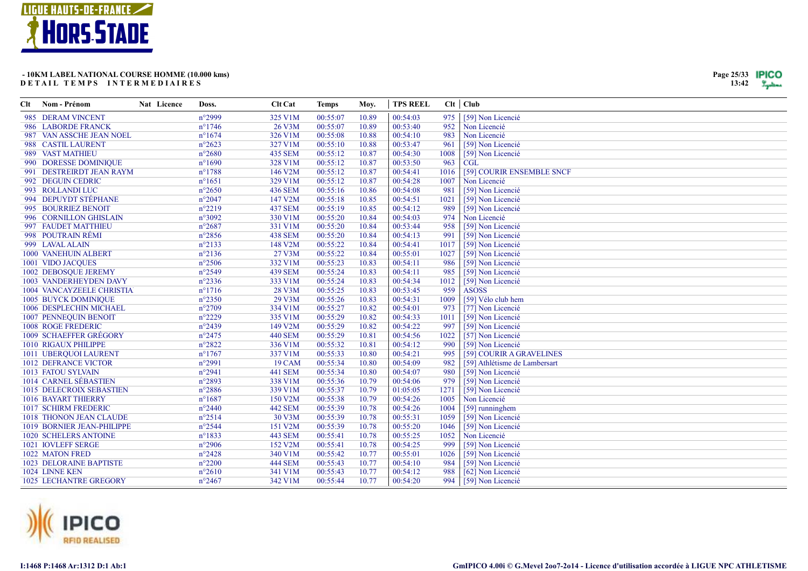

| Page 25/33 | TPICO |
|------------|-------|
| 13:42      |       |

| Clt Nom - Prénom               | Nat Licence | Doss.            | <b>Clt</b> Cat | <b>Temps</b> | Moy.  | <b>TPS REEL</b> |      | $Clt$ Club                    |
|--------------------------------|-------------|------------------|----------------|--------------|-------|-----------------|------|-------------------------------|
| 985 DERAM VINCENT              |             | $n^{\circ}2999$  | 325 V1M        | 00:55:07     | 10.89 | 00:54:03        | 975  | [59] Non Licencié             |
| 986 LABORDE FRANCK             |             | $n^{\circ}$ 1746 | 26 V3M         | 00:55:07     | 10.89 | 00:53:40        | 952  | Non Licencié                  |
| 987 VAN ASSCHE JEAN NOEL       |             | $n^{\circ}1674$  | 326 V1M        | 00:55:08     | 10.88 | 00:54:10        | 983  | Non Licencié                  |
| 988 CASTIL LAURENT             |             | $n^{\circ}2623$  | 327 V1M        | 00:55:10     | 10.88 | 00:53:47        | 961  | [59] Non Licencié             |
| 989 VAST MATHIEU               |             | $n^{\circ}2680$  | 435 SEM        | 00:55:12     | 10.87 | 00:54:30        | 1008 | [59] Non Licencié             |
| 990 DORESSE DOMINIQUE          |             | $n^{\circ}1690$  | 328 V1M        | 00:55:12     | 10.87 | 00:53:50        | 963  | <b>CGL</b>                    |
| 991 DESTREIRDT JEAN RAYM       |             | $n^{\circ}$ 1788 | 146 V2M        | 00:55:12     | 10.87 | 00:54:41        | 1016 | [59] COURIR ENSEMBLE SNCF     |
| 992 DEGUIN CEDRIC              |             | $n^{\circ}1651$  | 329 V1M        | 00:55:12     | 10.87 | 00:54:28        | 1007 | Non Licencié                  |
| 993 ROLLANDI LUC               |             | $n^{\circ}2650$  | 436 SEM        | 00:55:16     | 10.86 | 00:54:08        | 981  | [59] Non Licencié             |
| 994 DEPUYDT STÉPHANE           |             | $n^{\circ}2047$  | 147 V2M        | 00:55:18     | 10.85 | 00:54:51        | 1021 | [59] Non Licencié             |
| 995 BOURRIEZ BENOIT            |             | $n^{\circ}2219$  | <b>437 SEM</b> | 00:55:19     | 10.85 | 00:54:12        | 989  | [59] Non Licencié             |
| 996 CORNILLON GHISLAIN         |             | n°3092           | 330 V1M        | 00:55:20     | 10.84 | 00:54:03        | 974  | Non Licencié                  |
| 997 FAUDET MATTHIEU            |             | $n^{\circ}2687$  | 331 V1M        | 00:55:20     | 10.84 | 00:53:44        | 958  | [59] Non Licencié             |
| 998 POUTRAIN RÉMI              |             | $n^{\circ}2856$  | <b>438 SEM</b> | 00:55:20     | 10.84 | 00:54:13        | 991  | [59] Non Licencié             |
| 999 LAVAL ALAIN                |             | $n^{\circ}2133$  | 148 V2M        | 00:55:22     | 10.84 | 00:54:41        | 1017 | [59] Non Licencié             |
| 1000 VANEHUIN ALBERT           |             | $n^{\circ}2136$  | 27 V3M         | 00:55:22     | 10.84 | 00:55:01        | 1027 | [59] Non Licencié             |
| 1001 VIDO JACQUES              |             | $n^{\circ}2506$  | 332 V1M        | 00:55:23     | 10.83 | 00:54:11        | 986  | [59] Non Licencié             |
| 1002 DEBOSQUE JEREMY           |             | $n^{\circ}2549$  | <b>439 SEM</b> | 00:55:24     | 10.83 | 00:54:11        | 985  | [59] Non Licencié             |
| 1003 VANDERHEYDEN DAVY         |             | $n^{\circ}2336$  | 333 V1M        | 00:55:24     | 10.83 | 00:54:34        | 1012 | [59] Non Licencié             |
| 1004 VANCAYZEELE CHRISTIA      |             | $n^{\circ}1716$  | 28 V3M         | 00:55:25     | 10.83 | 00:53:45        | 959  | <b>ASOSS</b>                  |
| <b>1005 BUYCK DOMINIQUE</b>    |             | $n^{\circ}2350$  | 29 V3M         | 00:55:26     | 10.83 | 00:54:31        | 1009 | [59] Vélo club hem            |
| 1006 DESPLECHIN MICHAEL        |             | $n^{\circ}2709$  | 334 V1M        | 00:55:27     | 10.82 | 00:54:01        | 973  | [77] Non Licencié             |
| 1007 PENNEQUIN BENOIT          |             | $n^{\circ}2229$  | 335 V1M        | 00:55:29     | 10.82 | 00:54:33        | 1011 | [59] Non Licencié             |
| <b>1008 ROGE FREDERIC</b>      |             | $n^{\circ}2439$  | 149 V2M        | 00:55:29     | 10.82 | 00:54:22        | 997  | [59] Non Licencié             |
| 1009 SCHAEFFER GRÉGORY         |             | $n^{\circ}2475$  | <b>440 SEM</b> | 00:55:29     | 10.81 | 00:54:56        | 1022 | [57] Non Licencié             |
| 1010 RIGAUX PHILIPPE           |             | $n^{\circ}2822$  | 336 V1M        | 00:55:32     | 10.81 | 00:54:12        | 990  | [59] Non Licencié             |
| 1011 UBERQUOI LAURENT          |             | $n^{\circ}1767$  | 337 V1M        | 00:55:33     | 10.80 | 00:54:21        | 995  | [59] COURIR A GRAVELINES      |
| <b>1012 DEFRANCE VICTOR</b>    |             | $n^{\circ}2991$  | 19 CAM         | 00:55:34     | 10.80 | 00:54:09        | 982  | [59] Athlétisme de Lambersart |
| 1013 FATOU SYLVAIN             |             | $n^{\circ}2941$  | 441 SEM        | 00:55:34     | 10.80 | 00:54:07        | 980  | [59] Non Licencié             |
| 1014 CARNEL SÉBASTIEN          |             | n°2893           | 338 V1M        | 00:55:36     | 10.79 | 00:54:06        | 979  | [59] Non Licencié             |
| 1015 DELECROIX SEBASTIEN       |             | $n^{\circ}2886$  | 339 V1M        | 00:55:37     | 10.79 | 01:05:05        | 1271 | [59] Non Licencié             |
| 1016 BAYART THIERRY            |             | $n^{\circ}1687$  | 150 V2M        | 00:55:38     | 10.79 | 00:54:26        | 1005 | Non Licencié                  |
| 1017 SCHIRM FREDERIC           |             | $n^{\circ}2440$  | <b>442 SEM</b> | 00:55:39     | 10.78 | 00:54:26        | 1004 | [59] runninghem               |
| 1018 THONON JEAN CLAUDE        |             | $n^{\circ}2514$  | 30 V3M         | 00:55:39     | 10.78 | 00:55:31        | 1059 | [59] Non Licencié             |
| 1019 BORNIER JEAN-PHILIPPE     |             | $n^{\circ}2544$  | 151 V2M        | 00:55:39     | 10.78 | 00:55:20        | 1046 | [59] Non Licencié             |
| <b>1020 SCHELERS ANTOINE</b>   |             | $n^{\circ}1833$  | 443 SEM        | 00:55:41     | 10.78 | 00:55:25        | 1052 | Non Licencié                  |
| <b>1021 IOVLEFF SERGE</b>      |             | $n^{\circ}2906$  | 152 V2M        | 00:55:41     | 10.78 | 00:54:25        | 999  | [59] Non Licencié             |
| <b>1022 MATON FRED</b>         |             | $n^{\circ}2428$  | 340 V1M        | 00:55:42     | 10.77 | 00:55:01        | 1026 | [59] Non Licencié             |
| <b>1023 DELORAINE BAPTISTE</b> |             | $n^{\circ}2200$  | <b>444 SEM</b> | 00:55:43     | 10.77 | 00:54:10        | 984  | [59] Non Licencié             |
| 1024 LINNE KEN                 |             | $n^{\circ}2610$  | 341 V1M        | 00:55:43     | 10.77 | 00:54:12        | 988  | [62] Non Licencié             |
| <b>1025 LECHANTRE GREGORY</b>  |             | $n^{\circ}2467$  | 342 V1M        | 00:55:44     | 10.77 | 00:54:20        |      | 994 [59] Non Licencié         |

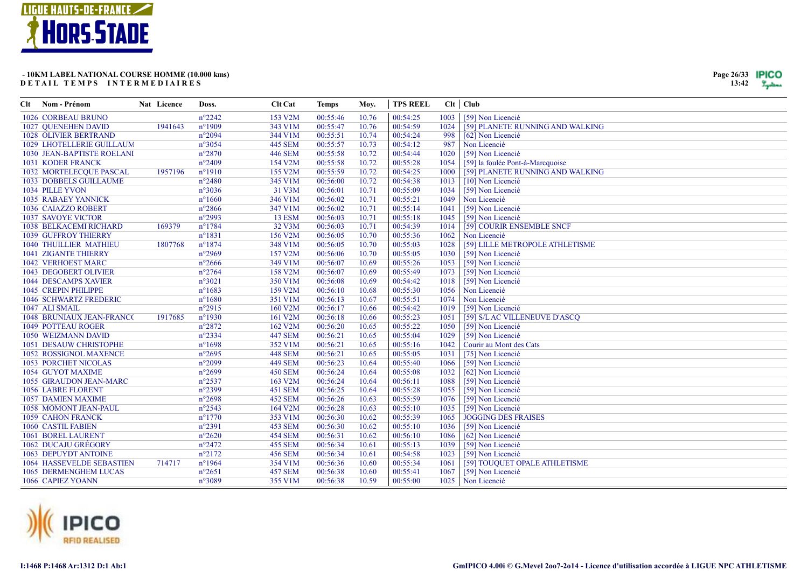

| Page 26/33 | IPICO |
|------------|-------|
| 13:42      |       |

| Clt | Nom - Prénom                  | Nat Licence | Doss.            | <b>Clt Cat</b> | <b>Temps</b> | Moy.  | <b>TPS REEL</b> |      | Clt   Club                       |
|-----|-------------------------------|-------------|------------------|----------------|--------------|-------|-----------------|------|----------------------------------|
|     | <b>1026 CORBEAU BRUNO</b>     |             | $n^{\circ}2242$  | 153 V2M        | 00:55:46     | 10.76 | 00:54:25        | 1003 | [59] Non Licencié                |
|     | 1027 QUENEHEN DAVID           | 1941643     | $n^{\circ}1909$  | 343 V1M        | 00:55:47     | 10.76 | 00:54:59        | 1024 | [59] PLANETE RUNNING AND WALKING |
|     | <b>1028 OLIVIER BERTRAND</b>  |             | $n^{\circ}2094$  | 344 V1M        | 00:55:51     | 10.74 | 00:54:24        | 998  | [62] Non Licencié                |
|     | 1029 LHOTELLERIE GUILLAUM     |             | $n^{\circ}3054$  | 445 SEM        | 00:55:57     | 10.73 | 00:54:12        | 987  | Non Licencié                     |
|     | 1030 JEAN-BAPTISTE ROELANI    |             | $n^{\circ}2870$  | <b>446 SEM</b> | 00:55:58     | 10.72 | 00:54:44        | 1020 | [59] Non Licencié                |
|     | <b>1031 KODER FRANCK</b>      |             | $n^{\circ}2409$  | 154 V2M        | 00:55:58     | 10.72 | 00:55:28        | 1054 | [59] la foulée Pont-à-Marcquoise |
|     | 1032 MORTELECOUE PASCAL       | 1957196     | $n^{\circ}1910$  | 155 V2M        | 00:55:59     | 10.72 | 00:54:25        | 1000 | [59] PLANETE RUNNING AND WALKING |
|     | 1033 DOBBELS GUILLAUME        |             | $n^{\circ}2480$  | 345 V1M        | 00:56:00     | 10.72 | 00:54:38        | 1013 | [10] Non Licencié                |
|     | 1034 PILLE YVON               |             | $n^{\circ}3036$  | 31 V3M         | 00:56:01     | 10.71 | 00:55:09        | 1034 | [59] Non Licencié                |
|     | <b>1035 RABAEY YANNICK</b>    |             | $n^{\circ}1660$  | 346 V1M        | 00:56:02     | 10.71 | 00:55:21        | 1049 | Non Licencié                     |
|     | 1036 CAIAZZO ROBERT           |             | $n^{\circ}2866$  | 347 V1M        | 00:56:02     | 10.71 | 00:55:14        | 1041 | [59] Non Licencié                |
|     | <b>1037 SAVOYE VICTOR</b>     |             | $n^{\circ}2993$  | <b>13 ESM</b>  | 00:56:03     | 10.71 | 00:55:18        | 1045 | [59] Non Licencié                |
|     | <b>1038 BELKACEMI RICHARD</b> | 169379      | $n^{\circ}1784$  | 32 V3M         | 00:56:03     | 10.71 | 00:54:39        | 1014 | [59] COURIR ENSEMBLE SNCF        |
|     | <b>1039 GUFFROY THIERRY</b>   |             | $n^{\circ}1831$  | 156 V2M        | 00:56:05     | 10.70 | 00:55:36        | 1062 | Non Licencié                     |
|     | <b>1040 THUILLIER MATHIEU</b> | 1807768     | $n^{\circ}1874$  | 348 V1M        | 00:56:05     | 10.70 | 00:55:03        | 1028 | [59] LILLE METROPOLE ATHLETISME  |
|     | <b>1041 ZIGANTE THIERRY</b>   |             | $n^{\circ}2969$  | 157 V2M        | 00:56:06     | 10.70 | 00:55:05        | 1030 | [59] Non Licencié                |
|     | <b>1042 VERHOEST MARC</b>     |             | $n^{\circ}2666$  | 349 V1M        | 00:56:07     | 10.69 | 00:55:26        | 1053 | [59] Non Licencié                |
|     | <b>1043 DEGOBERT OLIVIER</b>  |             | $n^{\circ}2764$  | 158 V2M        | 00:56:07     | 10.69 | 00:55:49        | 1073 | [59] Non Licencié                |
|     | <b>1044 DESCAMPS XAVIER</b>   |             | $n^{\circ}3021$  | 350 V1M        | 00:56:08     | 10.69 | 00:54:42        | 1018 | [59] Non Licencié                |
|     | 1045 CREPIN PHILIPPE          |             | $n^{\circ}1683$  | 159 V2M        | 00:56:10     | 10.68 | 00:55:30        | 1056 | Non Licencié                     |
|     | 1046 SCHWARTZ FREDERIC        |             | $n^{\circ}1680$  | 351 V1M        | 00:56:13     | 10.67 | 00:55:51        | 1074 | Non Licencié                     |
|     | 1047 ALI SMAIL                |             | $n^{\circ}2915$  | 160 V2M        | 00:56:17     | 10.66 | 00:54:42        | 1019 | [59] Non Licencié                |
|     | 1048 BRUNIAUX JEAN-FRANC(     | 1917685     | $n^{\circ}1930$  | 161 V2M        | 00:56:18     | 10.66 | 00:55:23        | 1051 | [59] S/LAC VILLENEUVE D'ASCQ     |
|     | <b>1049 POTTEAU ROGER</b>     |             | $n^{\circ}2872$  | 162 V2M        | 00:56:20     | 10.65 | 00:55:22        | 1050 | [59] Non Licencié                |
|     | 1050 WEIZMANN DAVID           |             | $n^{\circ}2334$  | <b>447 SEM</b> | 00:56:21     | 10.65 | 00:55:04        | 1029 | [59] Non Licencié                |
|     | <b>1051 DESAUW CHRISTOPHE</b> |             | $n^{\circ}1698$  | 352 V1M        | 00:56:21     | 10.65 | 00:55:16        | 1042 | Courir au Mont des Cats          |
|     | 1052 ROSSIGNOL MAXENCE        |             | $n^{\circ}2695$  | <b>448 SEM</b> | 00:56:21     | 10.65 | 00:55:05        | 1031 | [75] Non Licencié                |
|     | <b>1053 PORCHET NICOLAS</b>   |             | $n^{\circ}2099$  | <b>449 SEM</b> | 00:56:23     | 10.64 | 00:55:40        | 1066 | [59] Non Licencié                |
|     | 1054 GUYOT MAXIME             |             | $n^{\circ}2699$  | <b>450 SEM</b> | 00:56:24     | 10.64 | 00:55:08        | 1032 | [62] Non Licencié                |
|     | 1055 GIRAUDON JEAN-MARC       |             | $n^{\circ}2537$  | 163 V2M        | 00:56:24     | 10.64 | 00:56:11        | 1088 | [59] Non Licencié                |
|     | 1056 LABRE FLORENT            |             | $n^{\circ}2399$  | <b>451 SEM</b> | 00:56:25     | 10.64 | 00:55:28        | 1055 | [59] Non Licencié                |
|     | <b>1057 DAMIEN MAXIME</b>     |             | $n^{\circ}2698$  | <b>452 SEM</b> | 00:56:26     | 10.63 | 00:55:59        | 1076 | [59] Non Licencié                |
|     | 1058 MOMONT JEAN-PAUL         |             | $n^{\circ}2543$  | 164 V2M        | 00:56:28     | 10.63 | 00:55:10        | 1035 | [59] Non Licencié                |
|     | <b>1059 CAHON FRANCK</b>      |             | $n^{\circ}1770$  | 353 V1M        | 00:56:30     | 10.62 | 00:55:39        | 1065 | <b>JOGGING DES FRAISES</b>       |
|     | <b>1060 CASTIL FABIEN</b>     |             | $n^{\circ}2391$  | 453 SEM        | 00:56:30     | 10.62 | 00:55:10        | 1036 | [59] Non Licencié                |
|     | 1061 BOREL LAURENT            |             | $n^{\circ}2620$  | <b>454 SEM</b> | 00:56:31     | 10.62 | 00:56:10        | 1086 | [62] Non Licencié                |
|     | 1062 DUCAJU GRÉGORY           |             | $n^{\circ}2472$  | <b>455 SEM</b> | 00:56:34     | 10.61 | 00:55:13        | 1039 | [59] Non Licencié                |
|     | 1063 DEPUYDT ANTOINE          |             | $n^{\circ}2172$  | <b>456 SEM</b> | 00:56:34     | 10.61 | 00:54:58        | 1023 | [59] Non Licencié                |
|     | 1064 HASSEVELDE SEBASTIEN     | 714717      | $n^{\circ}$ 1964 | 354 V1M        | 00:56:36     | 10.60 | 00:55:34        | 1061 | [59] TOUQUET OPALE ATHLETISME    |
|     | 1065 DERMENGHEM LUCAS         |             | $n^{\circ}2651$  | <b>457 SEM</b> | 00:56:38     | 10.60 | 00:55:41        | 1067 | [59] Non Licencié                |
|     | 1066 CAPIEZ YOANN             |             | $n^{\circ}3089$  | 355 V1M        | 00:56:38     | 10.59 | 00:55:00        |      | 1025   Non Licencié              |
|     |                               |             |                  |                |              |       |                 |      |                                  |

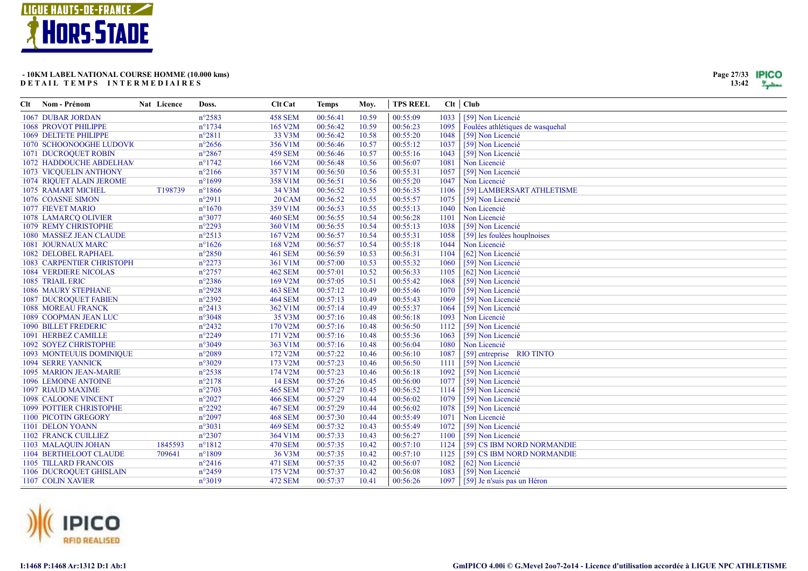

| Page 27/33 | IPICO |
|------------|-------|
| 13:42      |       |

| <b>1067 DUBAR JORDAN</b><br>$n^{\circ}2583$<br><b>458 SEM</b><br>00:56:41<br>10.59<br>00:55:09<br>1033<br>[59] Non Licencié<br>$n^{\circ}1734$<br>165 V2M<br>00:56:42<br>10.59<br>00:56:23<br>Foulées athlétiques de wasquehal<br>1068 PROVOT PHILIPPE<br>1095<br>$n^{\circ}2811$<br>33 V3M<br>00:56:42<br>1069 DELTETE PHILIPPE<br>10.58<br>00:55:20<br>1048<br>[59] Non Licencié<br>356 V1M<br>00:55:12<br>[59] Non Licencié<br>1070 SCHOONOOGHE LUDOVIO<br>$n^{\circ}2656$<br>00:56:46<br>10.57<br>1037<br>1043<br><b>1071 DUCROQUET ROBIN</b><br>$n^{\circ}2867$<br><b>459 SEM</b><br>00:56:46<br>10.57<br>00:55:16<br>[59] Non Licencié<br>$n^{\circ}1742$<br>166 V2M<br>00:56:48<br>10.56<br>00:56:07<br>1081<br>Non Licencié<br>1072 HADDOUCHE ABDELHAM<br>$n^{\circ}2166$<br>357 V1M<br>00:56:50<br>10.56<br>00:55:31<br>1057<br>[59] Non Licencié<br>1073 VICQUELIN ANTHONY<br>$n^{\circ}1699$<br>358 V1M<br>00:56:51<br>10.56<br>00:55:20<br>1047<br>Non Licencié<br>1074 RIQUET ALAIN JEROME<br>T198739<br>$n^{\circ}1866$<br>00:56:52<br>00:56:35<br>[59] LAMBERSART ATHLETISME<br>1075 RAMART MICHEL<br>34 V3M<br>10.55<br>1106<br>1076 COASNE SIMON<br>$n^{\circ}2911$<br><b>20 CAM</b><br>00:56:52<br>10.55<br>00:55:57<br>1075<br>[59] Non Licencié<br>359 V1M<br>00:56:53<br><b>1077 FIEVET MARIO</b><br>$n^{\circ}1670$<br>10.55<br>00:55:13<br>1040<br>Non Licencié<br>Non Licencié<br>$n^{\circ}3077$<br><b>460 SEM</b><br>00:56:55<br>00:56:28<br>1078 LAMARCQ OLIVIER<br>10.54<br>1101<br>1079 REMY CHRISTOPHE<br>$n^{\circ}2293$<br>360 V1M<br>00:56:55<br>00:55:13<br>1038<br>[59] Non Licencié<br>10.54<br>$n^{\circ}2513$<br>167 V2M<br>00:56:57<br>10.54<br>00:55:31<br>1058<br>[59] les foulées houplnoises<br>1080 MASSEZ JEAN CLAUDE<br>$n^{\circ}1626$<br>00:56:57<br>1081 JOURNAUX MARC<br>168 V2M<br>10.54<br>00:55:18<br>1044<br>Non Licencié<br>$n^{\circ}2850$<br><b>461 SEM</b><br>00:56:59<br>00:56:31<br>1104<br>[62] Non Licencié<br>1082 DELOBEL RAPHAEL<br>10.53<br><b>1083 CARPENTIER CHRISTOPH</b><br>$n^{\circ}2273$<br>361 V1M<br>00:57:00<br>00:55:32<br>10.53<br>1060<br>[59] Non Licencié<br>00:57:01<br>10.52<br><b>1084 VERDIERE NICOLAS</b><br>$n^{\circ}2757$<br><b>462 SEM</b><br>00:56:33<br>1105<br>[62] Non Licencié<br>1085 TRIAIL ERIC<br>$n^{\circ}2386$<br>169 V2M<br>00:57:05<br>00:55:42<br>1068<br>10.51<br>[59] Non Licencié<br>00:57:12<br>1086 MAURY STEPHANE<br>$n^{\circ}2928$<br><b>463 SEM</b><br>10.49<br>00:55:46<br>1070<br>[59] Non Licencié<br>$n^{\circ}2392$<br><b>1087 DUCROQUET FABIEN</b><br><b>464 SEM</b><br>00:57:13<br>00:55:43<br>1069<br>[59] Non Licencié<br>10.49<br>362 V1M<br>00:57:14<br>00:55:37<br><b>1088 MOREAU FRANCK</b><br>$n^{\circ}2413$<br>10.49<br>1064<br>[59] Non Licencié<br>1089 COOPMAN JEAN LUC<br>$n^{\circ}3048$<br>35 V3M<br>00:57:16<br>00:56:18<br>1093<br>Non Licencié<br>10.48<br>170 V2M<br>[59] Non Licencié<br>1090 BILLET FREDERIC<br>$n^{\circ}2432$<br>00:57:16<br>10.48<br>00:56:50<br>1112<br>1091 HERBEZ CAMILLE<br>$n^{\circ}2249$<br>171 V2M<br>00:57:16<br>10.48<br>00:55:36<br>1063<br>[59] Non Licencié<br>$n^{\circ}3049$<br>363 V1M<br>00:57:16<br>10.48<br>1092 SOYEZ CHRISTOPHE<br>00:56:04<br>1080<br>Non Licencié<br>00:57:22<br>1093 MONTEUUIS DOMINIQUE<br>$n^{\circ}2089$<br>172 V2M<br>10.46<br>00:56:10<br>1087<br>[59] entreprise RIO TINTO<br>173 V2M<br>00:57:23<br><b>1094 SERRE YANNICK</b><br>$n^{\circ}3029$<br>10.46<br>00:56:50<br>[59] Non Licencié<br>1111<br>00:57:23<br>1095 MARION JEAN-MARIE<br>$n^{\circ}2538$<br>174 V2M<br>10.46<br>00:56:18<br>1092<br>[59] Non Licencié<br>$n^{\circ}2178$<br><b>14 ESM</b><br>00:57:26<br>10.45<br>00:56:00<br>1077<br>[59] Non Licencié<br><b>1096 LEMOINE ANTOINE</b><br>$n^{\circ}2703$<br>00:57:27<br>1097 RIAUD MAXIME<br><b>465 SEM</b><br>10.45<br>00:56:52<br>1114<br>[59] Non Licencié<br><b>466 SEM</b><br>00:57:29<br><b>1098 CALOONE VINCENT</b><br>$n^{\circ}2027$<br>10.44<br>00:56:02<br>1079<br>[59] Non Licencié<br>$n^{\circ}2292$<br>00:57:29<br>00:56:02<br><b>1099 POTTIER CHRISTOPHE</b><br><b>467 SEM</b><br>10.44<br>1078<br>[59] Non Licencié<br>00:57:30<br>1100 PICOTIN GREGORY<br>$n^{\circ}2097$<br><b>468 SEM</b><br>10.44<br>00:55:49<br>1071<br>Non Licencié<br>$n^{\circ}3031$<br>00:57:32<br>1101 DELON YOANN<br><b>469 SEM</b><br>10.43<br>00:55:49<br>1072<br>[59] Non Licencié<br>$n^{\circ}2307$<br>364 V1M<br>00:57:33<br>00:56:27<br>[59] Non Licencié<br>1102 FRANCK CUILLIEZ<br>10.43<br>1100<br>1845593<br>$n^{\circ}1812$<br><b>470 SEM</b><br>00:57:35<br>00:57:10<br>[59] CS IBM NORD NORMANDIE<br>1103 MALAQUIN JOHAN<br>10.42<br>1124<br>$n^{\circ}1809$<br>1104 BERTHELOOT CLAUDE<br>709641<br>36 V3M<br>00:57:35<br>10.42<br>00:57:10<br>1125<br>[59] CS IBM NORD NORMANDIE<br>00:57:35<br>1105 TILLARD FRANCOIS<br>$n^{\circ}2416$<br><b>471 SEM</b><br>10.42<br>00:56:07<br>1082<br>[62] Non Licencié<br>1106 DUCROQUET GHISLAIN<br>$n^{\circ}2459$<br>175 V2M<br>00:57:37<br>00:56:08<br>[59] Non Licencié<br>10.42<br>1083<br>1107 COLIN XAVIER<br>$n^{\circ}3019$<br><b>472 SEM</b><br>00:57:37<br>10.41<br>00:56:26<br>1097 [59] Je n'suis pas un Héron | Clt | Nom - Prénom | Nat Licence | Doss. | Clt Cat | <b>Temps</b> | Moy. | <b>TPS REEL</b> | $Clt$ $Club$ |
|-------------------------------------------------------------------------------------------------------------------------------------------------------------------------------------------------------------------------------------------------------------------------------------------------------------------------------------------------------------------------------------------------------------------------------------------------------------------------------------------------------------------------------------------------------------------------------------------------------------------------------------------------------------------------------------------------------------------------------------------------------------------------------------------------------------------------------------------------------------------------------------------------------------------------------------------------------------------------------------------------------------------------------------------------------------------------------------------------------------------------------------------------------------------------------------------------------------------------------------------------------------------------------------------------------------------------------------------------------------------------------------------------------------------------------------------------------------------------------------------------------------------------------------------------------------------------------------------------------------------------------------------------------------------------------------------------------------------------------------------------------------------------------------------------------------------------------------------------------------------------------------------------------------------------------------------------------------------------------------------------------------------------------------------------------------------------------------------------------------------------------------------------------------------------------------------------------------------------------------------------------------------------------------------------------------------------------------------------------------------------------------------------------------------------------------------------------------------------------------------------------------------------------------------------------------------------------------------------------------------------------------------------------------------------------------------------------------------------------------------------------------------------------------------------------------------------------------------------------------------------------------------------------------------------------------------------------------------------------------------------------------------------------------------------------------------------------------------------------------------------------------------------------------------------------------------------------------------------------------------------------------------------------------------------------------------------------------------------------------------------------------------------------------------------------------------------------------------------------------------------------------------------------------------------------------------------------------------------------------------------------------------------------------------------------------------------------------------------------------------------------------------------------------------------------------------------------------------------------------------------------------------------------------------------------------------------------------------------------------------------------------------------------------------------------------------------------------------------------------------------------------------------------------------------------------------------------------------------------------------------------------------------------------------------------------------------------------------------------------------------------------------------------------------------------------------------------------------------------------------------------------------------------------------------------------------------------------------------------------------------------------------------------------------------------------------------------------------------------------------------------------------------------------------------------------------------------------------------------------------------------------------------------------------------------------------------------------------------------------------------------------------------------------------------------------------------------------------------------------------------------------------------------------------------------------------------------------------|-----|--------------|-------------|-------|---------|--------------|------|-----------------|--------------|
|                                                                                                                                                                                                                                                                                                                                                                                                                                                                                                                                                                                                                                                                                                                                                                                                                                                                                                                                                                                                                                                                                                                                                                                                                                                                                                                                                                                                                                                                                                                                                                                                                                                                                                                                                                                                                                                                                                                                                                                                                                                                                                                                                                                                                                                                                                                                                                                                                                                                                                                                                                                                                                                                                                                                                                                                                                                                                                                                                                                                                                                                                                                                                                                                                                                                                                                                                                                                                                                                                                                                                                                                                                                                                                                                                                                                                                                                                                                                                                                                                                                                                                                                                                                                                                                                                                                                                                                                                                                                                                                                                                                                                                                                                                                                                                                                                                                                                                                                                                                                                                                                                                                                                                                                                   |     |              |             |       |         |              |      |                 |              |
|                                                                                                                                                                                                                                                                                                                                                                                                                                                                                                                                                                                                                                                                                                                                                                                                                                                                                                                                                                                                                                                                                                                                                                                                                                                                                                                                                                                                                                                                                                                                                                                                                                                                                                                                                                                                                                                                                                                                                                                                                                                                                                                                                                                                                                                                                                                                                                                                                                                                                                                                                                                                                                                                                                                                                                                                                                                                                                                                                                                                                                                                                                                                                                                                                                                                                                                                                                                                                                                                                                                                                                                                                                                                                                                                                                                                                                                                                                                                                                                                                                                                                                                                                                                                                                                                                                                                                                                                                                                                                                                                                                                                                                                                                                                                                                                                                                                                                                                                                                                                                                                                                                                                                                                                                   |     |              |             |       |         |              |      |                 |              |
|                                                                                                                                                                                                                                                                                                                                                                                                                                                                                                                                                                                                                                                                                                                                                                                                                                                                                                                                                                                                                                                                                                                                                                                                                                                                                                                                                                                                                                                                                                                                                                                                                                                                                                                                                                                                                                                                                                                                                                                                                                                                                                                                                                                                                                                                                                                                                                                                                                                                                                                                                                                                                                                                                                                                                                                                                                                                                                                                                                                                                                                                                                                                                                                                                                                                                                                                                                                                                                                                                                                                                                                                                                                                                                                                                                                                                                                                                                                                                                                                                                                                                                                                                                                                                                                                                                                                                                                                                                                                                                                                                                                                                                                                                                                                                                                                                                                                                                                                                                                                                                                                                                                                                                                                                   |     |              |             |       |         |              |      |                 |              |
|                                                                                                                                                                                                                                                                                                                                                                                                                                                                                                                                                                                                                                                                                                                                                                                                                                                                                                                                                                                                                                                                                                                                                                                                                                                                                                                                                                                                                                                                                                                                                                                                                                                                                                                                                                                                                                                                                                                                                                                                                                                                                                                                                                                                                                                                                                                                                                                                                                                                                                                                                                                                                                                                                                                                                                                                                                                                                                                                                                                                                                                                                                                                                                                                                                                                                                                                                                                                                                                                                                                                                                                                                                                                                                                                                                                                                                                                                                                                                                                                                                                                                                                                                                                                                                                                                                                                                                                                                                                                                                                                                                                                                                                                                                                                                                                                                                                                                                                                                                                                                                                                                                                                                                                                                   |     |              |             |       |         |              |      |                 |              |
|                                                                                                                                                                                                                                                                                                                                                                                                                                                                                                                                                                                                                                                                                                                                                                                                                                                                                                                                                                                                                                                                                                                                                                                                                                                                                                                                                                                                                                                                                                                                                                                                                                                                                                                                                                                                                                                                                                                                                                                                                                                                                                                                                                                                                                                                                                                                                                                                                                                                                                                                                                                                                                                                                                                                                                                                                                                                                                                                                                                                                                                                                                                                                                                                                                                                                                                                                                                                                                                                                                                                                                                                                                                                                                                                                                                                                                                                                                                                                                                                                                                                                                                                                                                                                                                                                                                                                                                                                                                                                                                                                                                                                                                                                                                                                                                                                                                                                                                                                                                                                                                                                                                                                                                                                   |     |              |             |       |         |              |      |                 |              |
|                                                                                                                                                                                                                                                                                                                                                                                                                                                                                                                                                                                                                                                                                                                                                                                                                                                                                                                                                                                                                                                                                                                                                                                                                                                                                                                                                                                                                                                                                                                                                                                                                                                                                                                                                                                                                                                                                                                                                                                                                                                                                                                                                                                                                                                                                                                                                                                                                                                                                                                                                                                                                                                                                                                                                                                                                                                                                                                                                                                                                                                                                                                                                                                                                                                                                                                                                                                                                                                                                                                                                                                                                                                                                                                                                                                                                                                                                                                                                                                                                                                                                                                                                                                                                                                                                                                                                                                                                                                                                                                                                                                                                                                                                                                                                                                                                                                                                                                                                                                                                                                                                                                                                                                                                   |     |              |             |       |         |              |      |                 |              |
|                                                                                                                                                                                                                                                                                                                                                                                                                                                                                                                                                                                                                                                                                                                                                                                                                                                                                                                                                                                                                                                                                                                                                                                                                                                                                                                                                                                                                                                                                                                                                                                                                                                                                                                                                                                                                                                                                                                                                                                                                                                                                                                                                                                                                                                                                                                                                                                                                                                                                                                                                                                                                                                                                                                                                                                                                                                                                                                                                                                                                                                                                                                                                                                                                                                                                                                                                                                                                                                                                                                                                                                                                                                                                                                                                                                                                                                                                                                                                                                                                                                                                                                                                                                                                                                                                                                                                                                                                                                                                                                                                                                                                                                                                                                                                                                                                                                                                                                                                                                                                                                                                                                                                                                                                   |     |              |             |       |         |              |      |                 |              |
|                                                                                                                                                                                                                                                                                                                                                                                                                                                                                                                                                                                                                                                                                                                                                                                                                                                                                                                                                                                                                                                                                                                                                                                                                                                                                                                                                                                                                                                                                                                                                                                                                                                                                                                                                                                                                                                                                                                                                                                                                                                                                                                                                                                                                                                                                                                                                                                                                                                                                                                                                                                                                                                                                                                                                                                                                                                                                                                                                                                                                                                                                                                                                                                                                                                                                                                                                                                                                                                                                                                                                                                                                                                                                                                                                                                                                                                                                                                                                                                                                                                                                                                                                                                                                                                                                                                                                                                                                                                                                                                                                                                                                                                                                                                                                                                                                                                                                                                                                                                                                                                                                                                                                                                                                   |     |              |             |       |         |              |      |                 |              |
|                                                                                                                                                                                                                                                                                                                                                                                                                                                                                                                                                                                                                                                                                                                                                                                                                                                                                                                                                                                                                                                                                                                                                                                                                                                                                                                                                                                                                                                                                                                                                                                                                                                                                                                                                                                                                                                                                                                                                                                                                                                                                                                                                                                                                                                                                                                                                                                                                                                                                                                                                                                                                                                                                                                                                                                                                                                                                                                                                                                                                                                                                                                                                                                                                                                                                                                                                                                                                                                                                                                                                                                                                                                                                                                                                                                                                                                                                                                                                                                                                                                                                                                                                                                                                                                                                                                                                                                                                                                                                                                                                                                                                                                                                                                                                                                                                                                                                                                                                                                                                                                                                                                                                                                                                   |     |              |             |       |         |              |      |                 |              |
|                                                                                                                                                                                                                                                                                                                                                                                                                                                                                                                                                                                                                                                                                                                                                                                                                                                                                                                                                                                                                                                                                                                                                                                                                                                                                                                                                                                                                                                                                                                                                                                                                                                                                                                                                                                                                                                                                                                                                                                                                                                                                                                                                                                                                                                                                                                                                                                                                                                                                                                                                                                                                                                                                                                                                                                                                                                                                                                                                                                                                                                                                                                                                                                                                                                                                                                                                                                                                                                                                                                                                                                                                                                                                                                                                                                                                                                                                                                                                                                                                                                                                                                                                                                                                                                                                                                                                                                                                                                                                                                                                                                                                                                                                                                                                                                                                                                                                                                                                                                                                                                                                                                                                                                                                   |     |              |             |       |         |              |      |                 |              |
|                                                                                                                                                                                                                                                                                                                                                                                                                                                                                                                                                                                                                                                                                                                                                                                                                                                                                                                                                                                                                                                                                                                                                                                                                                                                                                                                                                                                                                                                                                                                                                                                                                                                                                                                                                                                                                                                                                                                                                                                                                                                                                                                                                                                                                                                                                                                                                                                                                                                                                                                                                                                                                                                                                                                                                                                                                                                                                                                                                                                                                                                                                                                                                                                                                                                                                                                                                                                                                                                                                                                                                                                                                                                                                                                                                                                                                                                                                                                                                                                                                                                                                                                                                                                                                                                                                                                                                                                                                                                                                                                                                                                                                                                                                                                                                                                                                                                                                                                                                                                                                                                                                                                                                                                                   |     |              |             |       |         |              |      |                 |              |
|                                                                                                                                                                                                                                                                                                                                                                                                                                                                                                                                                                                                                                                                                                                                                                                                                                                                                                                                                                                                                                                                                                                                                                                                                                                                                                                                                                                                                                                                                                                                                                                                                                                                                                                                                                                                                                                                                                                                                                                                                                                                                                                                                                                                                                                                                                                                                                                                                                                                                                                                                                                                                                                                                                                                                                                                                                                                                                                                                                                                                                                                                                                                                                                                                                                                                                                                                                                                                                                                                                                                                                                                                                                                                                                                                                                                                                                                                                                                                                                                                                                                                                                                                                                                                                                                                                                                                                                                                                                                                                                                                                                                                                                                                                                                                                                                                                                                                                                                                                                                                                                                                                                                                                                                                   |     |              |             |       |         |              |      |                 |              |
|                                                                                                                                                                                                                                                                                                                                                                                                                                                                                                                                                                                                                                                                                                                                                                                                                                                                                                                                                                                                                                                                                                                                                                                                                                                                                                                                                                                                                                                                                                                                                                                                                                                                                                                                                                                                                                                                                                                                                                                                                                                                                                                                                                                                                                                                                                                                                                                                                                                                                                                                                                                                                                                                                                                                                                                                                                                                                                                                                                                                                                                                                                                                                                                                                                                                                                                                                                                                                                                                                                                                                                                                                                                                                                                                                                                                                                                                                                                                                                                                                                                                                                                                                                                                                                                                                                                                                                                                                                                                                                                                                                                                                                                                                                                                                                                                                                                                                                                                                                                                                                                                                                                                                                                                                   |     |              |             |       |         |              |      |                 |              |
|                                                                                                                                                                                                                                                                                                                                                                                                                                                                                                                                                                                                                                                                                                                                                                                                                                                                                                                                                                                                                                                                                                                                                                                                                                                                                                                                                                                                                                                                                                                                                                                                                                                                                                                                                                                                                                                                                                                                                                                                                                                                                                                                                                                                                                                                                                                                                                                                                                                                                                                                                                                                                                                                                                                                                                                                                                                                                                                                                                                                                                                                                                                                                                                                                                                                                                                                                                                                                                                                                                                                                                                                                                                                                                                                                                                                                                                                                                                                                                                                                                                                                                                                                                                                                                                                                                                                                                                                                                                                                                                                                                                                                                                                                                                                                                                                                                                                                                                                                                                                                                                                                                                                                                                                                   |     |              |             |       |         |              |      |                 |              |
|                                                                                                                                                                                                                                                                                                                                                                                                                                                                                                                                                                                                                                                                                                                                                                                                                                                                                                                                                                                                                                                                                                                                                                                                                                                                                                                                                                                                                                                                                                                                                                                                                                                                                                                                                                                                                                                                                                                                                                                                                                                                                                                                                                                                                                                                                                                                                                                                                                                                                                                                                                                                                                                                                                                                                                                                                                                                                                                                                                                                                                                                                                                                                                                                                                                                                                                                                                                                                                                                                                                                                                                                                                                                                                                                                                                                                                                                                                                                                                                                                                                                                                                                                                                                                                                                                                                                                                                                                                                                                                                                                                                                                                                                                                                                                                                                                                                                                                                                                                                                                                                                                                                                                                                                                   |     |              |             |       |         |              |      |                 |              |
|                                                                                                                                                                                                                                                                                                                                                                                                                                                                                                                                                                                                                                                                                                                                                                                                                                                                                                                                                                                                                                                                                                                                                                                                                                                                                                                                                                                                                                                                                                                                                                                                                                                                                                                                                                                                                                                                                                                                                                                                                                                                                                                                                                                                                                                                                                                                                                                                                                                                                                                                                                                                                                                                                                                                                                                                                                                                                                                                                                                                                                                                                                                                                                                                                                                                                                                                                                                                                                                                                                                                                                                                                                                                                                                                                                                                                                                                                                                                                                                                                                                                                                                                                                                                                                                                                                                                                                                                                                                                                                                                                                                                                                                                                                                                                                                                                                                                                                                                                                                                                                                                                                                                                                                                                   |     |              |             |       |         |              |      |                 |              |
|                                                                                                                                                                                                                                                                                                                                                                                                                                                                                                                                                                                                                                                                                                                                                                                                                                                                                                                                                                                                                                                                                                                                                                                                                                                                                                                                                                                                                                                                                                                                                                                                                                                                                                                                                                                                                                                                                                                                                                                                                                                                                                                                                                                                                                                                                                                                                                                                                                                                                                                                                                                                                                                                                                                                                                                                                                                                                                                                                                                                                                                                                                                                                                                                                                                                                                                                                                                                                                                                                                                                                                                                                                                                                                                                                                                                                                                                                                                                                                                                                                                                                                                                                                                                                                                                                                                                                                                                                                                                                                                                                                                                                                                                                                                                                                                                                                                                                                                                                                                                                                                                                                                                                                                                                   |     |              |             |       |         |              |      |                 |              |
|                                                                                                                                                                                                                                                                                                                                                                                                                                                                                                                                                                                                                                                                                                                                                                                                                                                                                                                                                                                                                                                                                                                                                                                                                                                                                                                                                                                                                                                                                                                                                                                                                                                                                                                                                                                                                                                                                                                                                                                                                                                                                                                                                                                                                                                                                                                                                                                                                                                                                                                                                                                                                                                                                                                                                                                                                                                                                                                                                                                                                                                                                                                                                                                                                                                                                                                                                                                                                                                                                                                                                                                                                                                                                                                                                                                                                                                                                                                                                                                                                                                                                                                                                                                                                                                                                                                                                                                                                                                                                                                                                                                                                                                                                                                                                                                                                                                                                                                                                                                                                                                                                                                                                                                                                   |     |              |             |       |         |              |      |                 |              |
|                                                                                                                                                                                                                                                                                                                                                                                                                                                                                                                                                                                                                                                                                                                                                                                                                                                                                                                                                                                                                                                                                                                                                                                                                                                                                                                                                                                                                                                                                                                                                                                                                                                                                                                                                                                                                                                                                                                                                                                                                                                                                                                                                                                                                                                                                                                                                                                                                                                                                                                                                                                                                                                                                                                                                                                                                                                                                                                                                                                                                                                                                                                                                                                                                                                                                                                                                                                                                                                                                                                                                                                                                                                                                                                                                                                                                                                                                                                                                                                                                                                                                                                                                                                                                                                                                                                                                                                                                                                                                                                                                                                                                                                                                                                                                                                                                                                                                                                                                                                                                                                                                                                                                                                                                   |     |              |             |       |         |              |      |                 |              |
|                                                                                                                                                                                                                                                                                                                                                                                                                                                                                                                                                                                                                                                                                                                                                                                                                                                                                                                                                                                                                                                                                                                                                                                                                                                                                                                                                                                                                                                                                                                                                                                                                                                                                                                                                                                                                                                                                                                                                                                                                                                                                                                                                                                                                                                                                                                                                                                                                                                                                                                                                                                                                                                                                                                                                                                                                                                                                                                                                                                                                                                                                                                                                                                                                                                                                                                                                                                                                                                                                                                                                                                                                                                                                                                                                                                                                                                                                                                                                                                                                                                                                                                                                                                                                                                                                                                                                                                                                                                                                                                                                                                                                                                                                                                                                                                                                                                                                                                                                                                                                                                                                                                                                                                                                   |     |              |             |       |         |              |      |                 |              |
|                                                                                                                                                                                                                                                                                                                                                                                                                                                                                                                                                                                                                                                                                                                                                                                                                                                                                                                                                                                                                                                                                                                                                                                                                                                                                                                                                                                                                                                                                                                                                                                                                                                                                                                                                                                                                                                                                                                                                                                                                                                                                                                                                                                                                                                                                                                                                                                                                                                                                                                                                                                                                                                                                                                                                                                                                                                                                                                                                                                                                                                                                                                                                                                                                                                                                                                                                                                                                                                                                                                                                                                                                                                                                                                                                                                                                                                                                                                                                                                                                                                                                                                                                                                                                                                                                                                                                                                                                                                                                                                                                                                                                                                                                                                                                                                                                                                                                                                                                                                                                                                                                                                                                                                                                   |     |              |             |       |         |              |      |                 |              |
|                                                                                                                                                                                                                                                                                                                                                                                                                                                                                                                                                                                                                                                                                                                                                                                                                                                                                                                                                                                                                                                                                                                                                                                                                                                                                                                                                                                                                                                                                                                                                                                                                                                                                                                                                                                                                                                                                                                                                                                                                                                                                                                                                                                                                                                                                                                                                                                                                                                                                                                                                                                                                                                                                                                                                                                                                                                                                                                                                                                                                                                                                                                                                                                                                                                                                                                                                                                                                                                                                                                                                                                                                                                                                                                                                                                                                                                                                                                                                                                                                                                                                                                                                                                                                                                                                                                                                                                                                                                                                                                                                                                                                                                                                                                                                                                                                                                                                                                                                                                                                                                                                                                                                                                                                   |     |              |             |       |         |              |      |                 |              |
|                                                                                                                                                                                                                                                                                                                                                                                                                                                                                                                                                                                                                                                                                                                                                                                                                                                                                                                                                                                                                                                                                                                                                                                                                                                                                                                                                                                                                                                                                                                                                                                                                                                                                                                                                                                                                                                                                                                                                                                                                                                                                                                                                                                                                                                                                                                                                                                                                                                                                                                                                                                                                                                                                                                                                                                                                                                                                                                                                                                                                                                                                                                                                                                                                                                                                                                                                                                                                                                                                                                                                                                                                                                                                                                                                                                                                                                                                                                                                                                                                                                                                                                                                                                                                                                                                                                                                                                                                                                                                                                                                                                                                                                                                                                                                                                                                                                                                                                                                                                                                                                                                                                                                                                                                   |     |              |             |       |         |              |      |                 |              |
|                                                                                                                                                                                                                                                                                                                                                                                                                                                                                                                                                                                                                                                                                                                                                                                                                                                                                                                                                                                                                                                                                                                                                                                                                                                                                                                                                                                                                                                                                                                                                                                                                                                                                                                                                                                                                                                                                                                                                                                                                                                                                                                                                                                                                                                                                                                                                                                                                                                                                                                                                                                                                                                                                                                                                                                                                                                                                                                                                                                                                                                                                                                                                                                                                                                                                                                                                                                                                                                                                                                                                                                                                                                                                                                                                                                                                                                                                                                                                                                                                                                                                                                                                                                                                                                                                                                                                                                                                                                                                                                                                                                                                                                                                                                                                                                                                                                                                                                                                                                                                                                                                                                                                                                                                   |     |              |             |       |         |              |      |                 |              |
|                                                                                                                                                                                                                                                                                                                                                                                                                                                                                                                                                                                                                                                                                                                                                                                                                                                                                                                                                                                                                                                                                                                                                                                                                                                                                                                                                                                                                                                                                                                                                                                                                                                                                                                                                                                                                                                                                                                                                                                                                                                                                                                                                                                                                                                                                                                                                                                                                                                                                                                                                                                                                                                                                                                                                                                                                                                                                                                                                                                                                                                                                                                                                                                                                                                                                                                                                                                                                                                                                                                                                                                                                                                                                                                                                                                                                                                                                                                                                                                                                                                                                                                                                                                                                                                                                                                                                                                                                                                                                                                                                                                                                                                                                                                                                                                                                                                                                                                                                                                                                                                                                                                                                                                                                   |     |              |             |       |         |              |      |                 |              |
|                                                                                                                                                                                                                                                                                                                                                                                                                                                                                                                                                                                                                                                                                                                                                                                                                                                                                                                                                                                                                                                                                                                                                                                                                                                                                                                                                                                                                                                                                                                                                                                                                                                                                                                                                                                                                                                                                                                                                                                                                                                                                                                                                                                                                                                                                                                                                                                                                                                                                                                                                                                                                                                                                                                                                                                                                                                                                                                                                                                                                                                                                                                                                                                                                                                                                                                                                                                                                                                                                                                                                                                                                                                                                                                                                                                                                                                                                                                                                                                                                                                                                                                                                                                                                                                                                                                                                                                                                                                                                                                                                                                                                                                                                                                                                                                                                                                                                                                                                                                                                                                                                                                                                                                                                   |     |              |             |       |         |              |      |                 |              |
|                                                                                                                                                                                                                                                                                                                                                                                                                                                                                                                                                                                                                                                                                                                                                                                                                                                                                                                                                                                                                                                                                                                                                                                                                                                                                                                                                                                                                                                                                                                                                                                                                                                                                                                                                                                                                                                                                                                                                                                                                                                                                                                                                                                                                                                                                                                                                                                                                                                                                                                                                                                                                                                                                                                                                                                                                                                                                                                                                                                                                                                                                                                                                                                                                                                                                                                                                                                                                                                                                                                                                                                                                                                                                                                                                                                                                                                                                                                                                                                                                                                                                                                                                                                                                                                                                                                                                                                                                                                                                                                                                                                                                                                                                                                                                                                                                                                                                                                                                                                                                                                                                                                                                                                                                   |     |              |             |       |         |              |      |                 |              |
|                                                                                                                                                                                                                                                                                                                                                                                                                                                                                                                                                                                                                                                                                                                                                                                                                                                                                                                                                                                                                                                                                                                                                                                                                                                                                                                                                                                                                                                                                                                                                                                                                                                                                                                                                                                                                                                                                                                                                                                                                                                                                                                                                                                                                                                                                                                                                                                                                                                                                                                                                                                                                                                                                                                                                                                                                                                                                                                                                                                                                                                                                                                                                                                                                                                                                                                                                                                                                                                                                                                                                                                                                                                                                                                                                                                                                                                                                                                                                                                                                                                                                                                                                                                                                                                                                                                                                                                                                                                                                                                                                                                                                                                                                                                                                                                                                                                                                                                                                                                                                                                                                                                                                                                                                   |     |              |             |       |         |              |      |                 |              |
|                                                                                                                                                                                                                                                                                                                                                                                                                                                                                                                                                                                                                                                                                                                                                                                                                                                                                                                                                                                                                                                                                                                                                                                                                                                                                                                                                                                                                                                                                                                                                                                                                                                                                                                                                                                                                                                                                                                                                                                                                                                                                                                                                                                                                                                                                                                                                                                                                                                                                                                                                                                                                                                                                                                                                                                                                                                                                                                                                                                                                                                                                                                                                                                                                                                                                                                                                                                                                                                                                                                                                                                                                                                                                                                                                                                                                                                                                                                                                                                                                                                                                                                                                                                                                                                                                                                                                                                                                                                                                                                                                                                                                                                                                                                                                                                                                                                                                                                                                                                                                                                                                                                                                                                                                   |     |              |             |       |         |              |      |                 |              |
|                                                                                                                                                                                                                                                                                                                                                                                                                                                                                                                                                                                                                                                                                                                                                                                                                                                                                                                                                                                                                                                                                                                                                                                                                                                                                                                                                                                                                                                                                                                                                                                                                                                                                                                                                                                                                                                                                                                                                                                                                                                                                                                                                                                                                                                                                                                                                                                                                                                                                                                                                                                                                                                                                                                                                                                                                                                                                                                                                                                                                                                                                                                                                                                                                                                                                                                                                                                                                                                                                                                                                                                                                                                                                                                                                                                                                                                                                                                                                                                                                                                                                                                                                                                                                                                                                                                                                                                                                                                                                                                                                                                                                                                                                                                                                                                                                                                                                                                                                                                                                                                                                                                                                                                                                   |     |              |             |       |         |              |      |                 |              |
|                                                                                                                                                                                                                                                                                                                                                                                                                                                                                                                                                                                                                                                                                                                                                                                                                                                                                                                                                                                                                                                                                                                                                                                                                                                                                                                                                                                                                                                                                                                                                                                                                                                                                                                                                                                                                                                                                                                                                                                                                                                                                                                                                                                                                                                                                                                                                                                                                                                                                                                                                                                                                                                                                                                                                                                                                                                                                                                                                                                                                                                                                                                                                                                                                                                                                                                                                                                                                                                                                                                                                                                                                                                                                                                                                                                                                                                                                                                                                                                                                                                                                                                                                                                                                                                                                                                                                                                                                                                                                                                                                                                                                                                                                                                                                                                                                                                                                                                                                                                                                                                                                                                                                                                                                   |     |              |             |       |         |              |      |                 |              |
|                                                                                                                                                                                                                                                                                                                                                                                                                                                                                                                                                                                                                                                                                                                                                                                                                                                                                                                                                                                                                                                                                                                                                                                                                                                                                                                                                                                                                                                                                                                                                                                                                                                                                                                                                                                                                                                                                                                                                                                                                                                                                                                                                                                                                                                                                                                                                                                                                                                                                                                                                                                                                                                                                                                                                                                                                                                                                                                                                                                                                                                                                                                                                                                                                                                                                                                                                                                                                                                                                                                                                                                                                                                                                                                                                                                                                                                                                                                                                                                                                                                                                                                                                                                                                                                                                                                                                                                                                                                                                                                                                                                                                                                                                                                                                                                                                                                                                                                                                                                                                                                                                                                                                                                                                   |     |              |             |       |         |              |      |                 |              |
|                                                                                                                                                                                                                                                                                                                                                                                                                                                                                                                                                                                                                                                                                                                                                                                                                                                                                                                                                                                                                                                                                                                                                                                                                                                                                                                                                                                                                                                                                                                                                                                                                                                                                                                                                                                                                                                                                                                                                                                                                                                                                                                                                                                                                                                                                                                                                                                                                                                                                                                                                                                                                                                                                                                                                                                                                                                                                                                                                                                                                                                                                                                                                                                                                                                                                                                                                                                                                                                                                                                                                                                                                                                                                                                                                                                                                                                                                                                                                                                                                                                                                                                                                                                                                                                                                                                                                                                                                                                                                                                                                                                                                                                                                                                                                                                                                                                                                                                                                                                                                                                                                                                                                                                                                   |     |              |             |       |         |              |      |                 |              |
|                                                                                                                                                                                                                                                                                                                                                                                                                                                                                                                                                                                                                                                                                                                                                                                                                                                                                                                                                                                                                                                                                                                                                                                                                                                                                                                                                                                                                                                                                                                                                                                                                                                                                                                                                                                                                                                                                                                                                                                                                                                                                                                                                                                                                                                                                                                                                                                                                                                                                                                                                                                                                                                                                                                                                                                                                                                                                                                                                                                                                                                                                                                                                                                                                                                                                                                                                                                                                                                                                                                                                                                                                                                                                                                                                                                                                                                                                                                                                                                                                                                                                                                                                                                                                                                                                                                                                                                                                                                                                                                                                                                                                                                                                                                                                                                                                                                                                                                                                                                                                                                                                                                                                                                                                   |     |              |             |       |         |              |      |                 |              |
|                                                                                                                                                                                                                                                                                                                                                                                                                                                                                                                                                                                                                                                                                                                                                                                                                                                                                                                                                                                                                                                                                                                                                                                                                                                                                                                                                                                                                                                                                                                                                                                                                                                                                                                                                                                                                                                                                                                                                                                                                                                                                                                                                                                                                                                                                                                                                                                                                                                                                                                                                                                                                                                                                                                                                                                                                                                                                                                                                                                                                                                                                                                                                                                                                                                                                                                                                                                                                                                                                                                                                                                                                                                                                                                                                                                                                                                                                                                                                                                                                                                                                                                                                                                                                                                                                                                                                                                                                                                                                                                                                                                                                                                                                                                                                                                                                                                                                                                                                                                                                                                                                                                                                                                                                   |     |              |             |       |         |              |      |                 |              |
|                                                                                                                                                                                                                                                                                                                                                                                                                                                                                                                                                                                                                                                                                                                                                                                                                                                                                                                                                                                                                                                                                                                                                                                                                                                                                                                                                                                                                                                                                                                                                                                                                                                                                                                                                                                                                                                                                                                                                                                                                                                                                                                                                                                                                                                                                                                                                                                                                                                                                                                                                                                                                                                                                                                                                                                                                                                                                                                                                                                                                                                                                                                                                                                                                                                                                                                                                                                                                                                                                                                                                                                                                                                                                                                                                                                                                                                                                                                                                                                                                                                                                                                                                                                                                                                                                                                                                                                                                                                                                                                                                                                                                                                                                                                                                                                                                                                                                                                                                                                                                                                                                                                                                                                                                   |     |              |             |       |         |              |      |                 |              |
|                                                                                                                                                                                                                                                                                                                                                                                                                                                                                                                                                                                                                                                                                                                                                                                                                                                                                                                                                                                                                                                                                                                                                                                                                                                                                                                                                                                                                                                                                                                                                                                                                                                                                                                                                                                                                                                                                                                                                                                                                                                                                                                                                                                                                                                                                                                                                                                                                                                                                                                                                                                                                                                                                                                                                                                                                                                                                                                                                                                                                                                                                                                                                                                                                                                                                                                                                                                                                                                                                                                                                                                                                                                                                                                                                                                                                                                                                                                                                                                                                                                                                                                                                                                                                                                                                                                                                                                                                                                                                                                                                                                                                                                                                                                                                                                                                                                                                                                                                                                                                                                                                                                                                                                                                   |     |              |             |       |         |              |      |                 |              |
|                                                                                                                                                                                                                                                                                                                                                                                                                                                                                                                                                                                                                                                                                                                                                                                                                                                                                                                                                                                                                                                                                                                                                                                                                                                                                                                                                                                                                                                                                                                                                                                                                                                                                                                                                                                                                                                                                                                                                                                                                                                                                                                                                                                                                                                                                                                                                                                                                                                                                                                                                                                                                                                                                                                                                                                                                                                                                                                                                                                                                                                                                                                                                                                                                                                                                                                                                                                                                                                                                                                                                                                                                                                                                                                                                                                                                                                                                                                                                                                                                                                                                                                                                                                                                                                                                                                                                                                                                                                                                                                                                                                                                                                                                                                                                                                                                                                                                                                                                                                                                                                                                                                                                                                                                   |     |              |             |       |         |              |      |                 |              |
|                                                                                                                                                                                                                                                                                                                                                                                                                                                                                                                                                                                                                                                                                                                                                                                                                                                                                                                                                                                                                                                                                                                                                                                                                                                                                                                                                                                                                                                                                                                                                                                                                                                                                                                                                                                                                                                                                                                                                                                                                                                                                                                                                                                                                                                                                                                                                                                                                                                                                                                                                                                                                                                                                                                                                                                                                                                                                                                                                                                                                                                                                                                                                                                                                                                                                                                                                                                                                                                                                                                                                                                                                                                                                                                                                                                                                                                                                                                                                                                                                                                                                                                                                                                                                                                                                                                                                                                                                                                                                                                                                                                                                                                                                                                                                                                                                                                                                                                                                                                                                                                                                                                                                                                                                   |     |              |             |       |         |              |      |                 |              |
|                                                                                                                                                                                                                                                                                                                                                                                                                                                                                                                                                                                                                                                                                                                                                                                                                                                                                                                                                                                                                                                                                                                                                                                                                                                                                                                                                                                                                                                                                                                                                                                                                                                                                                                                                                                                                                                                                                                                                                                                                                                                                                                                                                                                                                                                                                                                                                                                                                                                                                                                                                                                                                                                                                                                                                                                                                                                                                                                                                                                                                                                                                                                                                                                                                                                                                                                                                                                                                                                                                                                                                                                                                                                                                                                                                                                                                                                                                                                                                                                                                                                                                                                                                                                                                                                                                                                                                                                                                                                                                                                                                                                                                                                                                                                                                                                                                                                                                                                                                                                                                                                                                                                                                                                                   |     |              |             |       |         |              |      |                 |              |
|                                                                                                                                                                                                                                                                                                                                                                                                                                                                                                                                                                                                                                                                                                                                                                                                                                                                                                                                                                                                                                                                                                                                                                                                                                                                                                                                                                                                                                                                                                                                                                                                                                                                                                                                                                                                                                                                                                                                                                                                                                                                                                                                                                                                                                                                                                                                                                                                                                                                                                                                                                                                                                                                                                                                                                                                                                                                                                                                                                                                                                                                                                                                                                                                                                                                                                                                                                                                                                                                                                                                                                                                                                                                                                                                                                                                                                                                                                                                                                                                                                                                                                                                                                                                                                                                                                                                                                                                                                                                                                                                                                                                                                                                                                                                                                                                                                                                                                                                                                                                                                                                                                                                                                                                                   |     |              |             |       |         |              |      |                 |              |

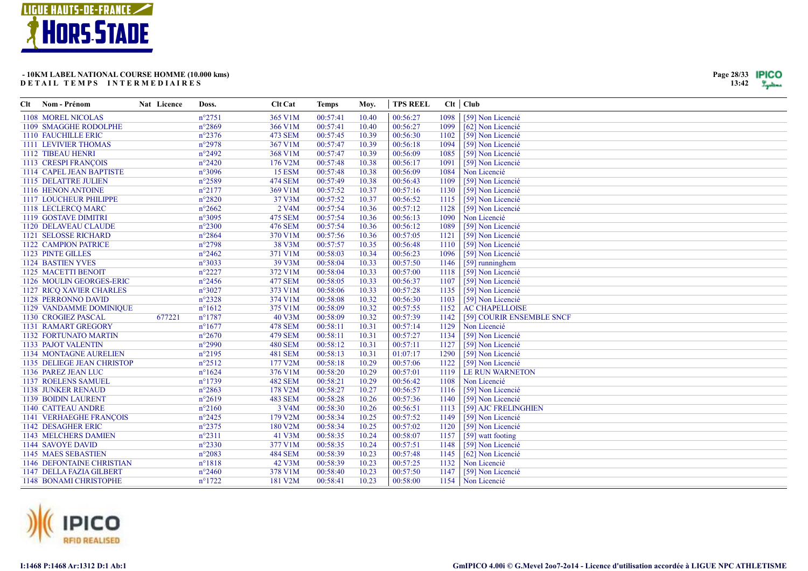

| Clt | Nom - Prénom                   | Nat Licence | Doss.            | <b>Clt Cat</b>     | <b>Temps</b> | Moy.  | <b>TPS REEL</b> |      | Clt   Club                |
|-----|--------------------------------|-------------|------------------|--------------------|--------------|-------|-----------------|------|---------------------------|
|     | 1108 MOREL NICOLAS             |             | $n^{\circ}2751$  | 365 V1M            | 00:57:41     | 10.40 | 00:56:27        | 1098 | [59] Non Licencié         |
|     | 1109 SMAGGHE RODOLPHE          |             | $n^{\circ}2869$  | 366 V1M            | 00:57:41     | 10.40 | 00:56:27        | 1099 | [62] Non Licencié         |
|     | 1110 FAUCHILLE ERIC            |             | $n^{\circ}2376$  | <b>473 SEM</b>     | 00:57:45     | 10.39 | 00:56:30        | 1102 | [59] Non Licencié         |
|     | 1111 LEVIVIER THOMAS           |             | $n^{\circ}2978$  | 367 V1M            | 00:57:47     | 10.39 | 00:56:18        | 1094 | [59] Non Licencié         |
|     | 1112 TIBEAU HENRI              |             | $n^{\circ}2492$  | 368 V1M            | 00:57:47     | 10.39 | 00:56:09        | 1085 | [59] Non Licencié         |
|     | 1113 CRESPI FRANÇOIS           |             | $n^{\circ}2420$  | 176 V2M            | 00:57:48     | 10.38 | 00:56:17        | 1091 | [59] Non Licencié         |
|     | 1114 CAPEL JEAN BAPTISTE       |             | $n^{\circ}3096$  | <b>15 ESM</b>      | 00:57:48     | 10.38 | 00:56:09        | 1084 | Non Licencié              |
|     | 1115 DELATTRE JULIEN           |             | $n^{\circ}2589$  | <b>474 SEM</b>     | 00:57:49     | 10.38 | 00:56:43        | 1109 | [59] Non Licencié         |
|     | 1116 HENON ANTOINE             |             | $n^{\circ}2177$  | 369 V1M            | 00:57:52     | 10.37 | 00:57:16        | 1130 | [59] Non Licencié         |
|     | 1117 LOUCHEUR PHILIPPE         |             | $n^{\circ}2820$  | 37 V3M             | 00:57:52     | 10.37 | 00:56:52        | 1115 | [59] Non Licencié         |
|     | 1118 LECLERCQ MARC             |             | $n^{\circ}2662$  | 2 V <sub>4</sub> M | 00:57:54     | 10.36 | 00:57:12        | 1128 | [59] Non Licencié         |
|     | 1119 GOSTAVE DIMITRI           |             | $n^{\circ}3095$  | 475 SEM            | 00:57:54     | 10.36 | 00:56:13        | 1090 | Non Licencié              |
|     | 1120 DELAVEAU CLAUDE           |             | $n^{\circ}2300$  | <b>476 SEM</b>     | 00:57:54     | 10.36 | 00:56:12        | 1089 | [59] Non Licencié         |
|     | 1121 SELOSSE RICHARD           |             | $n^{\circ}2864$  | 370 V1M            | 00:57:56     | 10.36 | 00:57:05        | 1121 | [59] Non Licencié         |
|     | 1122 CAMPION PATRICE           |             | $n^{\circ}2798$  | 38 V3M             | 00:57:57     | 10.35 | 00:56:48        | 1110 | [59] Non Licencié         |
|     | 1123 PINTE GILLES              |             | $n^{\circ}2462$  | 371 V1M            | 00:58:03     | 10.34 | 00:56:23        | 1096 | [59] Non Licencié         |
|     | <b>1124 BASTIEN YVES</b>       |             | $n^{\circ}3033$  | 39 V3M             | 00:58:04     | 10.33 | 00:57:50        | 1146 | [59] runninghem           |
|     | 1125 MACETTI BENOIT            |             | $n^{\circ}2227$  | 372 V1M            | 00:58:04     | 10.33 | 00:57:00        | 1118 | [59] Non Licencié         |
|     | 1126 MOULIN GEORGES-ERIC       |             | $n^{\circ}2456$  | <b>477 SEM</b>     | 00:58:05     | 10.33 | 00:56:37        | 1107 | [59] Non Licencié         |
|     | 1127 RICO XAVIER CHARLES       |             | $n^{\circ}3027$  | 373 V1M            | 00:58:06     | 10.33 | 00:57:28        | 1135 | [59] Non Licencié         |
|     | 1128 PERRONNO DAVID            |             | $n^{\circ}2328$  | 374 V1M            | 00:58:08     | 10.32 | 00:56:30        | 1103 | [59] Non Licencié         |
|     | 1129 VANDAMME DOMINIQUE        |             | $n^{\circ}1612$  | 375 V1M            | 00:58:09     | 10.32 | 00:57:55        | 1152 | <b>AC CHAPELLOISE</b>     |
|     | 1130 CROGIEZ PASCAL            | 677221      | $n^{\circ}$ 1787 | 40 V3M             | 00:58:09     | 10.32 | 00:57:39        | 1142 | [59] COURIR ENSEMBLE SNCF |
|     | 1131 RAMART GREGORY            |             | $n^{\circ}1677$  | <b>478 SEM</b>     | 00:58:11     | 10.31 | 00:57:14        | 1129 | Non Licencié              |
|     | 1132 FORTUNATO MARTIN          |             | $n^{\circ}2670$  | <b>479 SEM</b>     | 00:58:11     | 10.31 | 00:57:27        | 1134 | [59] Non Licencié         |
|     | 1133 PAJOT VALENTIN            |             | $n^{\circ}2990$  | <b>480 SEM</b>     | 00:58:12     | 10.31 | 00:57:11        | 1127 | [59] Non Licencié         |
|     | <b>1134 MONTAGNE AURELIEN</b>  |             | $n^{\circ}2195$  | <b>481 SEM</b>     | 00:58:13     | 10.31 | 01:07:17        | 1290 | [59] Non Licencié         |
|     | 1135 DELIEGE JEAN CHRISTOP     |             | $n^{\circ}2512$  | 177 V2M            | 00:58:18     | 10.29 | 00:57:06        | 1122 | [59] Non Licencié         |
|     | 1136 PAREZ JEAN LUC            |             | $n^{\circ}1624$  | 376 V1M            | 00:58:20     | 10.29 | 00:57:01        | 1119 | LE RUN WARNETON           |
|     | <b>1137 ROELENS SAMUEL</b>     |             | $n^{\circ}1739$  | <b>482 SEM</b>     | 00:58:21     | 10.29 | 00:56:42        | 1108 | Non Licencié              |
|     | <b>1138 JUNKER RENAUD</b>      |             | $n^{\circ}2863$  | 178 V2M            | 00:58:27     | 10.27 | 00:56:57        | 1116 | [59] Non Licencié         |
|     | 1139 BOIDIN LAURENT            |             | $n^{\circ}2619$  | <b>483 SEM</b>     | 00:58:28     | 10.26 | 00:57:36        | 1140 | [59] Non Licencié         |
|     | 1140 CATTEAU ANDRE             |             | $n^{\circ}2160$  | 3 V <sub>4</sub> M | 00:58:30     | 10.26 | 00:56:51        | 1113 | [59] AJC FRELINGHIEN      |
|     | <b>1141 VERHAEGHE FRANCOIS</b> |             | $n^{\circ}2425$  | 179 V2M            | 00:58:34     | 10.25 | 00:57:52        | 1149 | [59] Non Licencié         |
|     | 1142 DESAGHER ERIC             |             | $n^{\circ}2375$  | 180 V2M            | 00:58:34     | 10.25 | 00:57:02        | 1120 | [59] Non Licencié         |
|     | 1143 MELCHERS DAMIEN           |             | $n^{\circ}2311$  | 41 V3M             | 00:58:35     | 10.24 | 00:58:07        | 1157 | [59] watt footing         |
|     | 1144 SAVOYE DAVID              |             | $n^{\circ}2330$  | 377 V1M            | 00:58:35     | 10.24 | 00:57:51        | 1148 | [59] Non Licencié         |
|     | 1145 MAES SEBASTIEN            |             | $n^{\circ}2083$  | <b>484 SEM</b>     | 00:58:39     | 10.23 | 00:57:48        | 1145 | [62] Non Licencié         |
|     | 1146 DEFONTAINE CHRISTIAN      |             | $n^{\circ}1818$  | 42 V3M             | 00:58:39     | 10.23 | 00:57:25        | 1132 | Non Licencié              |
|     | 1147 DELLA FAZIA GILBERT       |             | $n^{\circ}2460$  | 378 V1M            | 00:58:40     | 10.23 | 00:57:50        | 1147 | [59] Non Licencié         |
|     | 1148 BONAMI CHRISTOPHE         |             | $n^{\circ}1722$  | 181 V2M            | 00:58:41     | 10.23 | 00:58:00        |      | 1154   Non Licencié       |



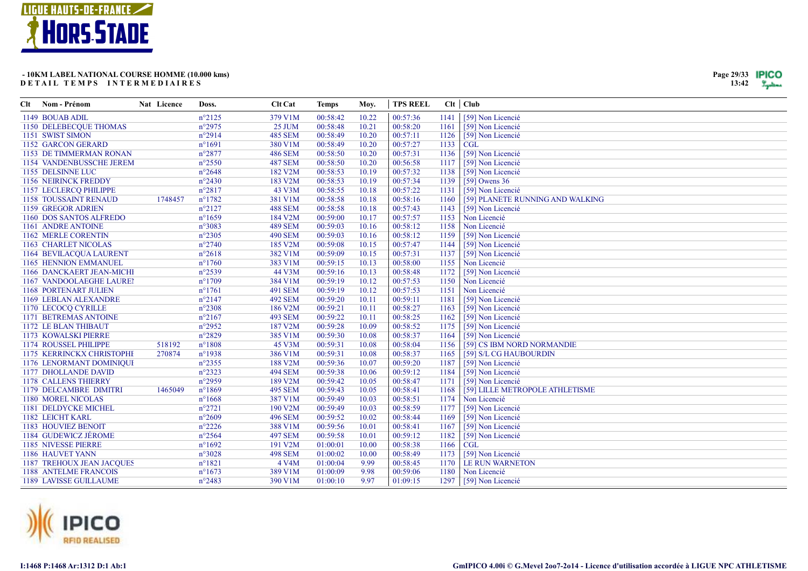

| Page 29/33 | IPICO |
|------------|-------|
| 13:42      |       |

| Clt Nom - Prénom                 | Nat Licence | Doss.           | <b>Clt Cat</b> | <b>Temps</b> | Mov.  | <b>TPS REEL</b> |      | Clt   Club                       |
|----------------------------------|-------------|-----------------|----------------|--------------|-------|-----------------|------|----------------------------------|
| 1149 BOUAB ADIL                  |             | $n^{\circ}2125$ | 379 V1M        | 00:58:42     | 10.22 | 00:57:36        | 1141 | [59] Non Licencié                |
| 1150 DELEBECQUE THOMAS           |             | $n^{\circ}2975$ | 25 JUM         | 00:58:48     | 10.21 | 00:58:20        | 1161 | [59] Non Licencié                |
| 1151 SWIST SIMON                 |             | $n^{\circ}2914$ | <b>485 SEM</b> | 00:58:49     | 10.20 | 00:57:11        | 1126 | [59] Non Licencié                |
| <b>1152 GARCON GERARD</b>        |             | $n^{\circ}1691$ | 380 V1M        | 00:58:49     | 10.20 | 00:57:27        | 1133 | CGL                              |
| 1153 DE TIMMERMAN RONAN          |             | $n^{\circ}2877$ | <b>486 SEM</b> | 00:58:50     | 10.20 | 00:57:31        | 1136 | [59] Non Licencié                |
| 1154 VANDENBUSSCHE JEREM         |             | $n^{\circ}2550$ | <b>487 SEM</b> | 00:58:50     | 10.20 | 00:56:58        | 1117 | [59] Non Licencié                |
| 1155 DELSINNE LUC                |             | $n^{\circ}2648$ | 182 V2M        | 00:58:53     | 10.19 | 00:57:32        | 1138 | [59] Non Licencié                |
| 1156 NEIRINCK FREDDY             |             | $n^{\circ}2430$ | 183 V2M        | 00:58:53     | 10.19 | 00:57:34        | 1139 | $[59]$ Owens 36                  |
| 1157 LECLERCQ PHILIPPE           |             | $n^{\circ}2817$ | 43 V3M         | 00:58:55     | 10.18 | 00:57:22        | 1131 | [59] Non Licencié                |
| 1158 TOUSSAINT RENAUD            | 1748457     | $n^{\circ}1782$ | 381 V1M        | 00:58:58     | 10.18 | 00:58:16        | 1160 | [59] PLANETE RUNNING AND WALKING |
| 1159 GREGOR ADRIEN               |             | $n^{\circ}2127$ | <b>488 SEM</b> | 00:58:58     | 10.18 | 00:57:43        | 1143 | [59] Non Licencié                |
| 1160 DOS SANTOS ALFREDO          |             | $n^{\circ}1659$ | 184 V2M        | 00:59:00     | 10.17 | 00:57:57        | 1153 | Non Licencié                     |
| 1161 ANDRE ANTOINE               |             | $n^{\circ}3083$ | <b>489 SEM</b> | 00:59:03     | 10.16 | 00:58:12        | 1158 | Non Licencié                     |
| 1162 MERLE CORENTIN              |             | $n^{\circ}2305$ | <b>490 SEM</b> | 00:59:03     | 10.16 | 00:58:12        | 1159 | [59] Non Licencié                |
| 1163 CHARLET NICOLAS             |             | $n^{\circ}2740$ | 185 V2M        | 00:59:08     | 10.15 | 00:57:47        | 1144 | [59] Non Licencié                |
| 1164 BEVILACQUA LAURENT          |             | $n^{\circ}2618$ | 382 V1M        | 00:59:09     | 10.15 | 00:57:31        | 1137 | [59] Non Licencié                |
| 1165 HENNION EMMANUEL            |             | $n^{\circ}1760$ | 383 V1M        | 00:59:15     | 10.13 | 00:58:00        | 1155 | Non Licencié                     |
| 1166 DANCKAERT JEAN-MICHI        |             | $n^{\circ}2539$ | 44 V3M         | 00:59:16     | 10.13 | 00:58:48        | 1172 | [59] Non Licencié                |
| 1167 VANDOOLAEGHE LAUREI         |             | $n^{\circ}1709$ | 384 V1M        | 00:59:19     | 10.12 | 00:57:53        | 1150 | Non Licencié                     |
| 1168 PORTENART JULIEN            |             | $n^{\circ}1761$ | <b>491 SEM</b> | 00:59:19     | 10.12 | 00:57:53        | 1151 | Non Licencié                     |
| 1169 LEBLAN ALEXANDRE            |             | $n^{\circ}2147$ | <b>492 SEM</b> | 00:59:20     | 10.11 | 00:59:11        | 1181 | [59] Non Licencié                |
| 1170 LECOCQ CYRILLE              |             | $n^{\circ}2308$ | 186 V2M        | 00:59:21     | 10.11 | 00:58:27        | 1163 | [59] Non Licencié                |
| 1171 BETREMAS ANTOINE            |             | $n^{\circ}2167$ | <b>493 SEM</b> | 00:59:22     | 10.11 | 00:58:25        | 1162 | [59] Non Licencié                |
| 1172 LE BLAN THIBAUT             |             | $n^{\circ}2952$ | 187 V2M        | 00:59:28     | 10.09 | 00:58:52        | 1175 | [59] Non Licencié                |
| 1173 KOWALSKI PIERRE             |             | $n^{\circ}2829$ | 385 V1M        | 00:59:30     | 10.08 | 00:58:37        | 1164 | [59] Non Licencié                |
| 1174 ROUSSEL PHILIPPE            | 518192      | $n^{\circ}1808$ | 45 V3M         | 00:59:31     | 10.08 | 00:58:04        | 1156 | [59] CS IBM NORD NORMANDIE       |
| 1175 KERRINCKX CHRISTOPHE        | 270874      | $n^{\circ}1938$ | 386 V1M        | 00:59:31     | 10.08 | 00:58:37        | 1165 | [59] S/L CG HAUBOURDIN           |
| 1176 LENORMANT DOMINIQUI         |             | $n^{\circ}2355$ | 188 V2M        | 00:59:36     | 10.07 | 00:59:20        | 1187 | [59] Non Licencié                |
| 1177 DHOLLANDE DAVID             |             | $n^{\circ}2323$ | <b>494 SEM</b> | 00:59:38     | 10.06 | 00:59:12        | 1184 | [59] Non Licencié                |
| <b>1178 CALLENS THIERRY</b>      |             | $n^{\circ}2959$ | 189 V2M        | 00:59:42     | 10.05 | 00:58:47        | 1171 | [59] Non Licencié                |
| 1179 DELCAMBRE DIMITRI           | 1465049     | $n^{\circ}1869$ | <b>495 SEM</b> | 00:59:43     | 10.05 | 00:58:41        | 1168 | [59] LILLE METROPOLE ATHLETISME  |
| 1180 MOREL NICOLAS               |             | $n^{\circ}1668$ | 387 V1M        | 00:59:49     | 10.03 | 00:58:51        | 1174 | Non Licencié                     |
| 1181 DELDYCKE MICHEL             |             | $n^{\circ}2721$ | 190 V2M        | 00:59:49     | 10.03 | 00:58:59        | 1177 | [59] Non Licencié                |
| 1182 LEICHT KARL                 |             | $n^{\circ}2609$ | <b>496 SEM</b> | 00:59:52     | 10.02 | 00:58:44        | 1169 | [59] Non Licencié                |
| 1183 HOUVIEZ BENOIT              |             | $n^{\circ}2226$ | 388 V1M        | 00:59:56     | 10.01 | 00:58:41        | 1167 | [59] Non Licencié                |
| 1184 GUDEWICZ JÉROME             |             | $n^{\circ}2564$ | <b>497 SEM</b> | 00:59:58     | 10.01 | 00:59:12        | 1182 | [59] Non Licencié                |
| 1185 NIVESSE PIERRE              |             | $n^{\circ}1692$ | 191 V2M        | 01:00:01     | 10.00 | 00:58:38        | 1166 | CGL                              |
| 1186 HAUVET YANN                 |             | $n^{\circ}3028$ | <b>498 SEM</b> | 01:00:02     | 10.00 | 00:58:49        | 1173 | [59] Non Licencié                |
| <b>1187 TREHOUX JEAN JACOUES</b> |             | $n^{\circ}1821$ | 4 V4M          | 01:00:04     | 9.99  | 00:58:45        | 1170 | LE RUN WARNETON                  |
| <b>1188 ANTELME FRANCOIS</b>     |             | $n^{\circ}1673$ | 389 V1M        | 01:00:09     | 9.98  | 00:59:06        | 1180 | Non Licencié                     |
| <b>1189 LAVISSE GUILLAUME</b>    |             | $n^{\circ}2483$ | 390 V1M        | 01:00:10     | 9.97  | 01:09:15        | 1297 | [59] Non Licencié                |

![](_page_28_Picture_4.jpeg)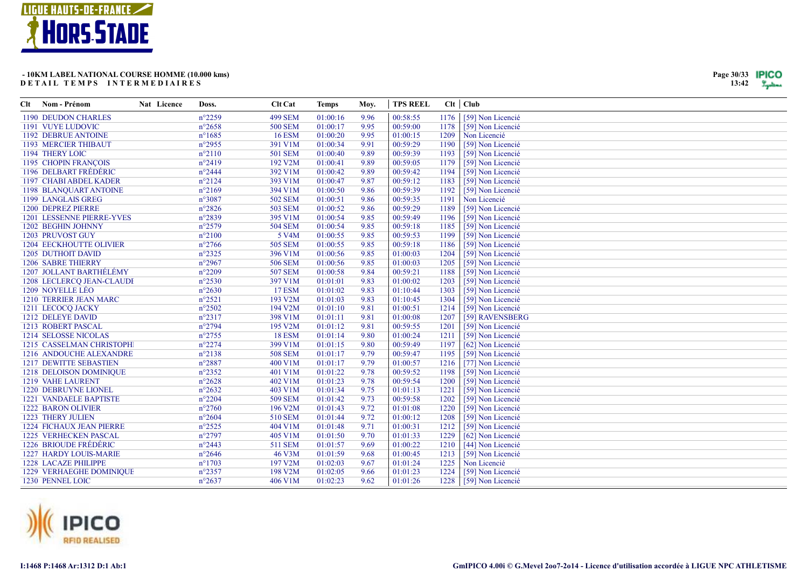![](_page_29_Picture_0.jpeg)

| Clt | Nom - Prénom                    | Nat Licence | Doss.            | <b>Clt Cat</b>     | <b>Temps</b> | Moy. | <b>TPS REEL</b> |      | Clt   Club        |
|-----|---------------------------------|-------------|------------------|--------------------|--------------|------|-----------------|------|-------------------|
|     | 1190 DEUDON CHARLES             |             | $n^{\circ}2259$  | <b>499 SEM</b>     | 01:00:16     | 9.96 | 00:58:55        | 1176 | [59] Non Licencié |
|     | 1191 VUYE LUDOVIC               |             | $n^{\circ}2658$  | <b>500 SEM</b>     | 01:00:17     | 9.95 | 00:59:00        | 1178 | [59] Non Licencié |
|     | <b>1192 DEBRUE ANTOINE</b>      |             | $n^{\circ}1685$  | <b>16 ESM</b>      | 01:00:20     | 9.95 | 01:00:15        | 1209 | Non Licencié      |
|     | 1193 MERCIER THIBAUT            |             | $n^{\circ}2955$  | 391 V1M            | 01:00:34     | 9.91 | 00:59:29        | 1190 | [59] Non Licencié |
|     | 1194 THERY LOIC                 |             | $n^{\circ}2110$  | 501 SEM            | 01:00:40     | 9.89 | 00:59:39        | 1193 | [59] Non Licencié |
|     | 1195 CHOPIN FRANÇOIS            |             | $n^{\circ}2419$  | 192 V2M            | 01:00:41     | 9.89 | 00:59:05        | 1179 | [59] Non Licencié |
|     | 1196 DELBART FRÉDÉRIC           |             | $n^{\circ}$ 2444 | 392 V1M            | 01:00:42     | 9.89 | 00:59:42        | 1194 | [59] Non Licencié |
|     | 1197 CHABI ABDEL KADER          |             | $n^{\circ}2124$  | 393 V1M            | 01:00:47     | 9.87 | 00:59:12        | 1183 | [59] Non Licencié |
|     | 1198 BLANQUART ANTOINE          |             | $n^{\circ}2169$  | 394 V1M            | 01:00:50     | 9.86 | 00:59:39        | 1192 | [59] Non Licencié |
|     | 1199 LANGLAIS GREG              |             | n°3087           | <b>502 SEM</b>     | 01:00:51     | 9.86 | 00:59:35        | 1191 | Non Licencié      |
|     | 1200 DEPREZ PIERRE              |             | $n^{\circ}2826$  | <b>503 SEM</b>     | 01:00:52     | 9.86 | 00:59:29        | 1189 | [59] Non Licencié |
|     | 1201 LESSENNE PIERRE-YVES       |             | $n^{\circ}2839$  | 395 V1M            | 01:00:54     | 9.85 | 00:59:49        | 1196 | [59] Non Licencié |
|     | 1202 BEGHIN JOHNNY              |             | $n^{\circ}2579$  | <b>504 SEM</b>     | 01:00:54     | 9.85 | 00:59:18        | 1185 | [59] Non Licencié |
|     | 1203 PRUVOST GUY                |             | $n^{\circ}2100$  | 5 V <sub>4</sub> M | 01:00:55     | 9.85 | 00:59:53        | 1199 | [59] Non Licencié |
|     | <b>1204 EECKHOUTTE OLIVIER</b>  |             | $n^{\circ}2766$  | <b>505 SEM</b>     | 01:00:55     | 9.85 | 00:59:18        | 1186 | [59] Non Licencié |
|     | 1205 DUTHOIT DAVID              |             | $n^{\circ}2325$  | 396 V1M            | 01:00:56     | 9.85 | 01:00:03        | 1204 | [59] Non Licencié |
|     | <b>1206 SABRE THIERRY</b>       |             | $n^{\circ}2967$  | 506 SEM            | 01:00:56     | 9.85 | 01:00:03        | 1205 | [59] Non Licencié |
|     | 1207 JOLLANT BARTHÉLÉMY         |             | $n^{\circ}2209$  | 507 SEM            | 01:00:58     | 9.84 | 00:59:21        | 1188 | [59] Non Licencié |
|     | 1208 LECLERCQ JEAN-CLAUDE       |             | $n^{\circ}2530$  | 397 V1M            | 01:01:01     | 9.83 | 01:00:02        | 1203 | [59] Non Licencié |
|     | 1209 NOYELLE LÉO                |             | $n^{\circ}2630$  | <b>17 ESM</b>      | 01:01:02     | 9.83 | 01:10:44        | 1303 | [59] Non Licencié |
|     | 1210 TERRIER JEAN MARC          |             | $n^{\circ}2521$  | 193 V2M            | 01:01:03     | 9.83 | 01:10:45        | 1304 | [59] Non Licencié |
|     | 1211 LECOCQ JACKY               |             | $n^{\circ}2502$  | 194 V2M            | 01:01:10     | 9.81 | 01:00:51        | 1214 | [59] Non Licencié |
|     | 1212 DELEYE DAVID               |             | $n^{\circ}2317$  | 398 V1M            | 01:01:11     | 9.81 | 01:00:08        | 1207 | [59] RAVENSBERG   |
|     | 1213 ROBERT PASCAL              |             | $n^{\circ}2794$  | 195 V2M            | 01:01:12     | 9.81 | 00:59:55        | 1201 | [59] Non Licencié |
|     | 1214 SELOSSE NICOLAS            |             | $n^{\circ}2755$  | <b>18 ESM</b>      | 01:01:14     | 9.80 | 01:00:24        | 1211 | [59] Non Licencié |
|     | 1215 CASSELMAN CHRISTOPH        |             | $n^{\circ}2274$  | 399 V1M            | 01:01:15     | 9.80 | 00:59:49        | 1197 | [62] Non Licencié |
|     | 1216 ANDOUCHE ALEXANDRE         |             | $n^{\circ}2138$  | <b>508 SEM</b>     | 01:01:17     | 9.79 | 00:59:47        | 1195 | [59] Non Licencié |
|     | <b>1217 DEWITTE SEBASTIEN</b>   |             | $n^{\circ}2887$  | 400 V1M            | 01:01:17     | 9.79 | 01:00:57        | 1216 | [77] Non Licencié |
|     | 1218 DELOISON DOMINIQUE         |             | $n^{\circ}2352$  | 401 V1M            | 01:01:22     | 9.78 | 00:59:52        | 1198 | [59] Non Licencié |
|     | <b>1219 VAHE LAURENT</b>        |             | $n^{\circ}2628$  | 402 V1M            | 01:01:23     | 9.78 | 00:59:54        | 1200 | [59] Non Licencié |
|     | <b>1220 DEBRUYNE LIONEL</b>     |             | $n^{\circ}2632$  | 403 V1M            | 01:01:34     | 9.75 | 01:01:13        | 1221 | [59] Non Licencié |
|     | <b>1221 VANDAELE BAPTISTE</b>   |             | $n^{\circ}2204$  | <b>509 SEM</b>     | 01:01:42     | 9.73 | 00:59:58        | 1202 | [59] Non Licencié |
|     | <b>1222 BARON OLIVIER</b>       |             | $n^{\circ}2760$  | 196 V2M            | 01:01:43     | 9.72 | 01:01:08        | 1220 | [59] Non Licencié |
|     | 1223 THERY JULIEN               |             | $n^{\circ}2604$  | 510 SEM            | 01:01:44     | 9.72 | 01:00:12        | 1208 | [59] Non Licencié |
|     | <b>1224 FICHAUX JEAN PIERRE</b> |             | $n^{\circ}2525$  | 404 V1M            | 01:01:48     | 9.71 | 01:00:31        | 1212 | [59] Non Licencié |
|     | 1225 VERHECKEN PASCAL           |             | $n^{\circ}2797$  | 405 V1M            | 01:01:50     | 9.70 | 01:01:33        | 1229 | [62] Non Licencié |
|     | 1226 BRIOUDE FRÉDÉRIC           |             | $n^{\circ}2443$  | 511 SEM            | 01:01:57     | 9.69 | 01:00:22        | 1210 | [44] Non Licencié |
|     | 1227 HARDY LOUIS-MARIE          |             | $n^{\circ}2646$  | 46 V3M             | 01:01:59     | 9.68 | 01:00:45        | 1213 | [59] Non Licencié |
|     | <b>1228 LACAZE PHILIPPE</b>     |             | $n^{\circ}1703$  | 197 V2M            | 01:02:03     | 9.67 | 01:01:24        | 1225 | Non Licencié      |
|     | <b>1229 VERHAEGHE DOMINIQUE</b> |             | $n^{\circ}2357$  | 198 V2M            | 01:02:05     | 9.66 | 01:01:23        | 1224 | [59] Non Licencié |
|     | 1230 PENNEL LOIC                |             | $n^{\circ}2637$  | 406 V1M            | 01:02:23     | 9.62 | 01:01:26        | 1228 | [59] Non Licencié |

![](_page_29_Picture_3.jpeg)

![](_page_29_Picture_6.jpeg)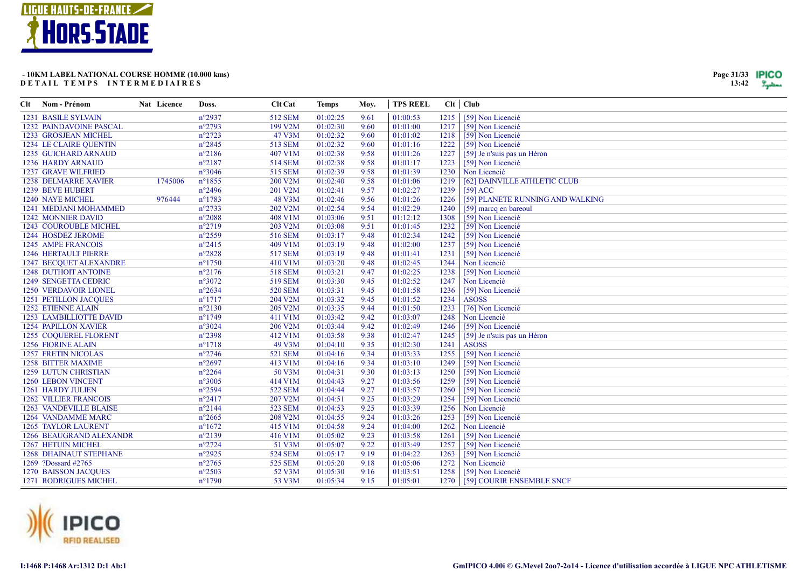![](_page_30_Picture_0.jpeg)

| Page 31/33 | IPICC |
|------------|-------|
| 13:42      |       |

| Clt | Nom - Prénom                  | Nat Licence | Doss.            | Clt Cat        | <b>Temps</b> | Moy. | <b>TPS REEL</b> |      | Clt   Club                       |
|-----|-------------------------------|-------------|------------------|----------------|--------------|------|-----------------|------|----------------------------------|
|     | <b>1231 BASILE SYLVAIN</b>    |             | $n^{\circ}2937$  | 512 SEM        | 01:02:25     | 9.61 | 01:00:53        | 1215 | [59] Non Licencié                |
|     | 1232 PAINDAVOINE PASCAL       |             | $n^{\circ}2793$  | 199 V2M        | 01:02:30     | 9.60 | 01:01:00        | 1217 | [59] Non Licencié                |
|     | 1233 GROSJEAN MICHEL          |             | $n^{\circ}2723$  | 47 V3M         | 01:02:32     | 9.60 | 01:01:02        | 1218 | [59] Non Licencié                |
|     | <b>1234 LE CLAIRE QUENTIN</b> |             | $n^{\circ}2845$  | 513 SEM        | 01:02:32     | 9.60 | 01:01:16        | 1222 | [59] Non Licencié                |
|     | 1235 GUICHARD ARNAUD          |             | $n^{\circ}2186$  | 407 V1M        | 01:02:38     | 9.58 | 01:01:26        | 1227 | [59] Je n'suis pas un Héron      |
|     | 1236 HARDY ARNAUD             |             | $n^{\circ}2187$  | 514 SEM        | 01:02:38     | 9.58 | 01:01:17        | 1223 | [59] Non Licencié                |
|     | <b>1237 GRAVE WILFRIED</b>    |             | $n^{\circ}3046$  | <b>515 SEM</b> | 01:02:39     | 9.58 | 01:01:39        | 1230 | Non Licencié                     |
|     | <b>1238 DELMARRE XAVIER</b>   | 1745006     | $n^{\circ}$ 1855 | 200 V2M        | 01:02:40     | 9.58 | 01:01:06        | 1219 | [62] DAINVILLE ATHLETIC CLUB     |
|     | <b>1239 BEVE HUBERT</b>       |             | $n^{\circ}2496$  | 201 V2M        | 01:02:41     | 9.57 | 01:02:27        | 1239 | $[59]$ ACC                       |
|     | 1240 NAYE MICHEL              | 976444      | $n^{\circ}1783$  | 48 V3M         | 01:02:46     | 9.56 | 01:01:26        | 1226 | [59] PLANETE RUNNING AND WALKING |
|     | 1241 MEDJANI MOHAMMED         |             | $n^{\circ}2733$  | 202 V2M        | 01:02:54     | 9.54 | 01:02:29        | 1240 | [59] marcq en bareoul            |
|     | 1242 MONNIER DAVID            |             | $n^{\circ}2088$  | 408 V1M        | 01:03:06     | 9.51 | 01:12:12        | 1308 | [59] Non Licencié                |
|     | 1243 COUROUBLE MICHEL         |             | $n^{\circ}2719$  | 203 V2M        | 01:03:08     | 9.51 | 01:01:45        | 1232 | [59] Non Licencié                |
|     | 1244 HOSDEZ JEROME            |             | $n^{\circ}2559$  | 516 SEM        | 01:03:17     | 9.48 | 01:02:34        | 1242 | [59] Non Licencié                |
|     | 1245 AMPE FRANCOIS            |             | $n^{\circ}2415$  | 409 V1M        | 01:03:19     | 9.48 | 01:02:00        | 1237 | [59] Non Licencié                |
|     | <b>1246 HERTAULT PIERRE</b>   |             | $n^{\circ}2828$  | <b>517 SEM</b> | 01:03:19     | 9.48 | 01:01:41        | 1231 | [59] Non Licencié                |
|     | <b>1247 BECOUET ALEXANDRE</b> |             | $n^{\circ}1750$  | 410 V1M        | 01:03:20     | 9.48 | 01:02:45        | 1244 | Non Licencié                     |
|     | <b>1248 DUTHOIT ANTOINE</b>   |             | $n^{\circ}2176$  | 518 SEM        | 01:03:21     | 9.47 | 01:02:25        | 1238 | [59] Non Licencié                |
|     | 1249 SENGETTA CEDRIC          |             | $n^{\circ}3072$  | 519 SEM        | 01:03:30     | 9.45 | 01:02:52        | 1247 | Non Licencié                     |
|     | 1250 VERDAVOIR LIONEL         |             | $n^{\circ}2634$  | <b>520 SEM</b> | 01:03:31     | 9.45 | 01:01:58        | 1236 | [59] Non Licencié                |
|     | <b>1251 PETILLON JACQUES</b>  |             | $n^{\circ}1717$  | 204 V2M        | 01:03:32     | 9.45 | 01:01:52        | 1234 | <b>ASOSS</b>                     |
|     | <b>1252 ETIENNE ALAIN</b>     |             | $n^{\circ}2130$  | 205 V2M        | 01:03:35     | 9.44 | 01:01:50        | 1233 | [76] Non Licencié                |
|     | 1253 LAMBILLIOTTE DAVID       |             | $n^{\circ}1749$  | 411 V1M        | 01:03:42     | 9.42 | 01:03:07        | 1248 | Non Licencié                     |
|     | <b>1254 PAPILLON XAVIER</b>   |             | $n^{\circ}3024$  | 206 V2M        | 01:03:44     | 9.42 | 01:02:49        | 1246 | [59] Non Licencié                |
|     | 1255 COQUEREL FLORENT         |             | $n^{\circ}2398$  | 412 V1M        | 01:03:58     | 9.38 | 01:02:47        | 1245 | [59] Je n'suis pas un Héron      |
|     | 1256 FIORINE ALAIN            |             | $n^{\circ}1718$  | 49 V3M         | 01:04:10     | 9.35 | 01:02:30        | 1241 | <b>ASOSS</b>                     |
|     | <b>1257 FRETIN NICOLAS</b>    |             | $n^{\circ}2746$  | 521 SEM        | 01:04:16     | 9.34 | 01:03:33        | 1255 | [59] Non Licencié                |
|     | <b>1258 BITTER MAXIME</b>     |             | $n^{\circ}2697$  | 413 V1M        | 01:04:16     | 9.34 | 01:03:10        | 1249 | [59] Non Licencié                |
|     | <b>1259 LUTUN CHRISTIAN</b>   |             | $n^{\circ}2264$  | 50 V3M         | 01:04:31     | 9.30 | 01:03:13        | 1250 | [59] Non Licencié                |
|     | 1260 LEBON VINCENT            |             | $n^{\circ}3005$  | 414 V1M        | 01:04:43     | 9.27 | 01:03:56        | 1259 | [59] Non Licencié                |
|     | 1261 HARDY JULIEN             |             | $n^{\circ}2594$  | <b>522 SEM</b> | 01:04:44     | 9.27 | 01:03:57        | 1260 | [59] Non Licencié                |
|     | <b>1262 VILLIER FRANCOIS</b>  |             | $n^{\circ}2417$  | 207 V2M        | 01:04:51     | 9.25 | 01:03:29        | 1254 | [59] Non Licencié                |
|     | <b>1263 VANDEVILLE BLAISE</b> |             | $n^{\circ}2144$  | 523 SEM        | 01:04:53     | 9.25 | 01:03:39        | 1256 | Non Licencié                     |
|     | <b>1264 VANDAMME MARC</b>     |             | $n^{\circ}2665$  | 208 V2M        | 01:04:55     | 9.24 | 01:03:26        | 1253 | [59] Non Licencié                |
|     | 1265 TAYLOR LAURENT           |             | $n^{\circ}1672$  | 415 V1M        | 01:04:58     | 9.24 | 01:04:00        | 1262 | Non Licencié                     |
|     | 1266 BEAUGRAND ALEXANDR       |             | $n^{\circ}2139$  | 416 V1M        | 01:05:02     | 9.23 | 01:03:58        | 1261 | [59] Non Licencié                |
|     | 1267 HETUIN MICHEL            |             | $n^{\circ}2724$  | 51 V3M         | 01:05:07     | 9.22 | 01:03:49        | 1257 | [59] Non Licencié                |
|     | <b>1268 DHAINAUT STEPHANE</b> |             | $n^{\circ}2925$  | <b>524 SEM</b> | 01:05:17     | 9.19 | 01:04:22        | 1263 | [59] Non Licencié                |
|     | 1269 ?Dossard #2765           |             | $n^{\circ}2765$  | <b>525 SEM</b> | 01:05:20     | 9.18 | 01:05:06        | 1272 | Non Licencié                     |
|     | 1270 BAISSON JACQUES          |             | $n^{\circ}2503$  | 52 V3M         | 01:05:30     | 9.16 | 01:03:51        | 1258 | [59] Non Licencié                |
|     | <b>1271 RODRIGUES MICHEL</b>  |             | $n^{\circ}1790$  | 53 V3M         | 01:05:34     | 9.15 | 01:05:01        |      | 1270   [59] COURIR ENSEMBLE SNCF |

![](_page_30_Picture_4.jpeg)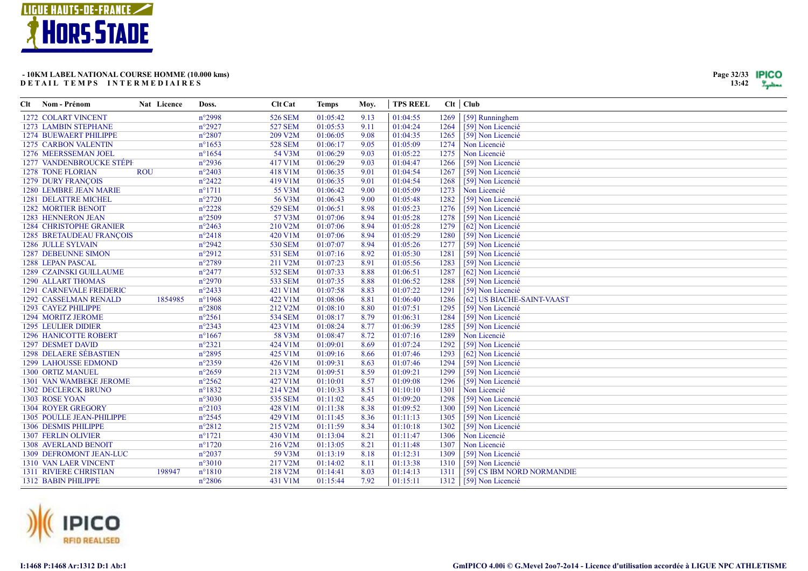![](_page_31_Picture_0.jpeg)

| Clt | Nom - Prénom                    | Nat Licence | Doss.                       | <b>Clt</b> Cat | <b>Temps</b> | Moy. | <b>TPS REEL</b> |      | $Clt$ $Club$               |
|-----|---------------------------------|-------------|-----------------------------|----------------|--------------|------|-----------------|------|----------------------------|
|     | 1272 COLART VINCENT             |             | $n^{\circ}2998$             | 526 SEM        | 01:05:42     | 9.13 | 01:04:55        | 1269 | [59] Runninghem            |
|     | 1273 LAMBIN STEPHANE            |             | $n^{\circ}2927$             | <b>527 SEM</b> | 01:05:53     | 9.11 | 01:04:24        | 1264 | [59] Non Licencié          |
|     | 1274 BUEWAERT PHILIPPE          |             | $n^{\circ}2807$             | 209 V2M        | 01:06:05     | 9.08 | 01:04:35        | 1265 | [59] Non Licencié          |
|     | <b>1275 CARBON VALENTIN</b>     |             | $n^{\circ}1653$             | <b>528 SEM</b> | 01:06:17     | 9.05 | 01:05:09        | 1274 | Non Licencié               |
|     | 1276 MEERSSEMAN JOEL            |             | $n^{\circ}1654$             | 54 V3M         | 01:06:29     | 9.03 | 01:05:22        | 1275 | Non Licencié               |
|     | 1277 VANDENBROUCKE STÉPE        |             | $n^{\circ}2936$             | 417 V1M        | 01:06:29     | 9.03 | 01:04:47        | 1266 | [59] Non Licencié          |
|     | <b>1278 TONE FLORIAN</b>        | <b>ROU</b>  | $n^{\circ}2403$             | 418 V1M        | 01:06:35     | 9.01 | 01:04:54        | 1267 | [59] Non Licencié          |
|     | <b>1279 DURY FRANÇOIS</b>       |             | $n^{\circ}2422$             | 419 V1M        | 01:06:35     | 9.01 | 01:04:54        | 1268 | [59] Non Licencié          |
|     | 1280 LEMBRE JEAN MARIE          |             | $n^{\circ}1711$             | 55 V3M         | 01:06:42     | 9.00 | 01:05:09        | 1273 | Non Licencié               |
|     | 1281 DELATTRE MICHEL            |             | $n^{\circ}2720$             | 56 V3M         | 01:06:43     | 9.00 | 01:05:48        | 1282 | [59] Non Licencié          |
|     | <b>1282 MORTIER BENOIT</b>      |             | $n^{\circ}2228$             | 529 SEM        | 01:06:51     | 8.98 | 01:05:23        | 1276 | [59] Non Licencié          |
|     | 1283 HENNERON JEAN              |             | $n^{\circ}2509$             | 57 V3M         | 01:07:06     | 8.94 | 01:05:28        | 1278 | [59] Non Licencié          |
|     | <b>1284 CHRISTOPHE GRANIER</b>  |             | $n^{\circ}2463$             | 210 V2M        | 01:07:06     | 8.94 | 01:05:28        | 1279 | [62] Non Licencié          |
|     | <b>1285 BRETAUDEAU FRANÇOIS</b> |             | $n^{\circ}2418$             | 420 V1M        | 01:07:06     | 8.94 | 01:05:29        | 1280 | [59] Non Licencié          |
|     | 1286 JULLE SYLVAIN              |             | $n^{\circ}2942$             | 530 SEM        | 01:07:07     | 8.94 | 01:05:26        | 1277 | [59] Non Licencié          |
|     | <b>1287 DEBEUNNE SIMON</b>      |             | $n^{\circ}2912$             | 531 SEM        | 01:07:16     | 8.92 | 01:05:30        | 1281 | [59] Non Licencié          |
|     | 1288 LEPAN PASCAL               |             | $n^{\circ}2789$             | 211 V2M        | 01:07:23     | 8.91 | 01:05:56        | 1283 | [59] Non Licencié          |
|     | 1289 CZAINSKI GUILLAUME         |             | $n^{\circ}2477$             | 532 SEM        | 01:07:33     | 8.88 | 01:06:51        | 1287 | [62] Non Licencié          |
|     | 1290 ALLART THOMAS              |             | $n^{\circ}2970$             | 533 SEM        | 01:07:35     | 8.88 | 01:06:52        | 1288 | [59] Non Licencié          |
|     | <b>1291 CARNEVALE FREDERIC</b>  |             | $n^{\circ}2433$             | 421 V1M        | 01:07:58     | 8.83 | 01:07:22        | 1291 | [59] Non Licencié          |
|     | 1292 CASSELMAN RENALD           |             | 1854985<br>$n^{\circ}$ 1968 | 422 V1M        | 01:08:06     | 8.81 | 01:06:40        | 1286 | [62] US BIACHE-SAINT-VAAST |
|     | 1293 CAYEZ PHILIPPE             |             | $n^{\circ}2808$             | 212 V2M        | 01:08:10     | 8.80 | 01:07:51        | 1295 | [59] Non Licencié          |
|     | 1294 MORITZ JEROME              |             | $n^{\circ}2561$             | 534 SEM        | 01:08:17     | 8.79 | 01:06:31        | 1284 | [59] Non Licencié          |
|     | <b>1295 LEULIER DIDIER</b>      |             | $n^{\circ}2343$             | 423 V1M        | 01:08:24     | 8.77 | 01:06:39        | 1285 | [59] Non Licencié          |
|     | <b>1296 HANICOTTE ROBERT</b>    |             | $n^{\circ}1667$             | 58 V3M         | 01:08:47     | 8.72 | 01:07:16        | 1289 | Non Licencié               |
|     | 1297 DESMET DAVID               |             | $n^{\circ}2321$             | 424 V1M        | 01:09:01     | 8.69 | 01:07:24        | 1292 | [59] Non Licencié          |
|     | <b>1298 DELAERE SÉBASTIEN</b>   |             | $n^{\circ}2895$             | 425 V1M        | 01:09:16     | 8.66 | 01:07:46        | 1293 | [62] Non Licencié          |
|     | <b>1299 LAHOUSSE EDMOND</b>     |             | $n^{\circ}2359$             | 426 V1M        | 01:09:31     | 8.63 | 01:07:46        | 1294 | [59] Non Licencié          |
|     | 1300 ORTIZ MANUEL               |             | $n^{\circ}2659$             | 213 V2M        | 01:09:51     | 8.59 | 01:09:21        | 1299 | [59] Non Licencié          |
|     | <b>1301 VAN WAMBEKE JEROME</b>  |             | $n^{\circ}2562$             | 427 V1M        | 01:10:01     | 8.57 | 01:09:08        | 1296 | [59] Non Licencié          |
|     | <b>1302 DECLERCK BRUNO</b>      |             | $n^{\circ}1832$             | 214 V2M        | 01:10:33     | 8.51 | 01:10:10        | 1301 | Non Licencié               |
|     | 1303 ROSE YOAN                  |             | $n^{\circ}3030$             | 535 SEM        | 01:11:02     | 8.45 | 01:09:20        | 1298 | [59] Non Licencié          |
|     | <b>1304 ROYER GREGORY</b>       |             | $n^{\circ}2103$             | 428 V1M        | 01:11:38     | 8.38 | 01:09:52        | 1300 | [59] Non Licencié          |
|     | 1305 POULLE JEAN-PHILIPPE       |             | $n^{\circ}2545$             | 429 V1M        | 01:11:45     | 8.36 | 01:11:13        | 1305 | [59] Non Licencié          |
|     | 1306 DESMIS PHILIPPE            |             | $n^{\circ}2812$             | 215 V2M        | 01:11:59     | 8.34 | 01:10:18        | 1302 | [59] Non Licencié          |
|     | <b>1307 FERLIN OLIVIER</b>      |             | $n^{\circ}1721$             | 430 V1M        | 01:13:04     | 8.21 | 01:11:47        | 1306 | Non Licencié               |
|     | <b>1308 AVERLAND BENOIT</b>     |             | $n^{\circ}1720$             | 216 V2M        | 01:13:05     | 8.21 | 01:11:48        | 1307 | Non Licencié               |
|     | 1309 DEFROMONT JEAN-LUC         |             | $n^{\circ}2037$             | 59 V3M         | 01:13:19     | 8.18 | 01:12:31        | 1309 | [59] Non Licencié          |
|     | <b>1310 VAN LAER VINCENT</b>    |             | $n^{\circ}3010$             | 217 V2M        | 01:14:02     | 8.11 | 01:13:38        | 1310 | [59] Non Licencié          |
|     | <b>1311 RIVIERE CHRISTIAN</b>   |             | 198947<br>$n^{\circ}1810$   | 218 V2M        | 01:14:41     | 8.03 | 01:14:13        | 1311 | [59] CS IBM NORD NORMANDIE |
|     | 1312 BABIN PHILIPPE             |             | $n^{\circ}2806$             | 431 V1M        | 01:15:44     | 7.92 | 01:15:11        | 1312 | [59] Non Licencié          |

![](_page_31_Picture_3.jpeg)

I:1468 P:1468 Ar:1312 D:1 Ab:1

Page 32/33 **IPICO**  $13:42$   $\frac{9}{2}$   $\frac{1}{2}$